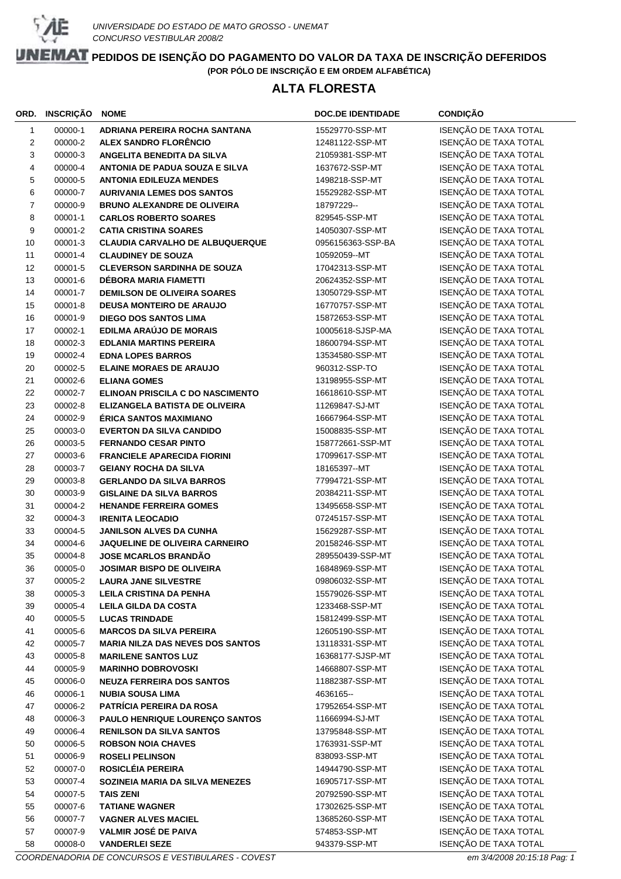

## **ALTA FLORESTA**

|                | ORD. INSCRIÇÃO     | <b>NOME</b>                                                           | <b>DOC.DE IDENTIDADE</b>            | <b>CONDIÇÃO</b>                                |
|----------------|--------------------|-----------------------------------------------------------------------|-------------------------------------|------------------------------------------------|
| 1              | 00000-1            | ADRIANA PEREIRA ROCHA SANTANA                                         | 15529770-SSP-MT                     | ISENÇÃO DE TAXA TOTAL                          |
| 2              | 00000-2            | <b>ALEX SANDRO FLORÊNCIO</b>                                          | 12481122-SSP-MT                     | ISENÇÃO DE TAXA TOTAL                          |
| 3              | 00000-3            | ANGELITA BENEDITA DA SILVA                                            | 21059381-SSP-MT                     | ISENÇÃO DE TAXA TOTAL                          |
| 4              | 00000-4            | <b>ANTONIA DE PADUA SOUZA E SILVA</b>                                 | 1637672-SSP-MT                      | ISENÇÃO DE TAXA TOTAL                          |
| 5              | 00000-5            | <b>ANTONIA EDILEUZA MENDES</b>                                        | 1498218-SSP-MT                      | ISENÇÃO DE TAXA TOTAL                          |
| 6              | 00000-7            | <b>AURIVANIA LEMES DOS SANTOS</b>                                     | 15529282-SSP-MT                     | ISENÇÃO DE TAXA TOTAL                          |
| $\overline{7}$ | 00000-9            | <b>BRUNO ALEXANDRE DE OLIVEIRA</b>                                    | 18797229--                          | ISENÇÃO DE TAXA TOTAL                          |
| 8              | 00001-1            | <b>CARLOS ROBERTO SOARES</b>                                          | 829545-SSP-MT                       | ISENÇÃO DE TAXA TOTAL                          |
| 9              | 00001-2            | <b>CATIA CRISTINA SOARES</b>                                          | 14050307-SSP-MT                     | ISENÇÃO DE TAXA TOTAL                          |
| 10             | 00001-3            | <b>CLAUDIA CARVALHO DE ALBUQUERQUE</b>                                | 0956156363-SSP-BA                   | ISENÇÃO DE TAXA TOTAL                          |
| 11             | 00001-4            | <b>CLAUDINEY DE SOUZA</b>                                             | 10592059--MT                        | ISENÇÃO DE TAXA TOTAL                          |
| 12             | 00001-5            | <b>CLEVERSON SARDINHA DE SOUZA</b>                                    | 17042313-SSP-MT                     | ISENÇÃO DE TAXA TOTAL                          |
| 13             | 00001-6            | DÉBORA MARIA FIAMETTI                                                 | 20624352-SSP-MT                     | ISENÇÃO DE TAXA TOTAL                          |
| 14             | 00001-7            | <b>DEMILSON DE OLIVEIRA SOARES</b>                                    | 13050729-SSP-MT                     | ISENÇÃO DE TAXA TOTAL                          |
| 15             | 00001-8            | <b>DEUSA MONTEIRO DE ARAUJO</b>                                       | 16770757-SSP-MT                     | ISENÇÃO DE TAXA TOTAL                          |
| 16             | 00001-9            | <b>DIEGO DOS SANTOS LIMA</b>                                          | 15872653-SSP-MT                     | ISENÇÃO DE TAXA TOTAL                          |
| 17             | 00002-1            | <b>EDILMA ARAÚJO DE MORAIS</b>                                        | 10005618-SJSP-MA                    | ISENÇÃO DE TAXA TOTAL                          |
| 18             | 00002-3            | <b>EDLANIA MARTINS PEREIRA</b>                                        | 18600794-SSP-MT                     | ISENÇÃO DE TAXA TOTAL                          |
| 19             | 00002-4            | <b>EDNA LOPES BARROS</b>                                              | 13534580-SSP-MT                     | ISENÇÃO DE TAXA TOTAL                          |
| 20             | 00002-5            | <b>ELAINE MORAES DE ARAUJO</b>                                        | 960312-SSP-TO                       | ISENÇÃO DE TAXA TOTAL                          |
| 21             | 00002-6            | <b>ELIANA GOMES</b>                                                   | 13198955-SSP-MT                     | ISENÇÃO DE TAXA TOTAL                          |
| 22             | 00002-7            | ELINOAN PRISCILA C DO NASCIMENTO                                      | 16618610-SSP-MT                     | ISENÇÃO DE TAXA TOTAL                          |
| 23             | 00002-8            | ELIZANGELA BATISTA DE OLIVEIRA                                        | 11269847-SJ-MT                      | ISENÇÃO DE TAXA TOTAL                          |
| 24             | 00002-9            | <b>ÉRICA SANTOS MAXIMIANO</b>                                         | 16667964-SSP-MT                     | ISENÇÃO DE TAXA TOTAL                          |
| 25             | 00003-0            | <b>EVERTON DA SILVA CANDIDO</b>                                       | 15008835-SSP-MT                     | ISENÇÃO DE TAXA TOTAL                          |
| 26             | 00003-5            | <b>FERNANDO CESAR PINTO</b>                                           | 158772661-SSP-MT                    | ISENÇÃO DE TAXA TOTAL                          |
| 27             | 00003-6            | <b>FRANCIELE APARECIDA FIORINI</b>                                    | 17099617-SSP-MT                     | ISENÇÃO DE TAXA TOTAL                          |
| 28             | 00003-7            | <b>GEIANY ROCHA DA SILVA</b>                                          | 18165397--MT                        | ISENÇÃO DE TAXA TOTAL                          |
| 29             | 00003-8            | <b>GERLANDO DA SILVA BARROS</b>                                       | 77994721-SSP-MT                     | ISENÇÃO DE TAXA TOTAL                          |
| 30             | 00003-9            | <b>GISLAINE DA SILVA BARROS</b>                                       | 20384211-SSP-MT                     | ISENÇÃO DE TAXA TOTAL                          |
| 31             | 00004-2            | <b>HENANDE FERREIRA GOMES</b>                                         | 13495658-SSP-MT                     | ISENÇÃO DE TAXA TOTAL                          |
| 32             | 00004-3            | <b>IRENITA LEOCADIO</b>                                               | 07245157-SSP-MT                     | ISENÇÃO DE TAXA TOTAL                          |
| 33             | 00004-5            | <b>JANILSON ALVES DA CUNHA</b>                                        | 15629287-SSP-MT                     | ISENÇÃO DE TAXA TOTAL                          |
| 34             | 00004-6            | <b>JAQUELINE DE OLIVEIRA CARNEIRO</b>                                 | 20158246-SSP-MT                     | ISENÇÃO DE TAXA TOTAL                          |
| 35             | 00004-8            | <b>JOSE MCARLOS BRANDÃO</b>                                           | 289550439-SSP-MT                    | ISENÇÃO DE TAXA TOTAL                          |
| 36             | 00005-0            | <b>JOSIMAR BISPO DE OLIVEIRA</b>                                      | 16848969-SSP-MT                     | ISENÇÃO DE TAXA TOTAL                          |
| 37             | 00005-2            | <b>LAURA JANE SILVESTRE</b>                                           | 09806032-SSP-MT                     | ISENÇÃO DE TAXA TOTAL                          |
| 38             | 00005-3            | <b>LEILA CRISTINA DA PENHA</b>                                        | 15579026-SSP-MT                     | ISENÇÃO DE TAXA TOTAL                          |
| 39             | 00005-4            | <b>LEILA GILDA DA COSTA</b>                                           | 1233468-SSP-MT                      | ISENÇÃO DE TAXA TOTAL                          |
| 40             | 00005-5            | <b>LUCAS TRINDADE</b>                                                 | 15812499-SSP-MT                     | ISENÇÃO DE TAXA TOTAL<br>ISENÇÃO DE TAXA TOTAL |
| 41             | 00005-6            | <b>MARCOS DA SILVA PEREIRA</b>                                        | 12605190-SSP-MT                     | ISENÇÃO DE TAXA TOTAL                          |
| 42<br>43       | 00005-7<br>00005-8 | <b>MARIA NILZA DAS NEVES DOS SANTOS</b><br><b>MARILENE SANTOS LUZ</b> | 13118331-SSP-MT<br>16368177-SJSP-MT | ISENÇÃO DE TAXA TOTAL                          |
| 44             | 00005-9            | <b>MARINHO DOBROVOSKI</b>                                             | 14668807-SSP-MT                     | ISENÇÃO DE TAXA TOTAL                          |
| 45             | 00006-0            | <b>NEUZA FERREIRA DOS SANTOS</b>                                      | 11882387-SSP-MT                     | ISENÇÃO DE TAXA TOTAL                          |
| 46             | 00006-1            | <b>NUBIA SOUSA LIMA</b>                                               | 4636165-                            | ISENÇÃO DE TAXA TOTAL                          |
| 47             | 00006-2            | PATRÍCIA PEREIRA DA ROSA                                              | 17952654-SSP-MT                     | ISENÇÃO DE TAXA TOTAL                          |
| 48             | 00006-3            | PAULO HENRIQUE LOURENÇO SANTOS                                        | 11666994-SJ-MT                      | ISENÇÃO DE TAXA TOTAL                          |
| 49             | 00006-4            | <b>RENILSON DA SILVA SANTOS</b>                                       | 13795848-SSP-MT                     | ISENÇÃO DE TAXA TOTAL                          |
| 50             | 00006-5            | <b>ROBSON NOIA CHAVES</b>                                             | 1763931-SSP-MT                      | ISENÇÃO DE TAXA TOTAL                          |
| 51             | 00006-9            | <b>ROSELI PELINSON</b>                                                | 838093-SSP-MT                       | ISENÇÃO DE TAXA TOTAL                          |
| 52             | 00007-0            | ROSICLÉIA PEREIRA                                                     | 14944790-SSP-MT                     | ISENÇÃO DE TAXA TOTAL                          |
| 53             | 00007-4            | SOZINEIA MARIA DA SILVA MENEZES                                       | 16905717-SSP-MT                     | ISENÇÃO DE TAXA TOTAL                          |
| 54             | 00007-5            | <b>TAIS ZENI</b>                                                      | 20792590-SSP-MT                     | ISENÇÃO DE TAXA TOTAL                          |
| 55             | 00007-6            | <b>TATIANE WAGNER</b>                                                 | 17302625-SSP-MT                     | ISENÇÃO DE TAXA TOTAL                          |
| 56             | 00007-7            | <b>VAGNER ALVES MACIEL</b>                                            | 13685260-SSP-MT                     | ISENÇÃO DE TAXA TOTAL                          |
| 57             | 00007-9            | <b>VALMIR JOSÉ DE PAIVA</b>                                           | 574853-SSP-MT                       | ISENÇÃO DE TAXA TOTAL                          |
| 58             | 00008-0            | <b>VANDERLEI SEZE</b>                                                 | 943379-SSP-MT                       | ISENÇÃO DE TAXA TOTAL                          |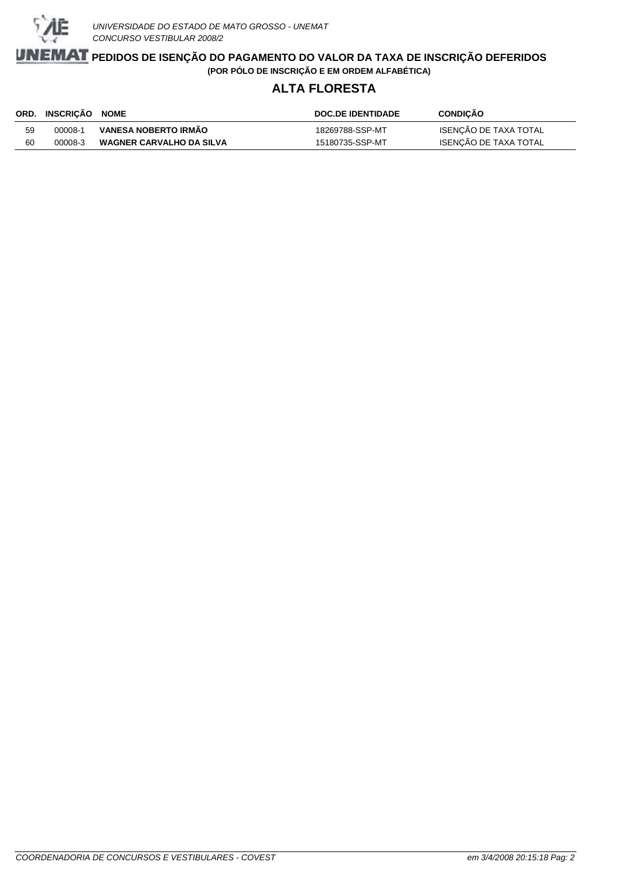

### **ALTA FLORESTA**

|    | ORD. INSCRICÃO NOME |                                 | <b>DOC.DE IDENTIDADE</b> | <b>CONDICAO</b>       |
|----|---------------------|---------------------------------|--------------------------|-----------------------|
| 59 | 00008-1             | VANESA NOBERTO IRMÃO            | 18269788-SSP-MT          | ISENÇÃO DE TAXA TOTAL |
| 60 | 00008-3             | <b>WAGNER CARVALHO DA SILVA</b> | 15180735-SSP-MT          | ISENÇÃO DE TAXA TOTAL |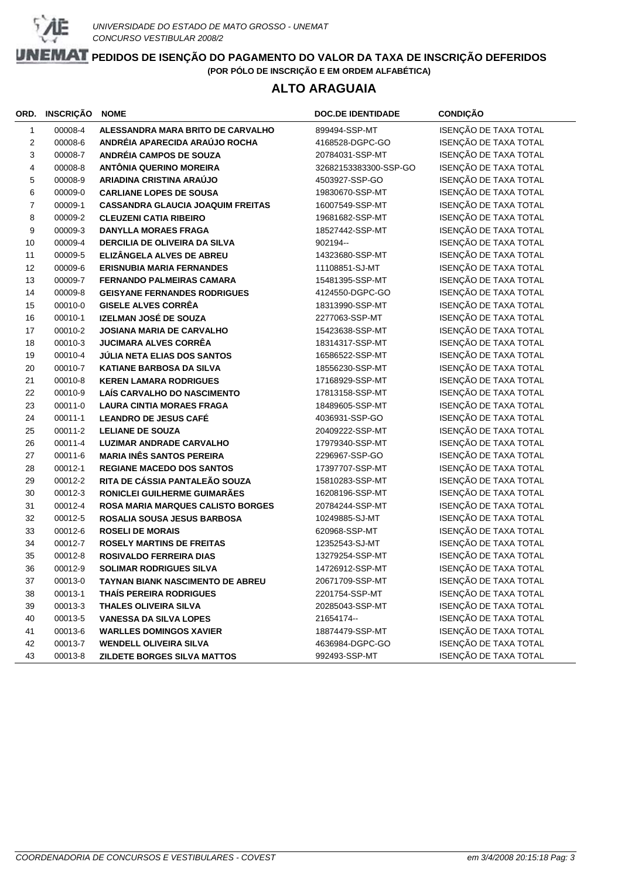

### **ALTO ARAGUAIA**

| ORD.   | <b>INSCRIÇÃO</b> | <b>NOME</b>                              | <b>DOC.DE IDENTIDADE</b> | <b>CONDIÇÃO</b>       |
|--------|------------------|------------------------------------------|--------------------------|-----------------------|
| 1      | 00008-4          | ALESSANDRA MARA BRITO DE CARVALHO        | 899494-SSP-MT            | ISENÇÃO DE TAXA TOTAL |
| 2      | 00008-6          | ANDRÉIA APARECIDA ARAÚJO ROCHA           | 4168528-DGPC-GO          | ISENÇÃO DE TAXA TOTAL |
| 3      | 00008-7          | <b>ANDRÉIA CAMPOS DE SOUZA</b>           | 20784031-SSP-MT          | ISENÇÃO DE TAXA TOTAL |
| 4      | 00008-8          | <b>ANTÔNIA QUERINO MOREIRA</b>           | 32682153383300-SSP-GO    | ISENÇÃO DE TAXA TOTAL |
| 5      | 00008-9          | ARIADINA CRISTINA ARAÚJO                 | 4503927-SSP-GO           | ISENÇÃO DE TAXA TOTAL |
| 6      | 00009-0          | <b>CARLIANE LOPES DE SOUSA</b>           | 19830670-SSP-MT          | ISENÇÃO DE TAXA TOTAL |
| 7      | 00009-1          | <b>CASSANDRA GLAUCIA JOAQUIM FREITAS</b> | 16007549-SSP-MT          | ISENÇÃO DE TAXA TOTAL |
| 8      | 00009-2          | <b>CLEUZENI CATIA RIBEIRO</b>            | 19681682-SSP-MT          | ISENÇÃO DE TAXA TOTAL |
| 9      | 00009-3          | <b>DANYLLA MORAES FRAGA</b>              | 18527442-SSP-MT          | ISENÇÃO DE TAXA TOTAL |
| 10     | 00009-4          | <b>DERCILIA DE OLIVEIRA DA SILVA</b>     | 902194 --                | ISENÇÃO DE TAXA TOTAL |
| 11     | 00009-5          | ELIZÂNGELA ALVES DE ABREU                | 14323680-SSP-MT          | ISENÇÃO DE TAXA TOTAL |
| 12     | 00009-6          | <b>ERISNUBIA MARIA FERNANDES</b>         | 11108851-SJ-MT           | ISENÇÃO DE TAXA TOTAL |
| 13     | 00009-7          | FERNANDO PALMEIRAS CAMARA                | 15481395-SSP-MT          | ISENÇÃO DE TAXA TOTAL |
| 14     | 00009-8          | <b>GEISYANE FERNANDES RODRIGUES</b>      | 4124550-DGPC-GO          | ISENÇÃO DE TAXA TOTAL |
| 15     | 00010-0          | <b>GISELE ALVES CORRÊA</b>               | 18313990-SSP-MT          | ISENÇÃO DE TAXA TOTAL |
| 16     | 00010-1          | IZELMAN JOSÉ DE SOUZA                    | 2277063-SSP-MT           | ISENÇÃO DE TAXA TOTAL |
| 17     | 00010-2          | <b>JOSIANA MARIA DE CARVALHO</b>         | 15423638-SSP-MT          | ISENÇÃO DE TAXA TOTAL |
| 18     | 00010-3          | <b>JUCIMARA ALVES CORRÊA</b>             | 18314317-SSP-MT          | ISENÇÃO DE TAXA TOTAL |
| 19     | 00010-4          | JÚLIA NETA ELIAS DOS SANTOS              | 16586522-SSP-MT          | ISENÇÃO DE TAXA TOTAL |
| 20     | 00010-7          | <b>KATIANE BARBOSA DA SILVA</b>          | 18556230-SSP-MT          | ISENÇÃO DE TAXA TOTAL |
| 21     | 00010-8          | <b>KEREN LAMARA RODRIGUES</b>            | 17168929-SSP-MT          | ISENÇÃO DE TAXA TOTAL |
| 22     | 00010-9          | <b>LAÍS CARVALHO DO NASCIMENTO</b>       | 17813158-SSP-MT          | ISENÇÃO DE TAXA TOTAL |
| 23     | 00011-0          | <b>LAURA CINTIA MORAES FRAGA</b>         | 18489605-SSP-MT          | ISENÇÃO DE TAXA TOTAL |
| 24     | 00011-1          | <b>LEANDRO DE JESUS CAFÉ</b>             | 4036931-SSP-GO           | ISENÇÃO DE TAXA TOTAL |
| 25     | 00011-2          | <b>LELIANE DE SOUZA</b>                  | 20409222-SSP-MT          | ISENÇÃO DE TAXA TOTAL |
| 26     | 00011-4          | <b>LUZIMAR ANDRADE CARVALHO</b>          | 17979340-SSP-MT          | ISENÇÃO DE TAXA TOTAL |
| 27     | 00011-6          | <b>MARIA INÊS SANTOS PEREIRA</b>         | 2296967-SSP-GO           | ISENÇÃO DE TAXA TOTAL |
| 28     | 00012-1          | <b>REGIANE MACEDO DOS SANTOS</b>         | 17397707-SSP-MT          | ISENÇÃO DE TAXA TOTAL |
| 29     | 00012-2          | RITA DE CÁSSIA PANTALEÃO SOUZA           | 15810283-SSP-MT          | ISENÇÃO DE TAXA TOTAL |
| 30     | 00012-3          | RONICLEI GUILHERME GUIMARÃES             | 16208196-SSP-MT          | ISENÇÃO DE TAXA TOTAL |
| 31     | 00012-4          | <b>ROSA MARIA MARQUES CALISTO BORGES</b> | 20784244-SSP-MT          | ISENÇÃO DE TAXA TOTAL |
| 32     | 00012-5          | ROSALIA SOUSA JESUS BARBOSA              | 10249885-SJ-MT           | ISENÇÃO DE TAXA TOTAL |
| 33     | 00012-6          | <b>ROSELI DE MORAIS</b>                  | 620968-SSP-MT            | ISENÇÃO DE TAXA TOTAL |
| 34     | 00012-7          | <b>ROSELY MARTINS DE FREITAS</b>         | 12352543-SJ-MT           | ISENÇÃO DE TAXA TOTAL |
| 35     | 00012-8          | <b>ROSIVALDO FERREIRA DIAS</b>           | 13279254-SSP-MT          | ISENÇÃO DE TAXA TOTAL |
| 36     | 00012-9          | <b>SOLIMAR RODRIGUES SILVA</b>           | 14726912-SSP-MT          | ISENÇÃO DE TAXA TOTAL |
| $37\,$ | 00013-0          | TAYNAN BIANK NASCIMENTO DE ABREU         | 20671709-SSP-MT          | ISENÇÃO DE TAXA TOTAL |
| 38     | 00013-1          | <b>THAIS PEREIRA RODRIGUES</b>           | 2201754-SSP-MT           | ISENÇÃO DE TAXA TOTAL |
| 39     | 00013-3          | <b>THALES OLIVEIRA SILVA</b>             | 20285043-SSP-MT          | ISENÇÃO DE TAXA TOTAL |
| 40     | 00013-5          | <b>VANESSA DA SILVA LOPES</b>            | 21654174 --              | ISENÇÃO DE TAXA TOTAL |
| 41     | 00013-6          | <b>WARLLES DOMINGOS XAVIER</b>           | 18874479-SSP-MT          | ISENÇÃO DE TAXA TOTAL |
| 42     | 00013-7          | <b>WENDELL OLIVEIRA SILVA</b>            | 4636984-DGPC-GO          | ISENÇÃO DE TAXA TOTAL |
| 43     | 00013-8          | ZILDETE BORGES SILVA MATTOS              | 992493-SSP-MT            | ISENÇÃO DE TAXA TOTAL |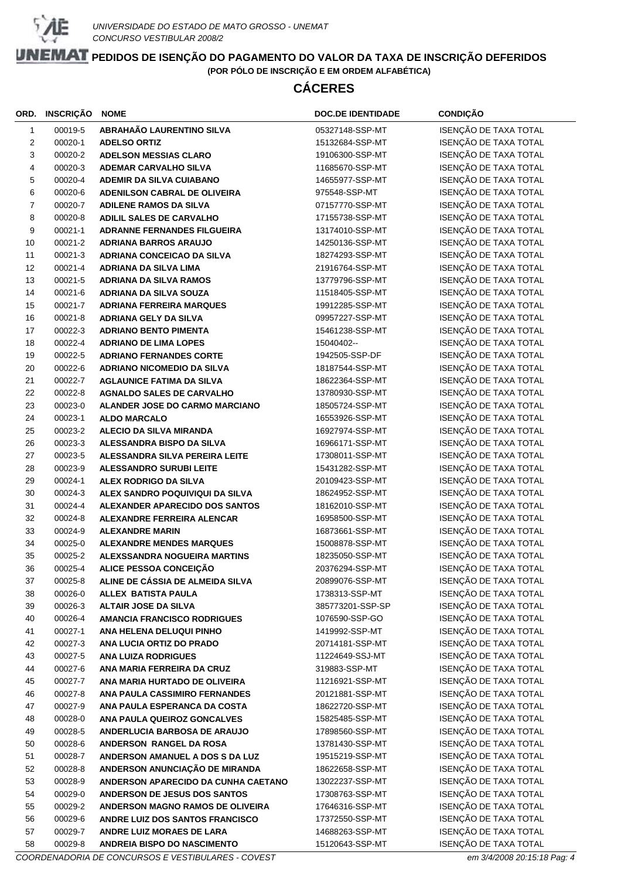

## **CÁCERES**

| ORD.           | INSCRIÇÃO | <b>NOME</b>                          | <b>DOC.DE IDENTIDADE</b> | <b>CONDIÇÃO</b>       |
|----------------|-----------|--------------------------------------|--------------------------|-----------------------|
| $\mathbf{1}$   | 00019-5   | ABRAHAÃO LAURENTINO SILVA            | 05327148-SSP-MT          | ISENÇÃO DE TAXA TOTAL |
| $\overline{c}$ | 00020-1   | <b>ADELSO ORTIZ</b>                  | 15132684-SSP-MT          | ISENÇÃO DE TAXA TOTAL |
| 3              | 00020-2   | <b>ADELSON MESSIAS CLARO</b>         | 19106300-SSP-MT          | ISENÇÃO DE TAXA TOTAL |
| 4              | 00020-3   | <b>ADEMAR CARVALHO SILVA</b>         | 11685670-SSP-MT          | ISENÇÃO DE TAXA TOTAL |
| 5              | 00020-4   | <b>ADEMIR DA SILVA CUIABANO</b>      | 14655977-SSP-MT          | ISENÇÃO DE TAXA TOTAL |
| 6              | 00020-6   | ADENILSON CABRAL DE OLIVEIRA         | 975548-SSP-MT            | ISENÇÃO DE TAXA TOTAL |
| 7              | 00020-7   | <b>ADILENE RAMOS DA SILVA</b>        | 07157770-SSP-MT          | ISENÇÃO DE TAXA TOTAL |
| 8              | 00020-8   | <b>ADILIL SALES DE CARVALHO</b>      | 17155738-SSP-MT          | ISENÇÃO DE TAXA TOTAL |
| 9              | 00021-1   | <b>ADRANNE FERNANDES FILGUEIRA</b>   | 13174010-SSP-MT          | ISENÇÃO DE TAXA TOTAL |
| 10             | 00021-2   | <b>ADRIANA BARROS ARAUJO</b>         | 14250136-SSP-MT          | ISENÇÃO DE TAXA TOTAL |
| 11             | 00021-3   | <b>ADRIANA CONCEICAO DA SILVA</b>    | 18274293-SSP-MT          | ISENÇÃO DE TAXA TOTAL |
| 12             | 00021-4   | <b>ADRIANA DA SILVA LIMA</b>         | 21916764-SSP-MT          | ISENÇÃO DE TAXA TOTAL |
| 13             | 00021-5   | <b>ADRIANA DA SILVA RAMOS</b>        | 13779796-SSP-MT          | ISENÇÃO DE TAXA TOTAL |
| 14             | 00021-6   | <b>ADRIANA DA SILVA SOUZA</b>        | 11518405-SSP-MT          | ISENÇÃO DE TAXA TOTAL |
| 15             | 00021-7   | <b>ADRIANA FERREIRA MARQUES</b>      | 19912285-SSP-MT          | ISENÇÃO DE TAXA TOTAL |
| 16             | 00021-8   | <b>ADRIANA GELY DA SILVA</b>         | 09957227-SSP-MT          | ISENÇÃO DE TAXA TOTAL |
| 17             | 00022-3   | <b>ADRIANO BENTO PIMENTA</b>         | 15461238-SSP-MT          | ISENÇÃO DE TAXA TOTAL |
| 18             | 00022-4   | <b>ADRIANO DE LIMA LOPES</b>         | 15040402--               | ISENÇÃO DE TAXA TOTAL |
| 19             | 00022-5   | <b>ADRIANO FERNANDES CORTE</b>       | 1942505-SSP-DF           | ISENÇÃO DE TAXA TOTAL |
| 20             | 00022-6   | <b>ADRIANO NICOMEDIO DA SILVA</b>    | 18187544-SSP-MT          | ISENÇÃO DE TAXA TOTAL |
| 21             | 00022-7   | <b>AGLAUNICE FATIMA DA SILVA</b>     | 18622364-SSP-MT          | ISENÇÃO DE TAXA TOTAL |
| 22             | 00022-8   | <b>AGNALDO SALES DE CARVALHO</b>     | 13780930-SSP-MT          | ISENÇÃO DE TAXA TOTAL |
| 23             | 00023-0   | ALANDER JOSE DO CARMO MARCIANO       | 18505724-SSP-MT          | ISENÇÃO DE TAXA TOTAL |
| 24             | 00023-1   | <b>ALDO MARCALO</b>                  | 16553926-SSP-MT          | ISENÇÃO DE TAXA TOTAL |
| 25             | 00023-2   | <b>ALECIO DA SILVA MIRANDA</b>       | 16927974-SSP-MT          | ISENÇÃO DE TAXA TOTAL |
| 26             | 00023-3   | ALESSANDRA BISPO DA SILVA            | 16966171-SSP-MT          | ISENÇÃO DE TAXA TOTAL |
| 27             | 00023-5   | ALESSANDRA SILVA PEREIRA LEITE       | 17308011-SSP-MT          | ISENÇÃO DE TAXA TOTAL |
| 28             | 00023-9   | <b>ALESSANDRO SURUBI LEITE</b>       | 15431282-SSP-MT          | ISENÇÃO DE TAXA TOTAL |
| 29             | 00024-1   | ALEX RODRIGO DA SILVA                | 20109423-SSP-MT          | ISENÇÃO DE TAXA TOTAL |
| 30             | 00024-3   | ALEX SANDRO POQUIVIQUI DA SILVA      | 18624952-SSP-MT          | ISENÇÃO DE TAXA TOTAL |
| 31             | 00024-4   | ALEXANDER APARECIDO DOS SANTOS       | 18162010-SSP-MT          | ISENÇÃO DE TAXA TOTAL |
| 32             | 00024-8   | <b>ALEXANDRE FERREIRA ALENCAR</b>    | 16958500-SSP-MT          | ISENÇÃO DE TAXA TOTAL |
| 33             | 00024-9   | <b>ALEXANDRE MARIN</b>               | 16873661-SSP-MT          | ISENÇÃO DE TAXA TOTAL |
| 34             | 00025-0   | <b>ALEXANDRE MENDES MARQUES</b>      | 15008878-SSP-MT          | ISENÇÃO DE TAXA TOTAL |
| 35             | 00025-2   | <b>ALEXSSANDRA NOGUEIRA MARTINS</b>  | 18235050-SSP-MT          | ISENÇÃO DE TAXA TOTAL |
| 36             | 00025-4   | ALICE PESSOA CONCEIÇÃO               | 20376294-SSP-MT          | ISENÇÃO DE TAXA TOTAL |
| 37             | 00025-8   | ALINE DE CÁSSIA DE ALMEIDA SILVA     | 20899076-SSP-MT          | ISENÇÃO DE TAXA TOTAL |
| 38             | 00026-0   | ALLEX BATISTA PAULA                  | 1738313-SSP-MT           | ISENÇÃO DE TAXA TOTAL |
| 39             | 00026-3   | ALTAIR JOSE DA SILVA                 | 385773201-SSP-SP         | ISENÇÃO DE TAXA TOTAL |
| 40             | 00026-4   | <b>AMANCIA FRANCISCO RODRIGUES</b>   | 1076590-SSP-GO           | ISENÇÃO DE TAXA TOTAL |
| 41             | 00027-1   | ANA HELENA DELUQUI PINHO             | 1419992-SSP-MT           | ISENÇÃO DE TAXA TOTAL |
| 42             | 00027-3   | ANA LUCIA ORTIZ DO PRADO             | 20714181-SSP-MT          | ISENÇÃO DE TAXA TOTAL |
| 43             | 00027-5   | <b>ANA LUIZA RODRIGUES</b>           | 11224649-SSJ-MT          | ISENÇÃO DE TAXA TOTAL |
| 44             | 00027-6   | ANA MARIA FERREIRA DA CRUZ           | 319883-SSP-MT            | ISENÇÃO DE TAXA TOTAL |
| 45             | 00027-7   | ANA MARIA HURTADO DE OLIVEIRA        | 11216921-SSP-MT          | ISENÇÃO DE TAXA TOTAL |
| 46             | 00027-8   | <b>ANA PAULA CASSIMIRO FERNANDES</b> | 20121881-SSP-MT          | ISENÇÃO DE TAXA TOTAL |
| 47             | 00027-9   | ANA PAULA ESPERANCA DA COSTA         | 18622720-SSP-MT          | ISENÇÃO DE TAXA TOTAL |
| 48             | 00028-0   | ANA PAULA QUEIROZ GONCALVES          | 15825485-SSP-MT          | ISENÇÃO DE TAXA TOTAL |
| 49             | 00028-5   | ANDERLUCIA BARBOSA DE ARAUJO         | 17898560-SSP-MT          | ISENÇÃO DE TAXA TOTAL |
| 50             | 00028-6   | ANDERSON RANGEL DA ROSA              | 13781430-SSP-MT          | ISENÇÃO DE TAXA TOTAL |
| 51             | 00028-7   | ANDERSON AMANUEL A DOS S DA LUZ      | 19515219-SSP-MT          | ISENÇÃO DE TAXA TOTAL |
| 52             | 00028-8   | ANDERSON ANUNCIAÇÃO DE MIRANDA       | 18622658-SSP-MT          | ISENÇÃO DE TAXA TOTAL |
| 53             | 00028-9   | ANDERSON APARECIDO DA CUNHA CAETANO  | 13022237-SSP-MT          | ISENÇÃO DE TAXA TOTAL |
| 54             | 00029-0   | <b>ANDERSON DE JESUS DOS SANTOS</b>  | 17308763-SSP-MT          | ISENÇÃO DE TAXA TOTAL |
| 55             | 00029-2   | ANDERSON MAGNO RAMOS DE OLIVEIRA     | 17646316-SSP-MT          | ISENÇÃO DE TAXA TOTAL |
| 56             | 00029-6   | ANDRE LUIZ DOS SANTOS FRANCISCO      | 17372550-SSP-MT          | ISENÇÃO DE TAXA TOTAL |
| 57             | 00029-7   | ANDRE LUIZ MORAES DE LARA            | 14688263-SSP-MT          | ISENÇÃO DE TAXA TOTAL |
| 58             | 00029-8   | ANDREIA BISPO DO NASCIMENTO          | 15120643-SSP-MT          | ISENÇÃO DE TAXA TOTAL |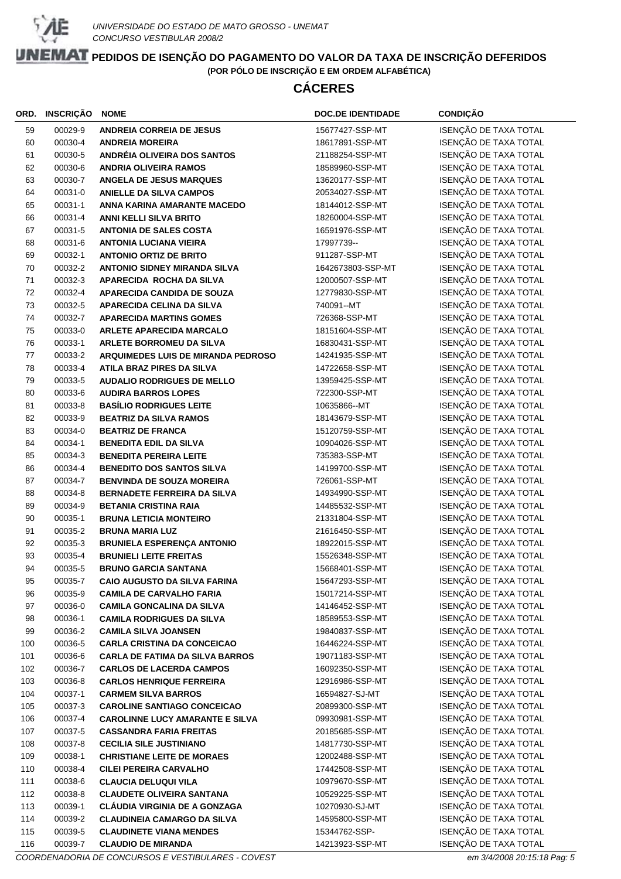

# **CÁCERES**

| ORD. | <b>INSCRIÇÃO</b> | <b>NOME</b>                            | <b>DOC.DE IDENTIDADE</b> | <b>CONDIÇÃO</b>                                |
|------|------------------|----------------------------------------|--------------------------|------------------------------------------------|
| 59   | 00029-9          | <b>ANDREIA CORREIA DE JESUS</b>        | 15677427-SSP-MT          | ISENÇÃO DE TAXA TOTAL                          |
| 60   | 00030-4          | <b>ANDREIA MOREIRA</b>                 | 18617891-SSP-MT          | ISENÇÃO DE TAXA TOTAL                          |
| 61   | 00030-5          | ANDRÉIA OLIVEIRA DOS SANTOS            | 21188254-SSP-MT          | ISENÇÃO DE TAXA TOTAL                          |
| 62   | 00030-6          | <b>ANDRIA OLIVEIRA RAMOS</b>           | 18589960-SSP-MT          | ISENÇÃO DE TAXA TOTAL                          |
| 63   | 00030-7          | <b>ANGELA DE JESUS MARQUES</b>         | 13620177-SSP-MT          | ISENÇÃO DE TAXA TOTAL                          |
| 64   | 00031-0          | <b>ANIELLE DA SILVA CAMPOS</b>         | 20534027-SSP-MT          | ISENÇÃO DE TAXA TOTAL                          |
| 65   | 00031-1          | ANNA KARINA AMARANTE MACEDO            | 18144012-SSP-MT          | ISENÇÃO DE TAXA TOTAL                          |
| 66   | 00031-4          | <b>ANNI KELLI SILVA BRITO</b>          | 18260004-SSP-MT          | ISENÇÃO DE TAXA TOTAL                          |
| 67   | 00031-5          | <b>ANTONIA DE SALES COSTA</b>          | 16591976-SSP-MT          | ISENÇÃO DE TAXA TOTAL                          |
| 68   | 00031-6          | <b>ANTONIA LUCIANA VIEIRA</b>          | 17997739--               | ISENÇÃO DE TAXA TOTAL                          |
| 69   | 00032-1          | <b>ANTONIO ORTIZ DE BRITO</b>          | 911287-SSP-MT            | ISENÇÃO DE TAXA TOTAL                          |
| 70   | 00032-2          | <b>ANTONIO SIDNEY MIRANDA SILVA</b>    | 1642673803-SSP-MT        | ISENÇÃO DE TAXA TOTAL                          |
| 71   | 00032-3          | APARECIDA ROCHA DA SILVA               | 12000507-SSP-MT          | ISENÇÃO DE TAXA TOTAL                          |
| 72   | 00032-4          | <b>APARECIDA CANDIDA DE SOUZA</b>      | 12779830-SSP-MT          | ISENÇÃO DE TAXA TOTAL                          |
| 73   | 00032-5          | <b>APARECIDA CELINA DA SILVA</b>       | 740091--MT               | ISENÇÃO DE TAXA TOTAL                          |
| 74   | 00032-7          | <b>APARECIDA MARTINS GOMES</b>         | 726368-SSP-MT            | ISENÇÃO DE TAXA TOTAL                          |
| 75   | 00033-0          | <b>ARLETE APARECIDA MARCALO</b>        | 18151604-SSP-MT          | ISENÇÃO DE TAXA TOTAL                          |
| 76   | 00033-1          | <b>ARLETE BORROMEU DA SILVA</b>        | 16830431-SSP-MT          | ISENÇÃO DE TAXA TOTAL                          |
| 77   | 00033-2          | ARQUIMEDES LUIS DE MIRANDA PEDROSO     | 14241935-SSP-MT          | ISENÇÃO DE TAXA TOTAL                          |
| 78   | 00033-4          | <b>ATILA BRAZ PIRES DA SILVA</b>       | 14722658-SSP-MT          | ISENÇÃO DE TAXA TOTAL                          |
| 79   | 00033-5          | <b>AUDALIO RODRIGUES DE MELLO</b>      | 13959425-SSP-MT          | ISENÇÃO DE TAXA TOTAL                          |
| 80   | 00033-6          | <b>AUDIRA BARROS LOPES</b>             | 722300-SSP-MT            | ISENÇÃO DE TAXA TOTAL                          |
| 81   | 00033-8          | <b>BASÍLIO RODRIGUES LEITE</b>         | 10635866--MT             | ISENÇÃO DE TAXA TOTAL                          |
| 82   | 00033-9          | <b>BEATRIZ DA SILVA RAMOS</b>          | 18143679-SSP-MT          | ISENÇÃO DE TAXA TOTAL                          |
| 83   | 00034-0          | <b>BEATRIZ DE FRANCA</b>               | 15120759-SSP-MT          | ISENÇÃO DE TAXA TOTAL                          |
| 84   | 00034-1          | <b>BENEDITA EDIL DA SILVA</b>          | 10904026-SSP-MT          | ISENÇÃO DE TAXA TOTAL                          |
| 85   | 00034-3          | <b>BENEDITA PEREIRA LEITE</b>          | 735383-SSP-MT            | ISENÇÃO DE TAXA TOTAL                          |
| 86   | 00034-4          | <b>BENEDITO DOS SANTOS SILVA</b>       | 14199700-SSP-MT          | ISENÇÃO DE TAXA TOTAL                          |
| 87   | 00034-7          | <b>BENVINDA DE SOUZA MOREIRA</b>       | 726061-SSP-MT            | ISENÇÃO DE TAXA TOTAL                          |
| 88   | 00034-8          | <b>BERNADETE FERREIRA DA SILVA</b>     | 14934990-SSP-MT          | ISENÇÃO DE TAXA TOTAL                          |
| 89   | 00034-9          | <b>BETANIA CRISTINA RAIA</b>           | 14485532-SSP-MT          | ISENÇÃO DE TAXA TOTAL                          |
| 90   | 00035-1          | <b>BRUNA LETICIA MONTEIRO</b>          | 21331804-SSP-MT          | ISENÇÃO DE TAXA TOTAL                          |
| 91   | 00035-2          | <b>BRUNA MARIA LUZ</b>                 | 21616450-SSP-MT          | ISENÇÃO DE TAXA TOTAL                          |
| 92   | 00035-3          | BRUNIELA ESPERENÇA ANTONIO             | 18922015-SSP-MT          | ISENÇÃO DE TAXA TOTAL                          |
| 93   | 00035-4          | <b>BRUNIELI LEITE FREITAS</b>          | 15526348-SSP-MT          | ISENÇÃO DE TAXA TOTAL                          |
| 94   | 00035-5          | <b>BRUNO GARCIA SANTANA</b>            | 15668401-SSP-MT          | ISENÇÃO DE TAXA TOTAL                          |
| 95   | 00035-7          | <b>CAIO AUGUSTO DA SILVA FARINA</b>    | 15647293-SSP-MT          | ISENÇÃO DE TAXA TOTAL                          |
| 96   | 00035-9          | <b>CAMILA DE CARVALHO FARIA</b>        | 15017214-SSP-MT          | ISENÇÃO DE TAXA TOTAL                          |
| 97   | 00036-0          | <b>CAMILA GONCALINA DA SILVA</b>       | 14146452-SSP-MT          | ISENÇÃO DE TAXA TOTAL                          |
| 98   | 00036-1          | <b>CAMILA RODRIGUES DA SILVA</b>       | 18589553-SSP-MT          | ISENÇÃO DE TAXA TOTAL                          |
| 99   | 00036-2          | <b>CAMILA SILVA JOANSEN</b>            | 19840837-SSP-MT          | ISENÇÃO DE TAXA TOTAL                          |
| 100  | 00036-5          | <b>CARLA CRISTINA DA CONCEICAO</b>     | 16446224-SSP-MT          | ISENÇÃO DE TAXA TOTAL                          |
| 101  | 00036-6          | <b>CARLA DE FATIMA DA SILVA BARROS</b> | 19071183-SSP-MT          | ISENÇÃO DE TAXA TOTAL                          |
| 102  | 00036-7          | <b>CARLOS DE LACERDA CAMPOS</b>        | 16092350-SSP-MT          | ISENÇÃO DE TAXA TOTAL                          |
| 103  | 00036-8          | <b>CARLOS HENRIQUE FERREIRA</b>        | 12916986-SSP-MT          | ISENÇÃO DE TAXA TOTAL                          |
| 104  | 00037-1          | <b>CARMEM SILVA BARROS</b>             | 16594827-SJ-MT           | ISENÇÃO DE TAXA TOTAL                          |
| 105  | 00037-3          | <b>CAROLINE SANTIAGO CONCEICAO</b>     | 20899300-SSP-MT          | ISENÇÃO DE TAXA TOTAL                          |
| 106  | 00037-4          | <b>CAROLINNE LUCY AMARANTE E SILVA</b> | 09930981-SSP-MT          | ISENÇÃO DE TAXA TOTAL                          |
| 107  | 00037-5          | <b>CASSANDRA FARIA FREITAS</b>         | 20185685-SSP-MT          | ISENÇÃO DE TAXA TOTAL                          |
| 108  | 00037-8          | <b>CECILIA SILE JUSTINIANO</b>         | 14817730-SSP-MT          | ISENÇÃO DE TAXA TOTAL<br>ISENÇÃO DE TAXA TOTAL |
| 109  | 00038-1          | <b>CHRISTIANE LEITE DE MORAES</b>      | 12002488-SSP-MT          | ISENÇÃO DE TAXA TOTAL                          |
| 110  | 00038-4          | <b>CILEI PEREIRA CARVALHO</b>          | 17442508-SSP-MT          |                                                |
| 111  | 00038-6          | <b>CLAUCIA DELUQUI VILA</b>            | 10979670-SSP-MT          | ISENÇÃO DE TAXA TOTAL<br>ISENÇÃO DE TAXA TOTAL |
| 112  | 00038-8          | <b>CLAUDETE OLIVEIRA SANTANA</b>       | 10529225-SSP-MT          | ISENÇÃO DE TAXA TOTAL                          |
| 113  | 00039-1          | <b>CLÁUDIA VIRGINIA DE A GONZAGA</b>   | 10270930-SJ-MT           | ISENÇÃO DE TAXA TOTAL                          |
| 114  | 00039-2          | <b>CLAUDINEIA CAMARGO DA SILVA</b>     | 14595800-SSP-MT          | ISENÇÃO DE TAXA TOTAL                          |
| 115  | 00039-5          | <b>CLAUDINETE VIANA MENDES</b>         | 15344762-SSP-            | ISENÇÃO DE TAXA TOTAL                          |
| 116  | 00039-7          | <b>CLAUDIO DE MIRANDA</b>              | 14213923-SSP-MT          |                                                |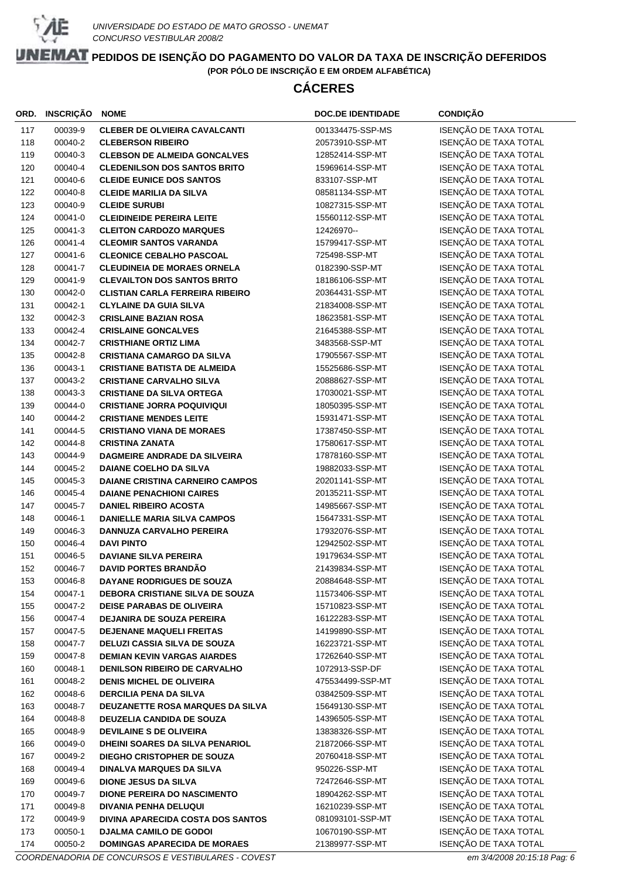

# **CÁCERES**

| ORD.       | <b>INSCRIÇÃO</b>   | <b>NOME</b>                                                          | <b>DOC.DE IDENTIDADE</b>            | <b>CONDIÇÃO</b>                                |
|------------|--------------------|----------------------------------------------------------------------|-------------------------------------|------------------------------------------------|
| 117        | 00039-9            | <b>CLEBER DE OLVIEIRA CAVALCANTI</b>                                 | 001334475-SSP-MS                    | ISENÇÃO DE TAXA TOTAL                          |
| 118        | 00040-2            | <b>CLEBERSON RIBEIRO</b>                                             | 20573910-SSP-MT                     | ISENÇÃO DE TAXA TOTAL                          |
| 119        | 00040-3            | <b>CLEBSON DE ALMEIDA GONCALVES</b>                                  | 12852414-SSP-MT                     | ISENÇÃO DE TAXA TOTAL                          |
| 120        | 00040-4            | <b>CLEDENILSON DOS SANTOS BRITO</b>                                  | 15969614-SSP-MT                     | ISENÇÃO DE TAXA TOTAL                          |
| 121        | 00040-6            | <b>CLEIDE EUNICE DOS SANTOS</b>                                      | 833107-SSP-MT                       | ISENÇÃO DE TAXA TOTAL                          |
| 122        | 00040-8            | <b>CLEIDE MARILIA DA SILVA</b>                                       | 08581134-SSP-MT                     | ISENÇÃO DE TAXA TOTAL                          |
| 123        | 00040-9            | <b>CLEIDE SURUBI</b>                                                 | 10827315-SSP-MT                     | ISENÇÃO DE TAXA TOTAL                          |
| 124        | 00041-0            | <b>CLEIDINEIDE PEREIRA LEITE</b>                                     | 15560112-SSP-MT                     | ISENÇÃO DE TAXA TOTAL                          |
| 125        | 00041-3            | <b>CLEITON CARDOZO MARQUES</b>                                       | 12426970--                          | ISENÇÃO DE TAXA TOTAL                          |
| 126        | 00041-4            | <b>CLEOMIR SANTOS VARANDA</b>                                        | 15799417-SSP-MT                     | ISENÇÃO DE TAXA TOTAL                          |
| 127        | 00041-6            | <b>CLEONICE CEBALHO PASCOAL</b>                                      | 725498-SSP-MT                       | ISENÇÃO DE TAXA TOTAL                          |
| 128        | 00041-7            | <b>CLEUDINEIA DE MORAES ORNELA</b>                                   | 0182390-SSP-MT                      | ISENÇÃO DE TAXA TOTAL                          |
| 129        | 00041-9            | <b>CLEVAILTON DOS SANTOS BRITO</b>                                   | 18186106-SSP-MT                     | ISENÇÃO DE TAXA TOTAL                          |
| 130        | 00042-0            | <b>CLISTIAN CARLA FERREIRA RIBEIRO</b>                               | 20364431-SSP-MT                     | ISENÇÃO DE TAXA TOTAL                          |
| 131        | 00042-1            | <b>CLYLAINE DA GUIA SILVA</b>                                        | 21834008-SSP-MT                     | ISENÇÃO DE TAXA TOTAL                          |
| 132        | 00042-3            | <b>CRISLAINE BAZIAN ROSA</b>                                         | 18623581-SSP-MT                     | ISENÇÃO DE TAXA TOTAL                          |
| 133        | 00042-4            | <b>CRISLAINE GONCALVES</b>                                           | 21645388-SSP-MT                     | ISENÇÃO DE TAXA TOTAL                          |
| 134        | 00042-7            | <b>CRISTHIANE ORTIZ LIMA</b>                                         | 3483568-SSP-MT                      | ISENÇÃO DE TAXA TOTAL                          |
| 135        | 00042-8            | <b>CRISTIANA CAMARGO DA SILVA</b>                                    | 17905567-SSP-MT                     | ISENÇÃO DE TAXA TOTAL                          |
| 136        | 00043-1            | <b>CRISTIANE BATISTA DE ALMEIDA</b>                                  | 15525686-SSP-MT                     | ISENÇÃO DE TAXA TOTAL                          |
| 137        | 00043-2            | <b>CRISTIANE CARVALHO SILVA</b>                                      | 20888627-SSP-MT                     | ISENÇÃO DE TAXA TOTAL                          |
| 138        | 00043-3            | <b>CRISTIANE DA SILVA ORTEGA</b>                                     | 17030021-SSP-MT                     | ISENÇÃO DE TAXA TOTAL                          |
| 139        | 00044-0            | <b>CRISTIANE JORRA POQUIVIQUI</b>                                    | 18050395-SSP-MT                     | ISENÇÃO DE TAXA TOTAL                          |
| 140        | 00044-2            | <b>CRISTIANE MENDES LEITE</b>                                        | 15931471-SSP-MT                     | ISENÇÃO DE TAXA TOTAL                          |
| 141        | 00044-5            | <b>CRISTIANO VIANA DE MORAES</b>                                     | 17387450-SSP-MT                     | ISENÇÃO DE TAXA TOTAL                          |
| 142        | 00044-8            | <b>CRISTINA ZANATA</b>                                               | 17580617-SSP-MT                     | ISENÇÃO DE TAXA TOTAL                          |
| 143        | 00044-9            | <b>DAGMEIRE ANDRADE DA SILVEIRA</b>                                  | 17878160-SSP-MT                     | ISENÇÃO DE TAXA TOTAL                          |
| 144        | 00045-2            | <b>DAIANE COELHO DA SILVA</b>                                        | 19882033-SSP-MT                     | ISENÇÃO DE TAXA TOTAL                          |
| 145        | 00045-3            | <b>DAIANE CRISTINA CARNEIRO CAMPOS</b>                               | 20201141-SSP-MT                     | ISENÇÃO DE TAXA TOTAL                          |
| 146        | 00045-4            | <b>DAIANE PENACHIONI CAIRES</b>                                      | 20135211-SSP-MT                     | ISENÇÃO DE TAXA TOTAL                          |
| 147        | 00045-7            | <b>DANIEL RIBEIRO ACOSTA</b>                                         | 14985667-SSP-MT                     | ISENÇÃO DE TAXA TOTAL                          |
| 148        | 00046-1            | <b>DANIELLE MARIA SILVA CAMPOS</b>                                   | 15647331-SSP-MT                     | ISENÇÃO DE TAXA TOTAL                          |
| 149        | 00046-3            | DANNUZA CARVALHO PEREIRA                                             | 17932076-SSP-MT                     | ISENÇÃO DE TAXA TOTAL                          |
| 150        | 00046-4            | <b>DAVI PINTO</b>                                                    | 12942502-SSP-MT                     | ISENÇÃO DE TAXA TOTAL                          |
| 151        | 00046-5            | <b>DAVIANE SILVA PEREIRA</b>                                         | 19179634-SSP-MT                     | ISENÇÃO DE TAXA TOTAL                          |
| 152        | 00046-7            | <b>DAVID PORTES BRANDÃO</b>                                          | 21439834-SSP-MT                     | ISENÇÃO DE TAXA TOTAL                          |
| 153        | 00046-8            | DAYANE RODRIGUES DE SOUZA                                            | 20884648-SSP-MT                     | ISENÇÃO DE TAXA TOTAL                          |
| 154        | 00047-1            | <b>DEBORA CRISTIANE SILVA DE SOUZA</b>                               | 11573406-SSP-MT                     | ISENÇÃO DE TAXA TOTAL                          |
| 155        | 00047-2            | <b>DEISE PARABAS DE OLIVEIRA</b>                                     | 15710823-SSP-MT                     | ISENÇÃO DE TAXA TOTAL                          |
| 156        | 00047-4            | <b>DEJANIRA DE SOUZA PEREIRA</b>                                     | 16122283-SSP-MT                     | ISENÇÃO DE TAXA TOTAL                          |
| 157        | 00047-5            | <b>DEJENANE MAQUELI FREITAS</b>                                      | 14199890-SSP-MT                     | ISENÇÃO DE TAXA TOTAL                          |
| 158        | 00047-7            | <b>DELUZI CASSIA SILVA DE SOUZA</b>                                  | 16223721-SSP-MT                     | ISENÇÃO DE TAXA TOTAL                          |
| 159        | 00047-8            | <b>DEMIAN KEVIN VARGAS AIARDES</b>                                   | 17262640-SSP-MT<br>1072913-SSP-DF   | ISENÇÃO DE TAXA TOTAL                          |
| 160        | 00048-1            | <b>DENILSON RIBEIRO DE CARVALHO</b>                                  |                                     | ISENÇÃO DE TAXA TOTAL                          |
| 161        | 00048-2            | <b>DENIS MICHEL DE OLIVEIRA</b><br><b>DERCILIA PENA DA SILVA</b>     | 475534499-SSP-MT<br>03842509-SSP-MT | ISENÇÃO DE TAXA TOTAL<br>ISENÇÃO DE TAXA TOTAL |
| 162        | 00048-6            |                                                                      |                                     | ISENÇÃO DE TAXA TOTAL                          |
| 163<br>164 | 00048-7<br>00048-8 | DEUZANETTE ROSA MARQUES DA SILVA<br><b>DEUZELIA CANDIDA DE SOUZA</b> | 15649130-SSP-MT<br>14396505-SSP-MT  | ISENÇÃO DE TAXA TOTAL                          |
|            | 00048-9            | <b>DEVILAINE S DE OLIVEIRA</b>                                       | 13838326-SSP-MT                     | ISENÇÃO DE TAXA TOTAL                          |
| 165<br>166 | 00049-0            | DHEINI SOARES DA SILVA PENARIOL                                      | 21872066-SSP-MT                     | ISENÇÃO DE TAXA TOTAL                          |
| 167        | 00049-2            | DIEGHO CRISTOPHER DE SOUZA                                           | 20760418-SSP-MT                     | ISENÇÃO DE TAXA TOTAL                          |
| 168        | 00049-4            | <b>DINALVA MARQUES DA SILVA</b>                                      | 950226-SSP-MT                       | ISENÇÃO DE TAXA TOTAL                          |
| 169        | 00049-6            | <b>DIONE JESUS DA SILVA</b>                                          | 72472646-SSP-MT                     | ISENÇÃO DE TAXA TOTAL                          |
| 170        | 00049-7            | <b>DIONE PEREIRA DO NASCIMENTO</b>                                   | 18904262-SSP-MT                     | ISENÇÃO DE TAXA TOTAL                          |
| 171        | 00049-8            | <b>DIVANIA PENHA DELUQUI</b>                                         | 16210239-SSP-MT                     | ISENÇÃO DE TAXA TOTAL                          |
| 172        | 00049-9            | DIVINA APARECIDA COSTA DOS SANTOS                                    | 081093101-SSP-MT                    | ISENÇÃO DE TAXA TOTAL                          |
| 173        | 00050-1            | <b>DJALMA CAMILO DE GODOI</b>                                        | 10670190-SSP-MT                     | ISENÇÃO DE TAXA TOTAL                          |
| 174        | 00050-2            |                                                                      | 21389977-SSP-MT                     | ISENÇÃO DE TAXA TOTAL                          |
|            |                    | <b>DOMINGAS APARECIDA DE MORAES</b>                                  |                                     |                                                |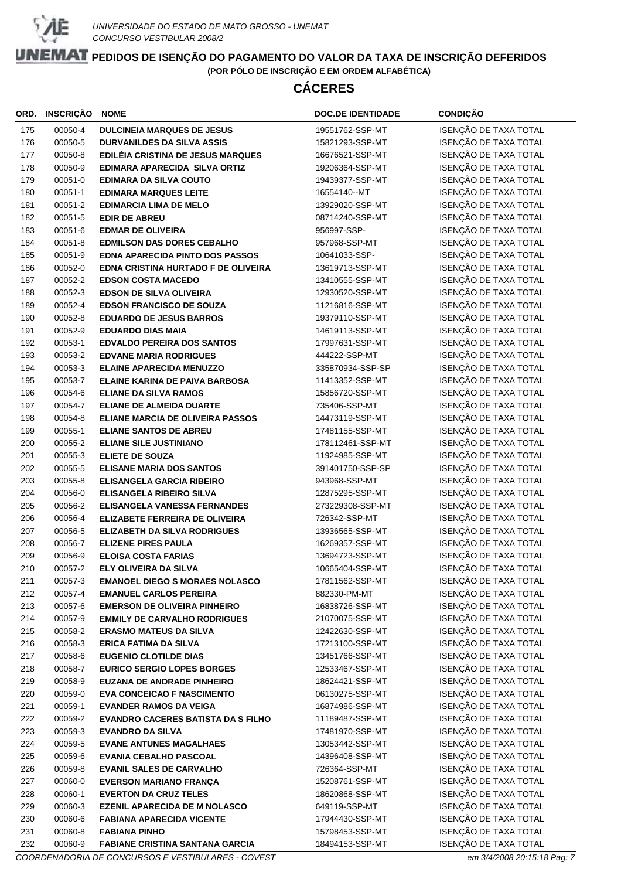

# **CÁCERES**

| ORD.       | <b>INSCRIÇÃO</b>   | <b>NOME</b>                                                    | <b>DOC.DE IDENTIDADE</b>          | <b>CONDIÇÃO</b>                                |
|------------|--------------------|----------------------------------------------------------------|-----------------------------------|------------------------------------------------|
| 175        | 00050-4            | <b>DULCINEIA MARQUES DE JESUS</b>                              | 19551762-SSP-MT                   | ISENÇÃO DE TAXA TOTAL                          |
| 176        | 00050-5            | <b>DURVANILDES DA SILVA ASSIS</b>                              | 15821293-SSP-MT                   | ISENÇÃO DE TAXA TOTAL                          |
| 177        | 00050-8            | EDILÉIA CRISTINA DE JESUS MARQUES                              | 16676521-SSP-MT                   | ISENÇÃO DE TAXA TOTAL                          |
| 178        | 00050-9            | EDIMARA APARECIDA SILVA ORTIZ                                  | 19206364-SSP-MT                   | ISENÇÃO DE TAXA TOTAL                          |
| 179        | 00051-0            | <b>EDIMARA DA SILVA COUTO</b>                                  | 19439377-SSP-MT                   | ISENÇÃO DE TAXA TOTAL                          |
| 180        | 00051-1            | <b>EDIMARA MARQUES LEITE</b>                                   | 16554140--MT                      | ISENÇÃO DE TAXA TOTAL                          |
| 181        | 00051-2            | <b>EDIMARCIA LIMA DE MELO</b>                                  | 13929020-SSP-MT                   | ISENÇÃO DE TAXA TOTAL                          |
| 182        | 00051-5            | <b>EDIR DE ABREU</b>                                           | 08714240-SSP-MT                   | ISENÇÃO DE TAXA TOTAL                          |
| 183        | 00051-6            | <b>EDMAR DE OLIVEIRA</b>                                       | 956997-SSP-                       | ISENÇÃO DE TAXA TOTAL                          |
| 184        | 00051-8            | <b>EDMILSON DAS DORES CEBALHO</b>                              | 957968-SSP-MT                     | ISENÇÃO DE TAXA TOTAL                          |
| 185        | 00051-9            | <b>EDNA APARECIDA PINTO DOS PASSOS</b>                         | 10641033-SSP-                     | ISENÇÃO DE TAXA TOTAL                          |
| 186        | 00052-0            | EDNA CRISTINA HURTADO F DE OLIVEIRA                            | 13619713-SSP-MT                   | ISENÇÃO DE TAXA TOTAL                          |
| 187        | 00052-2            | <b>EDSON COSTA MACEDO</b>                                      | 13410555-SSP-MT                   | ISENÇÃO DE TAXA TOTAL                          |
| 188        | 00052-3            | <b>EDSON DE SILVA OLIVEIRA</b>                                 | 12930520-SSP-MT                   | ISENÇÃO DE TAXA TOTAL                          |
| 189        | 00052-4            | <b>EDSON FRANCISCO DE SOUZA</b>                                | 11216816-SSP-MT                   | ISENÇÃO DE TAXA TOTAL                          |
| 190        | 00052-8            | <b>EDUARDO DE JESUS BARROS</b>                                 | 19379110-SSP-MT                   | ISENÇÃO DE TAXA TOTAL                          |
| 191        | 00052-9            | <b>EDUARDO DIAS MAIA</b>                                       | 14619113-SSP-MT                   | ISENÇÃO DE TAXA TOTAL                          |
| 192        | 00053-1            | <b>EDVALDO PEREIRA DOS SANTOS</b>                              | 17997631-SSP-MT                   | ISENÇÃO DE TAXA TOTAL                          |
| 193        | 00053-2            | <b>EDVANE MARIA RODRIGUES</b>                                  | 444222-SSP-MT                     | ISENÇÃO DE TAXA TOTAL                          |
| 194        | 00053-3            | <b>ELAINE APARECIDA MENUZZO</b>                                | 335870934-SSP-SP                  | ISENÇÃO DE TAXA TOTAL                          |
| 195        | 00053-7            | <b>ELAINE KARINA DE PAIVA BARBOSA</b>                          | 11413352-SSP-MT                   | ISENÇÃO DE TAXA TOTAL                          |
| 196        | 00054-6            | <b>ELIANE DA SILVA RAMOS</b>                                   | 15856720-SSP-MT                   | ISENÇÃO DE TAXA TOTAL                          |
| 197        | 00054-7            | <b>ELIANE DE ALMEIDA DUARTE</b>                                | 735406-SSP-MT                     | ISENÇÃO DE TAXA TOTAL                          |
| 198        | 00054-8            | ELIANE MARCIA DE OLIVEIRA PASSOS                               | 14473119-SSP-MT                   | ISENÇÃO DE TAXA TOTAL                          |
| 199        | 00055-1            | <b>ELIANE SANTOS DE ABREU</b>                                  | 17481155-SSP-MT                   | ISENÇÃO DE TAXA TOTAL                          |
| 200        | 00055-2            | <b>ELIANE SILE JUSTINIANO</b>                                  | 178112461-SSP-MT                  | ISENÇÃO DE TAXA TOTAL                          |
| 201        | 00055-3            | <b>ELIETE DE SOUZA</b>                                         | 11924985-SSP-MT                   | ISENÇÃO DE TAXA TOTAL                          |
| 202        | 00055-5            | <b>ELISANE MARIA DOS SANTOS</b>                                | 391401750-SSP-SP                  | ISENÇÃO DE TAXA TOTAL                          |
| 203        | 00055-8            | <b>ELISANGELA GARCIA RIBEIRO</b>                               | 943968-SSP-MT                     | ISENÇÃO DE TAXA TOTAL                          |
| 204        | 00056-0            | <b>ELISANGELA RIBEIRO SILVA</b>                                | 12875295-SSP-MT                   | ISENÇÃO DE TAXA TOTAL                          |
| 205<br>206 | 00056-2<br>00056-4 | ELISANGELA VANESSA FERNANDES<br>ELIZABETE FERREIRA DE OLIVEIRA | 273229308-SSP-MT<br>726342-SSP-MT | ISENÇÃO DE TAXA TOTAL<br>ISENÇÃO DE TAXA TOTAL |
| 207        | 00056-5            | <b>ELIZABETH DA SILVA RODRIGUES</b>                            | 13936565-SSP-MT                   | ISENÇÃO DE TAXA TOTAL                          |
| 208        | 00056-7            | <b>ELIZENE PIRES PAULA</b>                                     | 16269357-SSP-MT                   | ISENÇÃO DE TAXA TOTAL                          |
| 209        | 00056-9            | <b>ELOISA COSTA FARIAS</b>                                     | 13694723-SSP-MT                   | ISENÇÃO DE TAXA TOTAL                          |
| 210        | 00057-2            | ELY OLIVEIRA DA SILVA                                          | 10665404-SSP-MT                   | ISENÇÃO DE TAXA TOTAL                          |
| 211        | 00057-3            | <b>EMANOEL DIEGO S MORAES NOLASCO</b>                          | 17811562-SSP-MT                   | ISENÇÃO DE TAXA TOTAL                          |
| 212        | 00057-4            | <b>EMANUEL CARLOS PEREIRA</b>                                  | 882330-PM-MT                      | ISENÇÃO DE TAXA TOTAL                          |
| 213        | 00057-6            | <b>EMERSON DE OLIVEIRA PINHEIRO</b>                            | 16838726-SSP-MT                   | ISENÇÃO DE TAXA TOTAL                          |
| 214        | 00057-9            | <b>EMMILY DE CARVALHO RODRIGUES</b>                            | 21070075-SSP-MT                   | ISENÇÃO DE TAXA TOTAL                          |
| 215        | 00058-2            | <b>ERASMO MATEUS DA SILVA</b>                                  | 12422630-SSP-MT                   | ISENÇÃO DE TAXA TOTAL                          |
| 216        | 00058-3            | <b>ERICA FATIMA DA SILVA</b>                                   | 17213100-SSP-MT                   | ISENÇÃO DE TAXA TOTAL                          |
| 217        | 00058-6            | <b>EUGENIO CLOTILDE DIAS</b>                                   | 13451766-SSP-MT                   | ISENÇÃO DE TAXA TOTAL                          |
| 218        | 00058-7            | <b>EURICO SERGIO LOPES BORGES</b>                              | 12533467-SSP-MT                   | ISENÇÃO DE TAXA TOTAL                          |
| 219        | 00058-9            | <b>EUZANA DE ANDRADE PINHEIRO</b>                              | 18624421-SSP-MT                   | ISENÇÃO DE TAXA TOTAL                          |
| 220        | 00059-0            | <b>EVA CONCEICAO F NASCIMENTO</b>                              | 06130275-SSP-MT                   | ISENÇÃO DE TAXA TOTAL                          |
| 221        | 00059-1            | <b>EVANDER RAMOS DA VEIGA</b>                                  | 16874986-SSP-MT                   | ISENÇÃO DE TAXA TOTAL                          |
| 222        | 00059-2            | <b>EVANDRO CACERES BATISTA DA S FILHO</b>                      | 11189487-SSP-MT                   | ISENÇÃO DE TAXA TOTAL                          |
| 223        | 00059-3            | <b>EVANDRO DA SILVA</b>                                        | 17481970-SSP-MT                   | ISENÇÃO DE TAXA TOTAL                          |
| 224        | 00059-5            | <b>EVANE ANTUNES MAGALHAES</b>                                 | 13053442-SSP-MT                   | ISENÇÃO DE TAXA TOTAL                          |
| 225        | 00059-6            | <b>EVANIA CEBALHO PASCOAL</b>                                  | 14396408-SSP-MT                   | ISENÇÃO DE TAXA TOTAL                          |
| 226        | 00059-8            | <b>EVANIL SALES DE CARVALHO</b>                                | 726364-SSP-MT                     | ISENÇÃO DE TAXA TOTAL                          |
| 227        | 00060-0            | <b>EVERSON MARIANO FRANÇA</b>                                  | 15208761-SSP-MT                   | ISENÇÃO DE TAXA TOTAL                          |
| 228        | 00060-1            | <b>EVERTON DA CRUZ TELES</b>                                   | 18620868-SSP-MT                   | ISENÇÃO DE TAXA TOTAL                          |
| 229        | 00060-3            | <b>EZENIL APARECIDA DE M NOLASCO</b>                           | 649119-SSP-MT                     | ISENÇÃO DE TAXA TOTAL                          |
| 230        | 00060-6            | <b>FABIANA APARECIDA VICENTE</b>                               | 17944430-SSP-MT                   | ISENÇÃO DE TAXA TOTAL                          |
| 231        | 00060-8            | <b>FABIANA PINHO</b>                                           | 15798453-SSP-MT                   | ISENÇÃO DE TAXA TOTAL                          |
| 232        | 00060-9            | <b>FABIANE CRISTINA SANTANA GARCIA</b>                         | 18494153-SSP-MT                   | ISENÇÃO DE TAXA TOTAL                          |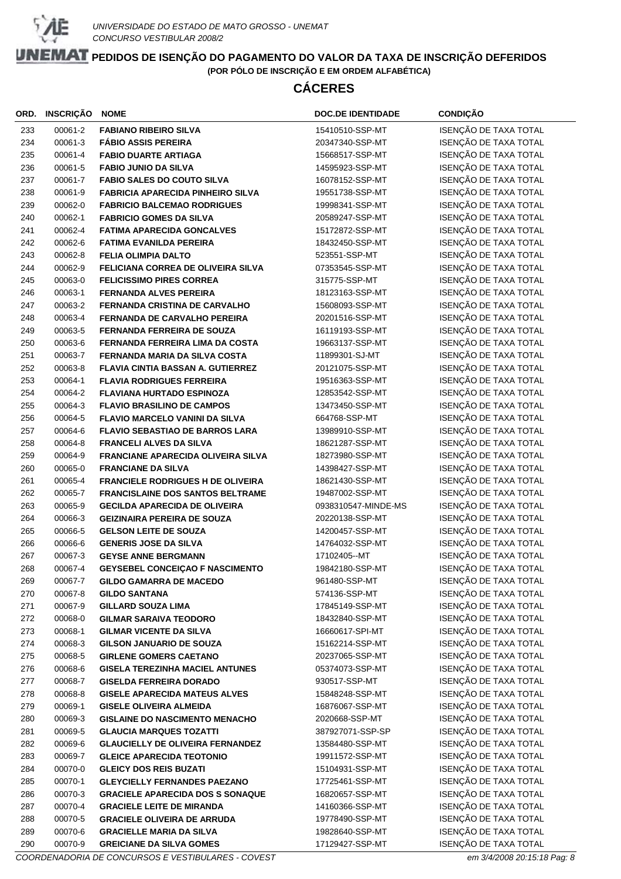

# **CÁCERES**

| ORD. | <b>INSCRIÇÃO</b> | <b>NOME</b>                               | <b>DOC.DE IDENTIDADE</b> | <b>CONDIÇÃO</b>       |
|------|------------------|-------------------------------------------|--------------------------|-----------------------|
| 233  | 00061-2          | <b>FABIANO RIBEIRO SILVA</b>              | 15410510-SSP-MT          | ISENÇÃO DE TAXA TOTAL |
| 234  | 00061-3          | <b>FÁBIO ASSIS PEREIRA</b>                | 20347340-SSP-MT          | ISENÇÃO DE TAXA TOTAL |
| 235  | 00061-4          | <b>FABIO DUARTE ARTIAGA</b>               | 15668517-SSP-MT          | ISENÇÃO DE TAXA TOTAL |
| 236  | 00061-5          | <b>FABIO JUNIO DA SILVA</b>               | 14595923-SSP-MT          | ISENÇÃO DE TAXA TOTAL |
| 237  | 00061-7          | <b>FABIO SALES DO COUTO SILVA</b>         | 16078152-SSP-MT          | ISENÇÃO DE TAXA TOTAL |
| 238  | 00061-9          | <b>FABRICIA APARECIDA PINHEIRO SILVA</b>  | 19551738-SSP-MT          | ISENÇÃO DE TAXA TOTAL |
| 239  | 00062-0          | <b>FABRICIO BALCEMAO RODRIGUES</b>        | 19998341-SSP-MT          | ISENÇÃO DE TAXA TOTAL |
| 240  | 00062-1          | <b>FABRICIO GOMES DA SILVA</b>            | 20589247-SSP-MT          | ISENÇÃO DE TAXA TOTAL |
| 241  | 00062-4          | <b>FATIMA APARECIDA GONCALVES</b>         | 15172872-SSP-MT          | ISENÇÃO DE TAXA TOTAL |
| 242  | 00062-6          | <b>FATIMA EVANILDA PEREIRA</b>            | 18432450-SSP-MT          | ISENÇÃO DE TAXA TOTAL |
| 243  | 00062-8          | <b>FELIA OLIMPIA DALTO</b>                | 523551-SSP-MT            | ISENÇÃO DE TAXA TOTAL |
| 244  | 00062-9          | FELICIANA CORREA DE OLIVEIRA SILVA        | 07353545-SSP-MT          | ISENÇÃO DE TAXA TOTAL |
| 245  | 00063-0          | <b>FELICISSIMO PIRES CORREA</b>           | 315775-SSP-MT            | ISENÇÃO DE TAXA TOTAL |
| 246  | 00063-1          | <b>FERNANDA ALVES PEREIRA</b>             | 18123163-SSP-MT          | ISENÇÃO DE TAXA TOTAL |
| 247  | 00063-2          | <b>FERNANDA CRISTINA DE CARVALHO</b>      | 15608093-SSP-MT          | ISENÇÃO DE TAXA TOTAL |
| 248  | 00063-4          | FERNANDA DE CARVALHO PEREIRA              | 20201516-SSP-MT          | ISENÇÃO DE TAXA TOTAL |
| 249  | 00063-5          | <b>FERNANDA FERREIRA DE SOUZA</b>         | 16119193-SSP-MT          | ISENÇÃO DE TAXA TOTAL |
| 250  | 00063-6          | FERNANDA FERREIRA LIMA DA COSTA           | 19663137-SSP-MT          | ISENÇÃO DE TAXA TOTAL |
| 251  | 00063-7          | FERNANDA MARIA DA SILVA COSTA             | 11899301-SJ-MT           | ISENÇÃO DE TAXA TOTAL |
| 252  | 00063-8          | <b>FLAVIA CINTIA BASSAN A. GUTIERREZ</b>  | 20121075-SSP-MT          | ISENÇÃO DE TAXA TOTAL |
| 253  | 00064-1          | <b>FLAVIA RODRIGUES FERREIRA</b>          | 19516363-SSP-MT          | ISENÇÃO DE TAXA TOTAL |
| 254  | 00064-2          | <b>FLAVIANA HURTADO ESPINOZA</b>          | 12853542-SSP-MT          | ISENÇÃO DE TAXA TOTAL |
| 255  | 00064-3          | <b>FLAVIO BRASILINO DE CAMPOS</b>         | 13473450-SSP-MT          | ISENÇÃO DE TAXA TOTAL |
| 256  | 00064-5          | FLAVIO MARCELO VANINI DA SILVA            | 664768-SSP-MT            | ISENÇÃO DE TAXA TOTAL |
| 257  | 00064-6          | <b>FLAVIO SEBASTIAO DE BARROS LARA</b>    | 13989910-SSP-MT          | ISENÇÃO DE TAXA TOTAL |
| 258  | 00064-8          | <b>FRANCELI ALVES DA SILVA</b>            | 18621287-SSP-MT          | ISENÇÃO DE TAXA TOTAL |
| 259  | 00064-9          | <b>FRANCIANE APARECIDA OLIVEIRA SILVA</b> | 18273980-SSP-MT          | ISENÇÃO DE TAXA TOTAL |
| 260  | 00065-0          | <b>FRANCIANE DA SILVA</b>                 | 14398427-SSP-MT          | ISENÇÃO DE TAXA TOTAL |
| 261  | 00065-4          | <b>FRANCIELE RODRIGUES H DE OLIVEIRA</b>  | 18621430-SSP-MT          | ISENÇÃO DE TAXA TOTAL |
| 262  | 00065-7          | <b>FRANCISLAINE DOS SANTOS BELTRAME</b>   | 19487002-SSP-MT          | ISENÇÃO DE TAXA TOTAL |
| 263  | 00065-9          | <b>GECILDA APARECIDA DE OLIVEIRA</b>      | 0938310547-MINDE-MS      | ISENÇÃO DE TAXA TOTAL |
| 264  | 00066-3          | <b>GEIZINAIRA PEREIRA DE SOUZA</b>        | 20220138-SSP-MT          | ISENÇÃO DE TAXA TOTAL |
| 265  | 00066-5          | <b>GELSON LEITE DE SOUZA</b>              | 14200457-SSP-MT          | ISENÇÃO DE TAXA TOTAL |
| 266  | 00066-6          | <b>GENERIS JOSE DA SILVA</b>              | 14764032-SSP-MT          | ISENÇÃO DE TAXA TOTAL |
| 267  | 00067-3          | <b>GEYSE ANNE BERGMANN</b>                | 17102405--MT             | ISENÇÃO DE TAXA TOTAL |
| 268  | 00067-4          | GEYSEBEL CONCEIÇAO F NASCIMENTO           | 19842180-SSP-MT          | ISENÇÃO DE TAXA TOTAL |
| 269  | 00067-7          | <b>GILDO GAMARRA DE MACEDO</b>            | 961480-SSP-MT            | ISENÇÃO DE TAXA TOTAL |
| 270  | 00067-8          | <b>GILDO SANTANA</b>                      | 574136-SSP-MT            | ISENÇÃO DE TAXA TOTAL |
| 271  | 00067-9          | <b>GILLARD SOUZA LIMA</b>                 | 17845149-SSP-MT          | ISENÇÃO DE TAXA TOTAL |
| 272  | 00068-0          | <b>GILMAR SARAIVA TEODORO</b>             | 18432840-SSP-MT          | ISENÇÃO DE TAXA TOTAL |
| 273  | 00068-1          | <b>GILMAR VICENTE DA SILVA</b>            | 16660617-SPI-MT          | ISENÇÃO DE TAXA TOTAL |
| 274  | 00068-3          | <b>GILSON JANUARIO DE SOUZA</b>           | 15162214-SSP-MT          | ISENÇÃO DE TAXA TOTAL |
| 275  | 00068-5          | <b>GIRLENE GOMERS CAETANO</b>             | 20237065-SSP-MT          | ISENÇÃO DE TAXA TOTAL |
| 276  | 00068-6          | <b>GISELA TEREZINHA MACIEL ANTUNES</b>    | 05374073-SSP-MT          | ISENÇÃO DE TAXA TOTAL |
| 277  | 00068-7          | <b>GISELDA FERREIRA DORADO</b>            | 930517-SSP-MT            | ISENÇÃO DE TAXA TOTAL |
| 278  | 00068-8          | <b>GISELE APARECIDA MATEUS ALVES</b>      | 15848248-SSP-MT          | ISENÇÃO DE TAXA TOTAL |
| 279  | 00069-1          | <b>GISELE OLIVEIRA ALMEIDA</b>            | 16876067-SSP-MT          | ISENÇÃO DE TAXA TOTAL |
| 280  | 00069-3          | <b>GISLAINE DO NASCIMENTO MENACHO</b>     | 2020668-SSP-MT           | ISENÇÃO DE TAXA TOTAL |
| 281  | 00069-5          | <b>GLAUCIA MARQUES TOZATTI</b>            | 387927071-SSP-SP         | ISENÇÃO DE TAXA TOTAL |
| 282  | 00069-6          | <b>GLAUCIELLY DE OLIVEIRA FERNANDEZ</b>   | 13584480-SSP-MT          | ISENÇÃO DE TAXA TOTAL |
| 283  | 00069-7          | <b>GLEICE APARECIDA TEOTONIO</b>          | 19911572-SSP-MT          | ISENÇÃO DE TAXA TOTAL |
| 284  | 00070-0          | <b>GLEICY DOS REIS BUZATI</b>             | 15104931-SSP-MT          | ISENÇÃO DE TAXA TOTAL |
| 285  | 00070-1          | <b>GLEYCIELLY FERNANDES PAEZANO</b>       | 17725461-SSP-MT          | ISENÇÃO DE TAXA TOTAL |
| 286  | 00070-3          | <b>GRACIELE APARECIDA DOS S SONAQUE</b>   | 16820657-SSP-MT          | ISENÇÃO DE TAXA TOTAL |
| 287  | 00070-4          | <b>GRACIELE LEITE DE MIRANDA</b>          | 14160366-SSP-MT          | ISENÇÃO DE TAXA TOTAL |
| 288  | 00070-5          | <b>GRACIELE OLIVEIRA DE ARRUDA</b>        | 19778490-SSP-MT          | ISENÇÃO DE TAXA TOTAL |
| 289  | 00070-6          | <b>GRACIELLE MARIA DA SILVA</b>           | 19828640-SSP-MT          | ISENÇÃO DE TAXA TOTAL |
| 290  | 00070-9          | <b>GREICIANE DA SILVA GOMES</b>           | 17129427-SSP-MT          | ISENÇÃO DE TAXA TOTAL |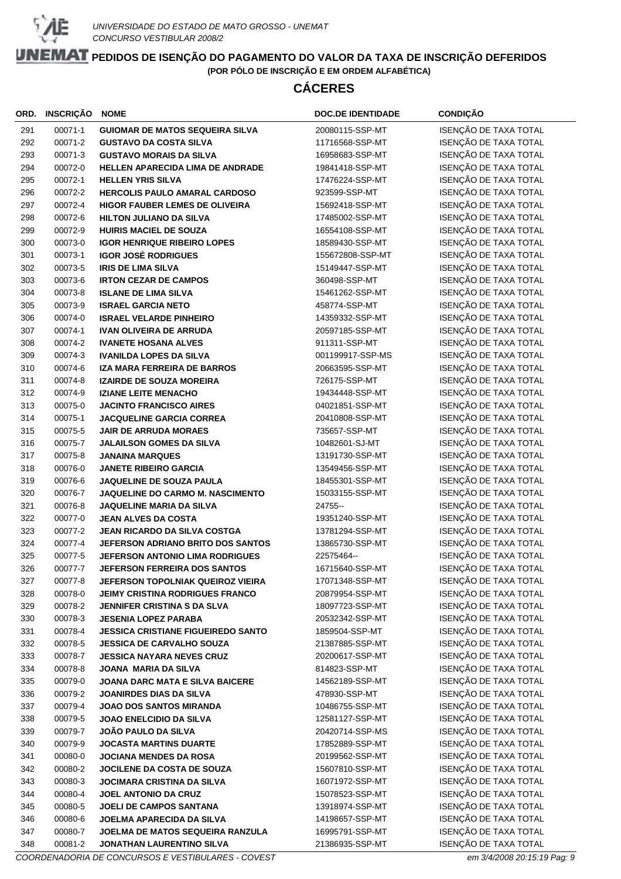

# **CÁCERES**

| ORD. | INSCRIÇÃO | <b>NOME</b>                               | <b>DOC.DE IDENTIDADE</b> | <b>CONDIÇÃO</b>       |
|------|-----------|-------------------------------------------|--------------------------|-----------------------|
| 291  | 00071-1   | <b>GUIOMAR DE MATOS SEQUEIRA SILVA</b>    | 20080115-SSP-MT          | ISENÇÃO DE TAXA TOTAL |
| 292  | 00071-2   | <b>GUSTAVO DA COSTA SILVA</b>             | 11716568-SSP-MT          | ISENÇÃO DE TAXA TOTAL |
| 293  | 00071-3   | <b>GUSTAVO MORAIS DA SILVA</b>            | 16958683-SSP-MT          | ISENÇÃO DE TAXA TOTAL |
| 294  | 00072-0   | <b>HELLEN APARECIDA LIMA DE ANDRADE</b>   | 19841418-SSP-MT          | ISENÇÃO DE TAXA TOTAL |
| 295  | 00072-1   | <b>HELLEN YRIS SILVA</b>                  | 17476224-SSP-MT          | ISENÇÃO DE TAXA TOTAL |
| 296  | 00072-2   | HERCOLIS PAULO AMARAL CARDOSO             | 923599-SSP-MT            | ISENÇÃO DE TAXA TOTAL |
| 297  | 00072-4   | <b>HIGOR FAUBER LEMES DE OLIVEIRA</b>     | 15692418-SSP-MT          | ISENÇÃO DE TAXA TOTAL |
| 298  | 00072-6   | <b>HILTON JULIANO DA SILVA</b>            | 17485002-SSP-MT          | ISENÇÃO DE TAXA TOTAL |
| 299  | 00072-9   | <b>HUIRIS MACIEL DE SOUZA</b>             | 16554108-SSP-MT          | ISENÇÃO DE TAXA TOTAL |
| 300  | 00073-0   | <b>IGOR HENRIQUE RIBEIRO LOPES</b>        | 18589430-SSP-MT          | ISENÇÃO DE TAXA TOTAL |
| 301  | 00073-1   | <b>IGOR JOSÉ RODRIGUES</b>                | 155672808-SSP-MT         | ISENÇÃO DE TAXA TOTAL |
| 302  | 00073-5   | <b>IRIS DE LIMA SILVA</b>                 | 15149447-SSP-MT          | ISENÇÃO DE TAXA TOTAL |
| 303  | 00073-6   | <b>IRTON CEZAR DE CAMPOS</b>              | 360498-SSP-MT            | ISENÇÃO DE TAXA TOTAL |
| 304  | 00073-8   | <b>ISLANE DE LIMA SILVA</b>               | 15461262-SSP-MT          | ISENÇÃO DE TAXA TOTAL |
| 305  | 00073-9   | <b>ISRAEL GARCIA NETO</b>                 | 458774-SSP-MT            | ISENÇÃO DE TAXA TOTAL |
| 306  | 00074-0   | <b>ISRAEL VELARDE PINHEIRO</b>            | 14359332-SSP-MT          | ISENÇÃO DE TAXA TOTAL |
| 307  | 00074-1   | <b>IVAN OLIVEIRA DE ARRUDA</b>            | 20597185-SSP-MT          | ISENÇÃO DE TAXA TOTAL |
| 308  | 00074-2   | <b>IVANETE HOSANA ALVES</b>               | 911311-SSP-MT            | ISENÇÃO DE TAXA TOTAL |
| 309  | 00074-3   | <b>IVANILDA LOPES DA SILVA</b>            | 001199917-SSP-MS         | ISENÇÃO DE TAXA TOTAL |
| 310  | 00074-6   | IZA MARA FERREIRA DE BARROS               | 20663595-SSP-MT          | ISENÇÃO DE TAXA TOTAL |
| 311  | 00074-8   | <b>IZAIRDE DE SOUZA MOREIRA</b>           | 726175-SSP-MT            | ISENÇÃO DE TAXA TOTAL |
| 312  | 00074-9   | <b>IZIANE LEITE MENACHO</b>               | 19434448-SSP-MT          | ISENÇÃO DE TAXA TOTAL |
| 313  | 00075-0   | <b>JACINTO FRANCISCO AIRES</b>            | 04021851-SSP-MT          | ISENÇÃO DE TAXA TOTAL |
| 314  | 00075-1   | <b>JACQUELINE GARCIA CORREA</b>           | 20410808-SSP-MT          | ISENÇÃO DE TAXA TOTAL |
| 315  | 00075-5   | <b>JAIR DE ARRUDA MORAES</b>              | 735657-SSP-MT            | ISENÇÃO DE TAXA TOTAL |
| 316  | 00075-7   | <b>JALAILSON GOMES DA SILVA</b>           | 10482601-SJ-MT           | ISENÇÃO DE TAXA TOTAL |
| 317  | 00075-8   | <b>JANAINA MARQUES</b>                    | 13191730-SSP-MT          | ISENÇÃO DE TAXA TOTAL |
| 318  | 00076-0   | <b>JANETE RIBEIRO GARCIA</b>              | 13549456-SSP-MT          | ISENÇÃO DE TAXA TOTAL |
| 319  | 00076-6   | JAQUELINE DE SOUZA PAULA                  | 18455301-SSP-MT          | ISENÇÃO DE TAXA TOTAL |
| 320  | 00076-7   | JAQUELINE DO CARMO M. NASCIMENTO          | 15033155-SSP-MT          | ISENÇÃO DE TAXA TOTAL |
| 321  | 00076-8   | <b>JAQUELINE MARIA DA SILVA</b>           | 24755-                   | ISENÇÃO DE TAXA TOTAL |
| 322  | 00077-0   | <b>JEAN ALVES DA COSTA</b>                | 19351240-SSP-MT          | ISENÇÃO DE TAXA TOTAL |
| 323  | 00077-2   | <b>JEAN RICARDO DA SILVA COSTGA</b>       | 13781294-SSP-MT          | ISENÇÃO DE TAXA TOTAL |
| 324  | 00077-4   | JEFERSON ADRIANO BRITO DOS SANTOS         | 13865730-SSP-MT          | ISENÇÃO DE TAXA TOTAL |
| 325  | 00077-5   | <b>JEFERSON ANTONIO LIMA RODRIGUES</b>    | 22575464--               | ISENÇÃO DE TAXA TOTAL |
| 326  | 00077-7   | <b>JEFERSON FERREIRA DOS SANTOS</b>       | 16715640-SSP-MT          | ISENÇÃO DE TAXA TOTAL |
| 327  | 00077-8   | JEFERSON TOPOLNIAK QUEIROZ VIEIRA         | 17071348-SSP-MT          | ISENÇÃO DE TAXA TOTAL |
| 328  | 00078-0   | <b>JEIMY CRISTINA RODRIGUES FRANCO</b>    | 20879954-SSP-MT          | ISENÇÃO DE TAXA TOTAL |
| 329  | 00078-2   | <b>JENNIFER CRISTINA S DA SLVA</b>        | 18097723-SSP-MT          | ISENÇÃO DE TAXA TOTAL |
| 330  | 00078-3   | <b>JESENIA LOPEZ PARABA</b>               | 20532342-SSP-MT          | ISENÇÃO DE TAXA TOTAL |
| 331  | 00078-4   | <b>JESSICA CRISTIANE FIGUEIREDO SANTO</b> | 1859504-SSP-MT           | ISENÇÃO DE TAXA TOTAL |
| 332  | 00078-5   | <b>JESSICA DE CARVALHO SOUZA</b>          | 21387885-SSP-MT          | ISENÇÃO DE TAXA TOTAL |
| 333  | 00078-7   | <b>JESSICA NAYARA NEVES CRUZ</b>          | 20200617-SSP-MT          | ISENÇÃO DE TAXA TOTAL |
| 334  | 00078-8   | <b>JOANA MARIA DA SILVA</b>               | 814823-SSP-MT            | ISENÇÃO DE TAXA TOTAL |
| 335  | 00079-0   | <b>JOANA DARC MATA E SILVA BAICERE</b>    | 14562189-SSP-MT          | ISENÇÃO DE TAXA TOTAL |
| 336  | 00079-2   | <b>JOANIRDES DIAS DA SILVA</b>            | 478930-SSP-MT            | ISENÇÃO DE TAXA TOTAL |
| 337  | 00079-4   | <b>JOAO DOS SANTOS MIRANDA</b>            | 10486755-SSP-MT          | ISENÇÃO DE TAXA TOTAL |
| 338  | 00079-5   | <b>JOAO ENELCIDIO DA SILVA</b>            | 12581127-SSP-MT          | ISENÇÃO DE TAXA TOTAL |
| 339  | 00079-7   | JOÃO PAULO DA SILVA                       | 20420714-SSP-MS          | ISENÇÃO DE TAXA TOTAL |
| 340  | 00079-9   | <b>JOCASTA MARTINS DUARTE</b>             | 17852889-SSP-MT          | ISENÇÃO DE TAXA TOTAL |
| 341  | 00080-0   | <b>JOCIANA MENDES DA ROSA</b>             | 20199562-SSP-MT          | ISENÇÃO DE TAXA TOTAL |
| 342  | 00080-2   | JOCILENE DA COSTA DE SOUZA                | 15607810-SSP-MT          | ISENÇÃO DE TAXA TOTAL |
| 343  | 00080-3   | <b>JOCIMARA CRISTINA DA SILVA</b>         | 16071972-SSP-MT          | ISENÇÃO DE TAXA TOTAL |
| 344  | 00080-4   | <b>JOEL ANTONIO DA CRUZ</b>               | 15078523-SSP-MT          | ISENÇÃO DE TAXA TOTAL |
| 345  | 00080-5   | JOELI DE CAMPOS SANTANA                   | 13918974-SSP-MT          | ISENÇÃO DE TAXA TOTAL |
| 346  | 00080-6   | JOELMA APARECIDA DA SILVA                 | 14198657-SSP-MT          | ISENÇÃO DE TAXA TOTAL |
| 347  | 00080-7   | JOELMA DE MATOS SEQUEIRA RANZULA          | 16995791-SSP-MT          | ISENÇÃO DE TAXA TOTAL |
| 348  | 00081-2   | JONATHAN LAURENTINO SILVA                 | 21386935-SSP-MT          | ISENÇÃO DE TAXA TOTAL |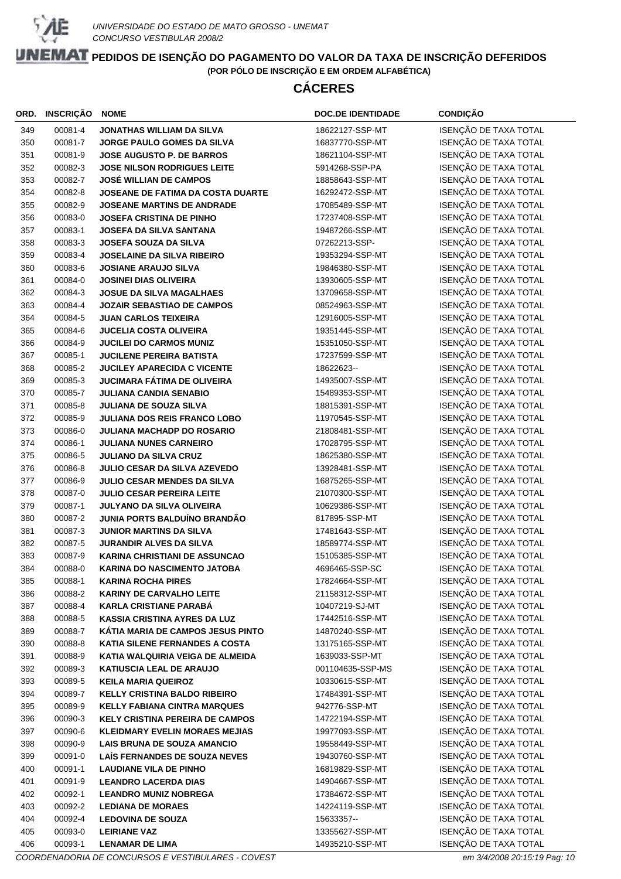

# **CÁCERES**

| ORD. | <b>INSCRIÇÃO</b> | <b>NOME</b>                            | <b>DOC.DE IDENTIDADE</b> | <b>CONDIÇÃO</b>       |
|------|------------------|----------------------------------------|--------------------------|-----------------------|
| 349  | 00081-4          | <b>JONATHAS WILLIAM DA SILVA</b>       | 18622127-SSP-MT          | ISENÇÃO DE TAXA TOTAL |
| 350  | 00081-7          | JORGE PAULO GOMES DA SILVA             | 16837770-SSP-MT          | ISENÇÃO DE TAXA TOTAL |
| 351  | 00081-9          | <b>JOSE AUGUSTO P. DE BARROS</b>       | 18621104-SSP-MT          | ISENÇÃO DE TAXA TOTAL |
| 352  | 00082-3          | <b>JOSE NILSON RODRIGUES LEITE</b>     | 5914268-SSP-PA           | ISENÇÃO DE TAXA TOTAL |
| 353  | 00082-7          | <b>JOSÉ WILLIAN DE CAMPOS</b>          | 18858643-SSP-MT          | ISENÇÃO DE TAXA TOTAL |
| 354  | 00082-8          | JOSEANE DE FATIMA DA COSTA DUARTE      | 16292472-SSP-MT          | ISENÇÃO DE TAXA TOTAL |
| 355  | 00082-9          | JOSEANE MARTINS DE ANDRADE             | 17085489-SSP-MT          | ISENÇÃO DE TAXA TOTAL |
| 356  | 00083-0          | <b>JOSEFA CRISTINA DE PINHO</b>        | 17237408-SSP-MT          | ISENÇÃO DE TAXA TOTAL |
| 357  | 00083-1          | JOSEFA DA SILVA SANTANA                | 19487266-SSP-MT          | ISENÇÃO DE TAXA TOTAL |
| 358  | 00083-3          | <b>JOSEFA SOUZA DA SILVA</b>           | 07262213-SSP-            | ISENÇÃO DE TAXA TOTAL |
| 359  | 00083-4          | <b>JOSELAINE DA SILVA RIBEIRO</b>      | 19353294-SSP-MT          | ISENÇÃO DE TAXA TOTAL |
| 360  | 00083-6          | <b>JOSIANE ARAUJO SILVA</b>            | 19846380-SSP-MT          | ISENÇÃO DE TAXA TOTAL |
| 361  | 00084-0          | <b>JOSINEI DIAS OLIVEIRA</b>           | 13930605-SSP-MT          | ISENÇÃO DE TAXA TOTAL |
| 362  | 00084-3          | <b>JOSUE DA SILVA MAGALHAES</b>        | 13709658-SSP-MT          | ISENÇÃO DE TAXA TOTAL |
| 363  | 00084-4          | <b>JOZAIR SEBASTIAO DE CAMPOS</b>      | 08524963-SSP-MT          | ISENÇÃO DE TAXA TOTAL |
| 364  | 00084-5          | <b>JUAN CARLOS TEIXEIRA</b>            | 12916005-SSP-MT          | ISENÇÃO DE TAXA TOTAL |
| 365  | 00084-6          | <b>JUCELIA COSTA OLIVEIRA</b>          | 19351445-SSP-MT          | ISENÇÃO DE TAXA TOTAL |
| 366  | 00084-9          | <b>JUCILEI DO CARMOS MUNIZ</b>         | 15351050-SSP-MT          | ISENÇÃO DE TAXA TOTAL |
| 367  | 00085-1          | <b>JUCILENE PEREIRA BATISTA</b>        | 17237599-SSP-MT          | ISENÇÃO DE TAXA TOTAL |
| 368  | 00085-2          | <b>JUCILEY APARECIDA C VICENTE</b>     | 18622623--               | ISENÇÃO DE TAXA TOTAL |
| 369  | 00085-3          | <b>JUCIMARA FÁTIMA DE OLIVEIRA</b>     | 14935007-SSP-MT          | ISENÇÃO DE TAXA TOTAL |
| 370  | 00085-7          | <b>JULIANA CANDIA SENABIO</b>          | 15489353-SSP-MT          | ISENÇÃO DE TAXA TOTAL |
| 371  | 00085-8          | <b>JULIANA DE SOUZA SILVA</b>          | 18815391-SSP-MT          | ISENÇÃO DE TAXA TOTAL |
| 372  | 00085-9          | <b>JULIANA DOS REIS FRANCO LOBO</b>    | 11970545-SSP-MT          | ISENÇÃO DE TAXA TOTAL |
| 373  | 00086-0          | <b>JULIANA MACHADP DO ROSARIO</b>      | 21808481-SSP-MT          | ISENÇÃO DE TAXA TOTAL |
| 374  | 00086-1          | <b>JULIANA NUNES CARNEIRO</b>          | 17028795-SSP-MT          | ISENÇÃO DE TAXA TOTAL |
| 375  | 00086-5          | <b>JULIANO DA SILVA CRUZ</b>           | 18625380-SSP-MT          | ISENÇÃO DE TAXA TOTAL |
| 376  | 00086-8          | JULIO CESAR DA SILVA AZEVEDO           | 13928481-SSP-MT          | ISENÇÃO DE TAXA TOTAL |
| 377  | 00086-9          | JULIO CESAR MENDES DA SILVA            | 16875265-SSP-MT          | ISENÇÃO DE TAXA TOTAL |
| 378  | 00087-0          | <b>JULIO CESAR PEREIRA LEITE</b>       | 21070300-SSP-MT          | ISENÇÃO DE TAXA TOTAL |
| 379  | 00087-1          | <b>JULYANO DA SILVA OLIVEIRA</b>       | 10629386-SSP-MT          | ISENÇÃO DE TAXA TOTAL |
| 380  | 00087-2          | JUNIA PORTS BALDUÍNO BRANDÃO           | 817895-SSP-MT            | ISENÇÃO DE TAXA TOTAL |
| 381  | 00087-3          | <b>JUNIOR MARTINS DA SILVA</b>         | 17481643-SSP-MT          | ISENÇÃO DE TAXA TOTAL |
| 382  | 00087-5          | <b>JURANDIR ALVES DA SILVA</b>         | 18589774-SSP-MT          | ISENÇÃO DE TAXA TOTAL |
| 383  | 00087-9          | <b>KARINA CHRISTIANI DE ASSUNCAO</b>   | 15105385-SSP-MT          | ISENÇÃO DE TAXA TOTAL |
| 384  | 00088-0          | <b>KARINA DO NASCIMENTO JATOBA</b>     | 4696465-SSP-SC           | ISENÇÃO DE TAXA TOTAL |
| 385  | 00088-1          | <b>KARINA ROCHA PIRES</b>              | 17824664-SSP-MT          | ISENÇÃO DE TAXA TOTAL |
| 386  | 00088-2          | <b>KARINY DE CARVALHO LEITE</b>        | 21158312-SSP-MT          | ISENÇÃO DE TAXA TOTAL |
| 387  | 00088-4          | <b>KARLA CRISTIANE PARABÁ</b>          | 10407219-SJ-MT           | ISENÇÃO DE TAXA TOTAL |
| 388  | 00088-5          | <b>KASSIA CRISTINA AYRES DA LUZ</b>    | 17442516-SSP-MT          | ISENÇÃO DE TAXA TOTAL |
| 389  | 00088-7          | KÁTIA MARIA DE CAMPOS JESUS PINTO      | 14870240-SSP-MT          | ISENÇÃO DE TAXA TOTAL |
| 390  | 00088-8          | KATIA SILENE FERNANDES A COSTA         | 13175165-SSP-MT          | ISENÇÃO DE TAXA TOTAL |
| 391  | 00088-9          | KATIA WALQUIRIA VEIGA DE ALMEIDA       | 1639033-SSP-MT           | ISENÇÃO DE TAXA TOTAL |
| 392  | 00089-3          | <b>KATIUSCIA LEAL DE ARAUJO</b>        | 001104635-SSP-MS         | ISENÇÃO DE TAXA TOTAL |
| 393  | 00089-5          | <b>KEILA MARIA QUEIROZ</b>             | 10330615-SSP-MT          | ISENÇÃO DE TAXA TOTAL |
| 394  | 00089-7          | <b>KELLY CRISTINA BALDO RIBEIRO</b>    | 17484391-SSP-MT          | ISENÇÃO DE TAXA TOTAL |
| 395  | 00089-9          | <b>KELLY FABIANA CINTRA MARQUES</b>    | 942776-SSP-MT            | ISENÇÃO DE TAXA TOTAL |
| 396  | 00090-3          | <b>KELY CRISTINA PEREIRA DE CAMPOS</b> | 14722194-SSP-MT          | ISENÇÃO DE TAXA TOTAL |
| 397  | 00090-6          | <b>KLEIDMARY EVELIN MORAES MEJIAS</b>  | 19977093-SSP-MT          | ISENÇÃO DE TAXA TOTAL |
| 398  | 00090-9          | <b>LAIS BRUNA DE SOUZA AMANCIO</b>     | 19558449-SSP-MT          | ISENÇÃO DE TAXA TOTAL |
| 399  | 00091-0          | LAÍS FERNANDES DE SOUZA NEVES          | 19430760-SSP-MT          | ISENÇÃO DE TAXA TOTAL |
| 400  | 00091-1          | <b>LAUDIANE VILA DE PINHO</b>          | 16819829-SSP-MT          | ISENÇÃO DE TAXA TOTAL |
| 401  | 00091-9          | <b>LEANDRO LACERDA DIAS</b>            | 14904667-SSP-MT          | ISENÇÃO DE TAXA TOTAL |
| 402  | 00092-1          | <b>LEANDRO MUNIZ NOBREGA</b>           | 17384672-SSP-MT          | ISENÇÃO DE TAXA TOTAL |
| 403  | 00092-2          | <b>LEDIANA DE MORAES</b>               | 14224119-SSP-MT          | ISENÇÃO DE TAXA TOTAL |
| 404  | 00092-4          | <b>LEDOVINA DE SOUZA</b>               | 15633357--               | ISENÇÃO DE TAXA TOTAL |
| 405  | 00093-0          | <b>LEIRIANE VAZ</b>                    | 13355627-SSP-MT          | ISENÇÃO DE TAXA TOTAL |
| 406  | 00093-1          | <b>LENAMAR DE LIMA</b>                 | 14935210-SSP-MT          | ISENÇÃO DE TAXA TOTAL |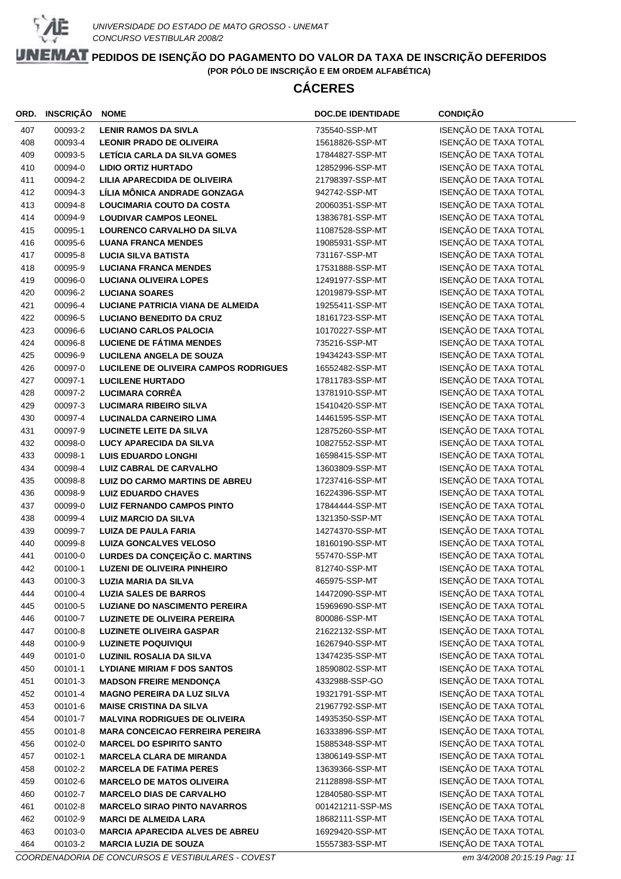

# **CÁCERES**

| ORD. | <b>INSCRIÇÃO</b> | <b>NOME</b>                            | <b>DOC.DE IDENTIDADE</b> | <b>CONDIÇÃO</b>       |
|------|------------------|----------------------------------------|--------------------------|-----------------------|
| 407  | 00093-2          | <b>LENIR RAMOS DA SIVLA</b>            | 735540-SSP-MT            | ISENÇÃO DE TAXA TOTAL |
| 408  | 00093-4          | <b>LEONIR PRADO DE OLIVEIRA</b>        | 15618826-SSP-MT          | ISENÇÃO DE TAXA TOTAL |
| 409  | 00093-5          | LETÍCIA CARLA DA SILVA GOMES           | 17844827-SSP-MT          | ISENÇÃO DE TAXA TOTAL |
| 410  | 00094-0          | <b>LIDIO ORTIZ HURTADO</b>             | 12852996-SSP-MT          | ISENÇÃO DE TAXA TOTAL |
| 411  | 00094-2          | LILIA APARECDIDA DE OLIVEIRA           | 21798397-SSP-MT          | ISENÇÃO DE TAXA TOTAL |
| 412  | 00094-3          | LÍLIA MÔNICA ANDRADE GONZAGA           | 942742-SSP-MT            | ISENÇÃO DE TAXA TOTAL |
| 413  | 00094-8          | <b>LOUCIMARIA COUTO DA COSTA</b>       | 20060351-SSP-MT          | ISENÇÃO DE TAXA TOTAL |
| 414  | 00094-9          | <b>LOUDIVAR CAMPOS LEONEL</b>          | 13836781-SSP-MT          | ISENÇÃO DE TAXA TOTAL |
| 415  | 00095-1          | <b>LOURENCO CARVALHO DA SILVA</b>      | 11087528-SSP-MT          | ISENÇÃO DE TAXA TOTAL |
| 416  | 00095-6          | <b>LUANA FRANCA MENDES</b>             | 19085931-SSP-MT          | ISENÇÃO DE TAXA TOTAL |
| 417  | 00095-8          | <b>LUCIA SILVA BATISTA</b>             | 731167-SSP-MT            | ISENÇÃO DE TAXA TOTAL |
| 418  | 00095-9          | <b>LUCIANA FRANCA MENDES</b>           | 17531888-SSP-MT          | ISENÇÃO DE TAXA TOTAL |
| 419  | 00096-0          | <b>LUCIANA OLIVEIRA LOPES</b>          | 12491977-SSP-MT          | ISENÇÃO DE TAXA TOTAL |
| 420  | 00096-2          | <b>LUCIANA SOARES</b>                  | 12019879-SSP-MT          | ISENÇÃO DE TAXA TOTAL |
| 421  | 00096-4          | LUCIANE PATRICIA VIANA DE ALMEIDA      | 19255411-SSP-MT          | ISENÇÃO DE TAXA TOTAL |
| 422  | 00096-5          | <b>LUCIANO BENEDITO DA CRUZ</b>        | 18161723-SSP-MT          | ISENÇÃO DE TAXA TOTAL |
| 423  | 00096-6          | <b>LUCIANO CARLOS PALOCIA</b>          | 10170227-SSP-MT          | ISENÇÃO DE TAXA TOTAL |
| 424  | 00096-8          | <b>LUCIENE DE FÁTIMA MENDES</b>        | 735216-SSP-MT            | ISENÇÃO DE TAXA TOTAL |
| 425  | 00096-9          | <b>LUCILENA ANGELA DE SOUZA</b>        | 19434243-SSP-MT          | ISENÇÃO DE TAXA TOTAL |
| 426  | 00097-0          | LUCILENE DE OLIVEIRA CAMPOS RODRIGUES  | 16552482-SSP-MT          | ISENÇÃO DE TAXA TOTAL |
| 427  | 00097-1          | <b>LUCILENE HURTADO</b>                | 17811783-SSP-MT          | ISENÇÃO DE TAXA TOTAL |
| 428  | 00097-2          | <b>LUCIMARA CORRÊA</b>                 | 13781910-SSP-MT          | ISENÇÃO DE TAXA TOTAL |
| 429  | 00097-3          | <b>LUCIMARA RIBEIRO SILVA</b>          | 15410420-SSP-MT          | ISENÇÃO DE TAXA TOTAL |
| 430  | 00097-4          | <b>LUCINALDA CARNEIRO LIMA</b>         | 14461595-SSP-MT          | ISENÇÃO DE TAXA TOTAL |
| 431  | 00097-9          | <b>LUCINETE LEITE DA SILVA</b>         | 12875260-SSP-MT          | ISENÇÃO DE TAXA TOTAL |
| 432  | 00098-0          | <b>LUCY APARECIDA DA SILVA</b>         | 10827552-SSP-MT          | ISENÇÃO DE TAXA TOTAL |
| 433  | 00098-1          | <b>LUIS EDUARDO LONGHI</b>             | 16598415-SSP-MT          | ISENÇÃO DE TAXA TOTAL |
| 434  | 00098-4          | <b>LUIZ CABRAL DE CARVALHO</b>         | 13603809-SSP-MT          | ISENÇÃO DE TAXA TOTAL |
| 435  | 00098-8          | LUIZ DO CARMO MARTINS DE ABREU         | 17237416-SSP-MT          | ISENÇÃO DE TAXA TOTAL |
| 436  | 00098-9          | <b>LUIZ EDUARDO CHAVES</b>             | 16224396-SSP-MT          | ISENÇÃO DE TAXA TOTAL |
| 437  | 00099-0          | <b>LUIZ FERNANDO CAMPOS PINTO</b>      | 17844444-SSP-MT          | ISENÇÃO DE TAXA TOTAL |
| 438  | 00099-4          | <b>LUIZ MARCIO DA SILVA</b>            | 1321350-SSP-MT           | ISENÇÃO DE TAXA TOTAL |
| 439  | 00099-7          | <b>LUIZA DE PAULA FARIA</b>            | 14274370-SSP-MT          | ISENÇÃO DE TAXA TOTAL |
| 440  | 00099-8          | <b>LUIZA GONCALVES VELOSO</b>          | 18160190-SSP-MT          | ISENÇÃO DE TAXA TOTAL |
| 441  | 00100-0          | LURDES DA CONÇEIÇÃO C. MARTINS         | 557470-SSP-MT            | ISENÇÃO DE TAXA TOTAL |
| 442  | 00100-1          | <b>LUZENI DE OLIVEIRA PINHEIRO</b>     | 812740-SSP-MT            | ISENÇÃO DE TAXA TOTAL |
| 443  | 00100-3          | <b>LUZIA MARIA DA SILVA</b>            | 465975-SSP-MT            | ISENÇÃO DE TAXA TOTAL |
| 444  | 00100-4          | <b>LUZIA SALES DE BARROS</b>           | 14472090-SSP-MT          | ISENÇÃO DE TAXA TOTAL |
| 445  | 00100-5          | <b>LUZIANE DO NASCIMENTO PEREIRA</b>   | 15969690-SSP-MT          | ISENÇÃO DE TAXA TOTAL |
| 446  | 00100-7          | <b>LUZINETE DE OLIVEIRA PEREIRA</b>    | 800086-SSP-MT            | ISENÇÃO DE TAXA TOTAL |
| 447  | 00100-8          | <b>LUZINETE OLIVEIRA GASPAR</b>        | 21622132-SSP-MT          | ISENÇÃO DE TAXA TOTAL |
| 448  | 00100-9          | <b>LUZINETE POQUIVIQUI</b>             | 16267940-SSP-MT          | ISENÇÃO DE TAXA TOTAL |
| 449  | 00101-0          | <b>LUZINIL ROSALIA DA SILVA</b>        | 13474235-SSP-MT          | ISENÇÃO DE TAXA TOTAL |
| 450  | 00101-1          | <b>LYDIANE MIRIAM F DOS SANTOS</b>     | 18590802-SSP-MT          | ISENÇÃO DE TAXA TOTAL |
| 451  | 00101-3          | <b>MADSON FREIRE MENDONÇA</b>          | 4332988-SSP-GO           | ISENÇÃO DE TAXA TOTAL |
| 452  | 00101-4          | <b>MAGNO PEREIRA DA LUZ SILVA</b>      | 19321791-SSP-MT          | ISENÇÃO DE TAXA TOTAL |
| 453  | 00101-6          | <b>MAISE CRISTINA DA SILVA</b>         | 21967792-SSP-MT          | ISENÇÃO DE TAXA TOTAL |
| 454  | 00101-7          | <b>MALVINA RODRIGUES DE OLIVEIRA</b>   | 14935350-SSP-MT          | ISENÇÃO DE TAXA TOTAL |
| 455  | 00101-8          | <b>MARA CONCEICAO FERREIRA PEREIRA</b> | 16333896-SSP-MT          | ISENÇÃO DE TAXA TOTAL |
| 456  | 00102-0          | <b>MARCEL DO ESPIRITO SANTO</b>        | 15885348-SSP-MT          | ISENÇÃO DE TAXA TOTAL |
| 457  | 00102-1          | <b>MARCELA CLARA DE MIRANDA</b>        | 13806149-SSP-MT          | ISENÇÃO DE TAXA TOTAL |
| 458  | 00102-2          | <b>MARCELA DE FATIMA PERES</b>         | 13639366-SSP-MT          | ISENÇÃO DE TAXA TOTAL |
| 459  | 00102-6          | <b>MARCELO DE MATOS OLIVEIRA</b>       | 21128898-SSP-MT          | ISENÇÃO DE TAXA TOTAL |
| 460  | 00102-7          | <b>MARCELO DIAS DE CARVALHO</b>        | 12840580-SSP-MT          | ISENÇÃO DE TAXA TOTAL |
| 461  | 00102-8          | <b>MARCELO SIRAO PINTO NAVARROS</b>    | 001421211-SSP-MS         | ISENÇÃO DE TAXA TOTAL |
| 462  | 00102-9          | <b>MARCI DE ALMEIDA LARA</b>           | 18682111-SSP-MT          | ISENÇÃO DE TAXA TOTAL |
| 463  | 00103-0          | <b>MARCIA APARECIDA ALVES DE ABREU</b> | 16929420-SSP-MT          | ISENÇÃO DE TAXA TOTAL |
| 464  | 00103-2          | <b>MARCIA LUZIA DE SOUZA</b>           | 15557383-SSP-MT          | ISENÇÃO DE TAXA TOTAL |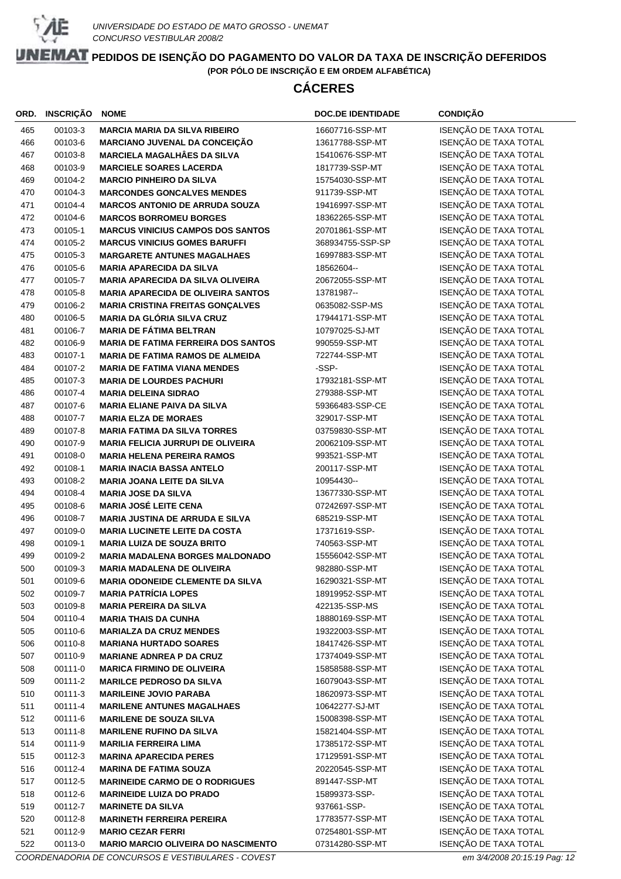

# **CÁCERES**

| ORD.       | <b>INSCRIÇÃO</b>   | <b>NOME</b>                                                           | <b>DOC.DE IDENTIDADE</b>         | CONDIÇÃO                                       |
|------------|--------------------|-----------------------------------------------------------------------|----------------------------------|------------------------------------------------|
| 465        | 00103-3            | <b>MARCIA MARIA DA SILVA RIBEIRO</b>                                  | 16607716-SSP-MT                  | ISENÇÃO DE TAXA TOTAL                          |
| 466        | 00103-6            | <b>MARCIANO JUVENAL DA CONCEIÇÃO</b>                                  | 13617788-SSP-MT                  | ISENÇÃO DE TAXA TOTAL                          |
| 467        | 00103-8            | <b>MARCIELA MAGALHÂES DA SILVA</b>                                    | 15410676-SSP-MT                  | ISENÇÃO DE TAXA TOTAL                          |
| 468        | 00103-9            | <b>MARCIELE SOARES LACERDA</b>                                        | 1817739-SSP-MT                   | ISENÇÃO DE TAXA TOTAL                          |
| 469        | 00104-2            | <b>MARCIO PINHEIRO DA SILVA</b>                                       | 15754030-SSP-MT                  | ISENÇÃO DE TAXA TOTAL                          |
| 470        | 00104-3            | <b>MARCONDES GONCALVES MENDES</b>                                     | 911739-SSP-MT                    | ISENÇÃO DE TAXA TOTAL                          |
| 471        | 00104-4            | <b>MARCOS ANTONIO DE ARRUDA SOUZA</b>                                 | 19416997-SSP-MT                  | ISENÇÃO DE TAXA TOTAL                          |
| 472        | 00104-6            | <b>MARCOS BORROMEU BORGES</b>                                         | 18362265-SSP-MT                  | ISENÇÃO DE TAXA TOTAL                          |
| 473        | 00105-1            | <b>MARCUS VINICIUS CAMPOS DOS SANTOS</b>                              | 20701861-SSP-MT                  | ISENÇÃO DE TAXA TOTAL                          |
| 474        | 00105-2            | <b>MARCUS VINICIUS GOMES BARUFFI</b>                                  | 368934755-SSP-SP                 | ISENÇÃO DE TAXA TOTAL                          |
| 475        | 00105-3            | <b>MARGARETE ANTUNES MAGALHAES</b>                                    | 16997883-SSP-MT                  | ISENÇÃO DE TAXA TOTAL                          |
| 476        | 00105-6            | <b>MARIA APARECIDA DA SILVA</b>                                       | 18562604--                       | ISENÇÃO DE TAXA TOTAL                          |
| 477        | 00105-7            | <b>MARIA APARECIDA DA SILVA OLIVEIRA</b>                              | 20672055-SSP-MT                  | ISENÇÃO DE TAXA TOTAL                          |
| 478        | 00105-8            | <b>MARIA APARECIDA DE OLIVEIRA SANTOS</b>                             | 13781987--                       | ISENÇÃO DE TAXA TOTAL                          |
| 479        | 00106-2            | <b>MARIA CRISTINA FREITAS GONÇALVES</b>                               | 0635082-SSP-MS                   | ISENÇÃO DE TAXA TOTAL                          |
| 480        | 00106-5            | <b>MARIA DA GLÓRIA SILVA CRUZ</b>                                     | 17944171-SSP-MT                  | ISENÇÃO DE TAXA TOTAL                          |
| 481        | 00106-7            | <b>MARIA DE FÁTIMA BELTRAN</b>                                        | 10797025-SJ-MT                   | ISENÇÃO DE TAXA TOTAL                          |
| 482        | 00106-9            | <b>MARIA DE FATIMA FERREIRA DOS SANTOS</b>                            | 990559-SSP-MT                    | ISENÇÃO DE TAXA TOTAL                          |
|            |                    |                                                                       |                                  | ISENÇÃO DE TAXA TOTAL                          |
| 483<br>484 | 00107-1            | <b>MARIA DE FATIMA RAMOS DE ALMEIDA</b>                               | 722744-SSP-MT<br>-SSP-           |                                                |
|            | 00107-2<br>00107-3 | <b>MARIA DE FATIMA VIANA MENDES</b>                                   | 17932181-SSP-MT                  | ISENÇÃO DE TAXA TOTAL                          |
| 485        |                    | <b>MARIA DE LOURDES PACHURI</b>                                       |                                  | ISENÇÃO DE TAXA TOTAL                          |
| 486        | 00107-4            | <b>MARIA DELEINA SIDRAO</b>                                           | 279388-SSP-MT<br>59366483-SSP-CE | ISENÇÃO DE TAXA TOTAL                          |
| 487        | 00107-6            | <b>MARIA ELIANE PAIVA DA SILVA</b>                                    |                                  | ISENÇÃO DE TAXA TOTAL                          |
| 488        | 00107-7            | <b>MARIA ELZA DE MORAES</b>                                           | 329017-SSP-MT                    | ISENÇÃO DE TAXA TOTAL                          |
| 489        | 00107-8            | <b>MARIA FATIMA DA SILVA TORRES</b>                                   | 03759830-SSP-MT                  | ISENÇÃO DE TAXA TOTAL                          |
| 490        | 00107-9            | <b>MARIA FELICIA JURRUPI DE OLIVEIRA</b>                              | 20062109-SSP-MT                  | ISENÇÃO DE TAXA TOTAL<br>ISENÇÃO DE TAXA TOTAL |
| 491<br>492 | 00108-0<br>00108-1 | <b>MARIA HELENA PEREIRA RAMOS</b><br><b>MARIA INACIA BASSA ANTELO</b> | 993521-SSP-MT<br>200117-SSP-MT   | ISENÇÃO DE TAXA TOTAL                          |
| 493        | 00108-2            | <b>MARIA JOANA LEITE DA SILVA</b>                                     | 10954430--                       | ISENÇÃO DE TAXA TOTAL                          |
| 494        | 00108-4            | <b>MARIA JOSE DA SILVA</b>                                            | 13677330-SSP-MT                  | ISENÇÃO DE TAXA TOTAL                          |
| 495        | 00108-6            | <b>MARIA JOSÉ LEITE CENA</b>                                          | 07242697-SSP-MT                  | ISENÇÃO DE TAXA TOTAL                          |
| 496        | 00108-7            | <b>MARIA JUSTINA DE ARRUDA E SILVA</b>                                | 685219-SSP-MT                    | ISENÇÃO DE TAXA TOTAL                          |
| 497        | 00109-0            | <b>MARIA LUCINETE LEITE DA COSTA</b>                                  | 17371619-SSP-                    | ISENÇÃO DE TAXA TOTAL                          |
| 498        | 00109-1            | <b>MARIA LUIZA DE SOUZA BRITO</b>                                     | 740563-SSP-MT                    | ISENÇÃO DE TAXA TOTAL                          |
| 499        | 00109-2            | <b>MARIA MADALENA BORGES MALDONADO</b>                                | 15556042-SSP-MT                  | ISENÇÃO DE TAXA TOTAL                          |
| 500        | 00109-3            | <b>MARIA MADALENA DE OLIVEIRA</b>                                     | 982880-SSP-MT                    | ISENÇÃO DE TAXA TOTAL                          |
| 501        | 00109-6            | MARIA ODONEIDE CLEMENTE DA SILVA                                      | 16290321-SSP-MT                  | ISENÇÃO DE TAXA TOTAL                          |
| 502        | 00109-7            | <b>MARIA PATRÍCIA LOPES</b>                                           | 18919952-SSP-MT                  | ISENÇÃO DE TAXA TOTAL                          |
| 503        | 00109-8            | <b>MARIA PEREIRA DA SILVA</b>                                         | 422135-SSP-MS                    | ISENÇÃO DE TAXA TOTAL                          |
| 504        | 00110-4            | <b>MARIA THAIS DA CUNHA</b>                                           | 18880169-SSP-MT                  | ISENÇÃO DE TAXA TOTAL                          |
| 505        | 00110-6            | <b>MARIALZA DA CRUZ MENDES</b>                                        | 19322003-SSP-MT                  | ISENÇÃO DE TAXA TOTAL                          |
| 506        | 00110-8            | <b>MARIANA HURTADO SOARES</b>                                         | 18417426-SSP-MT                  | ISENÇÃO DE TAXA TOTAL                          |
| 507        | 00110-9            | <b>MARIANE ADNREA P DA CRUZ</b>                                       | 17374049-SSP-MT                  | ISENÇÃO DE TAXA TOTAL                          |
| 508        | 00111-0            | <b>MARICA FIRMINO DE OLIVEIRA</b>                                     | 15858588-SSP-MT                  | ISENÇÃO DE TAXA TOTAL                          |
| 509        | 00111-2            | <b>MARILCE PEDROSO DA SILVA</b>                                       | 16079043-SSP-MT                  | ISENÇÃO DE TAXA TOTAL                          |
| 510        | 00111-3            | <b>MARILEINE JOVIO PARABA</b>                                         | 18620973-SSP-MT                  | ISENÇÃO DE TAXA TOTAL                          |
| 511        | 00111-4            | <b>MARILENE ANTUNES MAGALHAES</b>                                     | 10642277-SJ-MT                   | ISENÇÃO DE TAXA TOTAL                          |
| 512        | 00111-6            | <b>MARILENE DE SOUZA SILVA</b>                                        | 15008398-SSP-MT                  | ISENÇÃO DE TAXA TOTAL                          |
| 513        | 00111-8            | <b>MARILENE RUFINO DA SILVA</b>                                       | 15821404-SSP-MT                  | ISENÇÃO DE TAXA TOTAL                          |
| 514        | 00111-9            | <b>MARILIA FERREIRA LIMA</b>                                          | 17385172-SSP-MT                  | ISENÇÃO DE TAXA TOTAL                          |
| 515        | 00112-3            | <b>MARINA APARECIDA PERES</b>                                         | 17129591-SSP-MT                  | ISENÇÃO DE TAXA TOTAL                          |
| 516        | 00112-4            | <b>MARINA DE FATIMA SOUZA</b>                                         | 20220545-SSP-MT                  | ISENÇÃO DE TAXA TOTAL                          |
| 517        | 00112-5            | <b>MARINEIDE CARMO DE O RODRIGUES</b>                                 | 891447-SSP-MT                    | ISENÇÃO DE TAXA TOTAL                          |
| 518        | 00112-6            | <b>MARINEIDE LUIZA DO PRADO</b>                                       | 15899373-SSP-                    | ISENÇÃO DE TAXA TOTAL                          |
| 519        | 00112-7            | <b>MARINETE DA SILVA</b>                                              | 937661-SSP-                      | ISENÇÃO DE TAXA TOTAL                          |
| 520        | 00112-8            | <b>MARINETH FERREIRA PEREIRA</b>                                      | 17783577-SSP-MT                  | ISENÇÃO DE TAXA TOTAL                          |
| 521        | 00112-9            | <b>MARIO CEZAR FERRI</b>                                              | 07254801-SSP-MT                  | ISENÇÃO DE TAXA TOTAL                          |
| 522        | 00113-0            | <b>MARIO MARCIO OLIVEIRA DO NASCIMENTO</b>                            | 07314280-SSP-MT                  | ISENÇÃO DE TAXA TOTAL                          |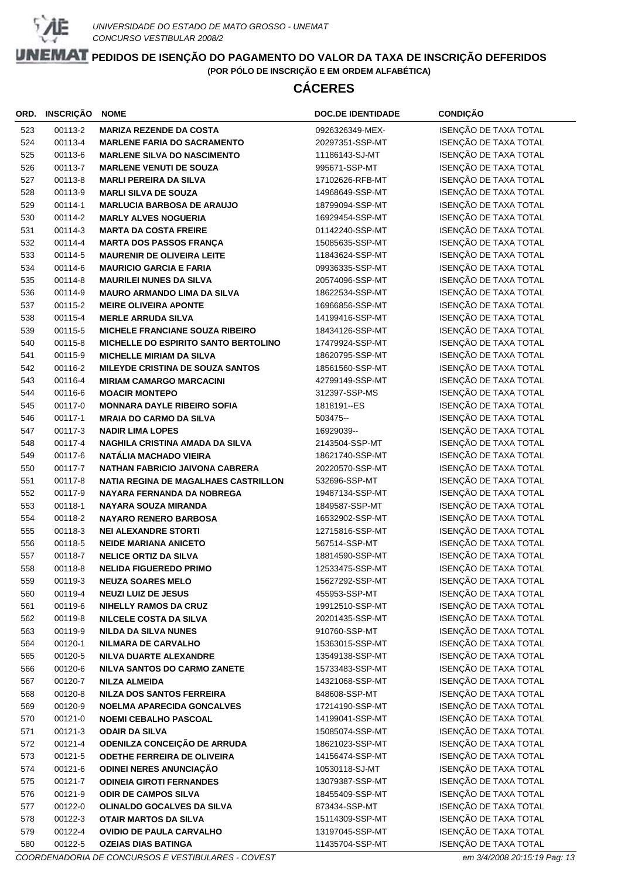

# **CÁCERES**

| ORD. | <b>INSCRIÇÃO</b> | <b>NOME</b>                                 | <b>DOC.DE IDENTIDADE</b> | <b>CONDIÇÃO</b>       |
|------|------------------|---------------------------------------------|--------------------------|-----------------------|
| 523  | 00113-2          | <b>MARIZA REZENDE DA COSTA</b>              | 0926326349-MEX-          | ISENÇÃO DE TAXA TOTAL |
| 524  | 00113-4          | <b>MARLENE FARIA DO SACRAMENTO</b>          | 20297351-SSP-MT          | ISENÇÃO DE TAXA TOTAL |
| 525  | 00113-6          | <b>MARLENE SILVA DO NASCIMENTO</b>          | 11186143-SJ-MT           | ISENÇÃO DE TAXA TOTAL |
| 526  | 00113-7          | <b>MARLENE VENUTI DE SOUZA</b>              | 995671-SSP-MT            | ISENÇÃO DE TAXA TOTAL |
| 527  | 00113-8          | <b>MARLI PEREIRA DA SILVA</b>               | 17102626-RFB-MT          | ISENÇÃO DE TAXA TOTAL |
| 528  | 00113-9          | <b>MARLI SILVA DE SOUZA</b>                 | 14968649-SSP-MT          | ISENÇÃO DE TAXA TOTAL |
| 529  | 00114-1          | <b>MARLUCIA BARBOSA DE ARAUJO</b>           | 18799094-SSP-MT          | ISENÇÃO DE TAXA TOTAL |
| 530  | 00114-2          | <b>MARLY ALVES NOGUERIA</b>                 | 16929454-SSP-MT          | ISENÇÃO DE TAXA TOTAL |
| 531  | 00114-3          | <b>MARTA DA COSTA FREIRE</b>                | 01142240-SSP-MT          | ISENÇÃO DE TAXA TOTAL |
| 532  | 00114-4          | <b>MARTA DOS PASSOS FRANÇA</b>              | 15085635-SSP-MT          | ISENÇÃO DE TAXA TOTAL |
| 533  | 00114-5          | <b>MAURENIR DE OLIVEIRA LEITE</b>           | 11843624-SSP-MT          | ISENÇÃO DE TAXA TOTAL |
| 534  | 00114-6          | <b>MAURICIO GARCIA E FARIA</b>              | 09936335-SSP-MT          | ISENÇÃO DE TAXA TOTAL |
| 535  | 00114-8          | <b>MAURILEI NUNES DA SILVA</b>              | 20574096-SSP-MT          | ISENÇÃO DE TAXA TOTAL |
| 536  | 00114-9          | <b>MAURO ARMANDO LIMA DA SILVA</b>          | 18622534-SSP-MT          | ISENÇÃO DE TAXA TOTAL |
| 537  | 00115-2          | <b>MEIRE OLIVEIRA APONTE</b>                | 16966856-SSP-MT          | ISENÇÃO DE TAXA TOTAL |
| 538  | 00115-4          | <b>MERLE ARRUDA SILVA</b>                   | 14199416-SSP-MT          | ISENÇÃO DE TAXA TOTAL |
| 539  | 00115-5          | <b>MICHELE FRANCIANE SOUZA RIBEIRO</b>      | 18434126-SSP-MT          | ISENÇÃO DE TAXA TOTAL |
| 540  | 00115-8          | MICHELLE DO ESPIRITO SANTO BERTOLINO        | 17479924-SSP-MT          | ISENÇÃO DE TAXA TOTAL |
| 541  | 00115-9          | <b>MICHELLE MIRIAM DA SILVA</b>             | 18620795-SSP-MT          | ISENÇÃO DE TAXA TOTAL |
| 542  | 00116-2          | MILEYDE CRISTINA DE SOUZA SANTOS            | 18561560-SSP-MT          | ISENÇÃO DE TAXA TOTAL |
| 543  | 00116-4          | <b>MIRIAM CAMARGO MARCACINI</b>             | 42799149-SSP-MT          | ISENÇÃO DE TAXA TOTAL |
| 544  | 00116-6          | <b>MOACIR MONTEPO</b>                       | 312397-SSP-MS            | ISENÇÃO DE TAXA TOTAL |
| 545  | 00117-0          | <b>MONNARA DAYLE RIBEIRO SOFIA</b>          | 1818191-ES               | ISENÇÃO DE TAXA TOTAL |
| 546  | 00117-1          | <b>MRAIA DO CARMO DA SILVA</b>              | 503475 --                | ISENÇÃO DE TAXA TOTAL |
| 547  | 00117-3          | <b>NADIR LIMA LOPES</b>                     | 16929039--               | ISENÇÃO DE TAXA TOTAL |
| 548  | 00117-4          | NAGHILA CRISTINA AMADA DA SILVA             | 2143504-SSP-MT           | ISENÇÃO DE TAXA TOTAL |
| 549  | 00117-6          | <b>NATÁLIA MACHADO VIEIRA</b>               | 18621740-SSP-MT          | ISENÇÃO DE TAXA TOTAL |
| 550  | 00117-7          | <b>NATHAN FABRICIO JAIVONA CABRERA</b>      | 20220570-SSP-MT          | ISENÇÃO DE TAXA TOTAL |
| 551  | 00117-8          | <b>NATIA REGINA DE MAGALHAES CASTRILLON</b> | 532696-SSP-MT            | ISENÇÃO DE TAXA TOTAL |
| 552  | 00117-9          | NAYARA FERNANDA DA NOBREGA                  | 19487134-SSP-MT          | ISENÇÃO DE TAXA TOTAL |
| 553  | 00118-1          | <b>NAYARA SOUZA MIRANDA</b>                 | 1849587-SSP-MT           | ISENÇÃO DE TAXA TOTAL |
| 554  | 00118-2          | <b>NAYARO RENERO BARBOSA</b>                | 16532902-SSP-MT          | ISENÇÃO DE TAXA TOTAL |
| 555  | 00118-3          | <b>NEI ALEXANDRE STORTI</b>                 | 12715816-SSP-MT          | ISENÇÃO DE TAXA TOTAL |
| 556  | 00118-5          | <b>NEIDE MARIANA ANICETO</b>                | 567514-SSP-MT            | ISENÇÃO DE TAXA TOTAL |
| 557  | 00118-7          | <b>NELICE ORTIZ DA SILVA</b>                | 18814590-SSP-MT          | ISENÇÃO DE TAXA TOTAL |
| 558  | 00118-8          | <b>NELIDA FIGUEREDO PRIMO</b>               | 12533475-SSP-MT          | ISENÇÃO DE TAXA TOTAL |
| 559  | 00119-3          | <b>NEUZA SOARES MELO</b>                    | 15627292-SSP-MT          | ISENÇÃO DE TAXA TOTAL |
| 560  | 00119-4          | <b>NEUZI LUIZ DE JESUS</b>                  | 455953-SSP-MT            | ISENÇÃO DE TAXA TOTAL |
| 561  | 00119-6          | <b>NIHELLY RAMOS DA CRUZ</b>                | 19912510-SSP-MT          | ISENÇÃO DE TAXA TOTAL |
| 562  | 00119-8          | <b>NILCELE COSTA DA SILVA</b>               | 20201435-SSP-MT          | ISENÇÃO DE TAXA TOTAL |
| 563  | 00119-9          | <b>NILDA DA SILVA NUNES</b>                 | 910760-SSP-MT            | ISENÇÃO DE TAXA TOTAL |
| 564  | 00120-1          | <b>NILMARA DE CARVALHO</b>                  | 15363015-SSP-MT          | ISENÇÃO DE TAXA TOTAL |
| 565  | 00120-5          | NILVA DUARTE ALEXANDRE                      | 13549138-SSP-MT          | ISENÇÃO DE TAXA TOTAL |
| 566  | 00120-6          | NILVA SANTOS DO CARMO ZANETE                | 15733483-SSP-MT          | ISENÇÃO DE TAXA TOTAL |
| 567  | 00120-7          | <b>NILZA ALMEIDA</b>                        | 14321068-SSP-MT          | ISENÇÃO DE TAXA TOTAL |
| 568  | 00120-8          | <b>NILZA DOS SANTOS FERREIRA</b>            | 848608-SSP-MT            | ISENÇÃO DE TAXA TOTAL |
| 569  | 00120-9          | <b>NOELMA APARECIDA GONCALVES</b>           | 17214190-SSP-MT          | ISENÇÃO DE TAXA TOTAL |
| 570  | 00121-0          | <b>NOEMI CEBALHO PASCOAL</b>                | 14199041-SSP-MT          | ISENÇÃO DE TAXA TOTAL |
| 571  | 00121-3          | <b>ODAIR DA SILVA</b>                       | 15085074-SSP-MT          | ISENÇÃO DE TAXA TOTAL |
| 572  | 00121-4          | ODENILZA CONCEIÇÃO DE ARRUDA                | 18621023-SSP-MT          | ISENÇÃO DE TAXA TOTAL |
| 573  | 00121-5          | <b>ODETHE FERREIRA DE OLIVEIRA</b>          | 14156474-SSP-MT          | ISENÇÃO DE TAXA TOTAL |
| 574  | 00121-6          | ODINEI NERES ANUNCIAÇÃO                     | 10530118-SJ-MT           | ISENÇÃO DE TAXA TOTAL |
| 575  | 00121-7          | <b>ODINEIA GIROTI FERNANDES</b>             | 13079387-SSP-MT          | ISENÇÃO DE TAXA TOTAL |
| 576  | 00121-9          | <b>ODIR DE CAMPOS SILVA</b>                 | 18455409-SSP-MT          | ISENÇÃO DE TAXA TOTAL |
| 577  | 00122-0          | OLINALDO GOCALVES DA SILVA                  | 873434-SSP-MT            | ISENÇÃO DE TAXA TOTAL |
| 578  | 00122-3          | OTAIR MARTOS DA SILVA                       | 15114309-SSP-MT          | ISENÇÃO DE TAXA TOTAL |
| 579  | 00122-4          | <b>OVIDIO DE PAULA CARVALHO</b>             | 13197045-SSP-MT          | ISENÇÃO DE TAXA TOTAL |
| 580  | 00122-5          | <b>OZEIAS DIAS BATINGA</b>                  | 11435704-SSP-MT          | ISENÇÃO DE TAXA TOTAL |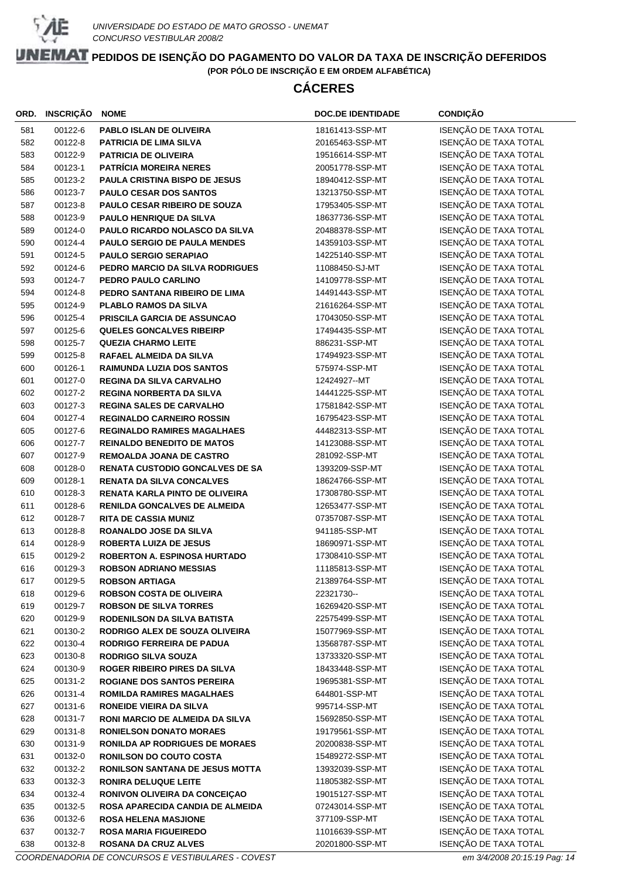

# **CÁCERES**

| ORD.       | <b>INSCRIÇÃO</b>   | <b>NOME</b>                                                | <b>DOC.DE IDENTIDADE</b>           | <b>CONDIÇÃO</b>                                |
|------------|--------------------|------------------------------------------------------------|------------------------------------|------------------------------------------------|
| 581        | 00122-6            | <b>PABLO ISLAN DE OLIVEIRA</b>                             | 18161413-SSP-MT                    | ISENÇÃO DE TAXA TOTAL                          |
| 582        | 00122-8            | <b>PATRICIA DE LIMA SILVA</b>                              | 20165463-SSP-MT                    | ISENÇÃO DE TAXA TOTAL                          |
| 583        | 00122-9            | <b>PATRICIA DE OLIVEIRA</b>                                | 19516614-SSP-MT                    | ISENÇÃO DE TAXA TOTAL                          |
| 584        | 00123-1            | <b>PATRÍCIA MOREIRA NERES</b>                              | 20051778-SSP-MT                    | ISENÇÃO DE TAXA TOTAL                          |
| 585        | 00123-2            | PAULA CRISTINA BISPO DE JESUS                              | 18940412-SSP-MT                    | ISENÇÃO DE TAXA TOTAL                          |
| 586        | 00123-7            | <b>PAULO CESAR DOS SANTOS</b>                              | 13213750-SSP-MT                    | ISENÇÃO DE TAXA TOTAL                          |
| 587        | 00123-8            | PAULO CESAR RIBEIRO DE SOUZA                               | 17953405-SSP-MT                    | ISENÇÃO DE TAXA TOTAL                          |
| 588        | 00123-9            | <b>PAULO HENRIQUE DA SILVA</b>                             | 18637736-SSP-MT                    | ISENÇÃO DE TAXA TOTAL                          |
| 589        | 00124-0            | <b>PAULO RICARDO NOLASCO DA SILVA</b>                      | 20488378-SSP-MT                    | ISENÇÃO DE TAXA TOTAL                          |
| 590        | 00124-4            | PAULO SERGIO DE PAULA MENDES                               | 14359103-SSP-MT                    | ISENÇÃO DE TAXA TOTAL                          |
| 591        | 00124-5            | <b>PAULO SERGIO SERAPIAO</b>                               | 14225140-SSP-MT                    | ISENÇÃO DE TAXA TOTAL                          |
| 592        | 00124-6            | PEDRO MARCIO DA SILVA RODRIGUES                            | 11088450-SJ-MT                     | ISENÇÃO DE TAXA TOTAL                          |
| 593        | 00124-7            | PEDRO PAULO CARLINO                                        | 14109778-SSP-MT                    | ISENÇÃO DE TAXA TOTAL                          |
| 594        | 00124-8            | PEDRO SANTANA RIBEIRO DE LIMA                              | 14491443-SSP-MT                    | ISENÇÃO DE TAXA TOTAL                          |
| 595        | 00124-9            | <b>PLABLO RAMOS DA SILVA</b>                               | 21616264-SSP-MT                    | ISENÇÃO DE TAXA TOTAL                          |
| 596        | 00125-4            | PRISCILA GARCIA DE ASSUNCAO                                | 17043050-SSP-MT                    | ISENÇÃO DE TAXA TOTAL                          |
| 597        | 00125-6            | <b>QUELES GONCALVES RIBEIRP</b>                            | 17494435-SSP-MT                    | ISENÇÃO DE TAXA TOTAL                          |
| 598        | 00125-7            | <b>QUEZIA CHARMO LEITE</b>                                 | 886231-SSP-MT                      | ISENÇÃO DE TAXA TOTAL                          |
| 599        | 00125-8            | RAFAEL ALMEIDA DA SILVA                                    | 17494923-SSP-MT                    | ISENÇÃO DE TAXA TOTAL                          |
| 600        | 00126-1            | <b>RAIMUNDA LUZIA DOS SANTOS</b>                           | 575974-SSP-MT                      | ISENÇÃO DE TAXA TOTAL                          |
| 601        | 00127-0            | <b>REGINA DA SILVA CARVALHO</b>                            | 12424927--MT                       | ISENÇÃO DE TAXA TOTAL                          |
| 602        | 00127-2            | <b>REGINA NORBERTA DA SILVA</b>                            | 14441225-SSP-MT                    | ISENÇÃO DE TAXA TOTAL                          |
| 603        | 00127-3            | <b>REGINA SALES DE CARVALHO</b>                            | 17581842-SSP-MT                    | ISENÇÃO DE TAXA TOTAL                          |
| 604        | 00127-4            | <b>REGINALDO CARNEIRO ROSSIN</b>                           | 16795423-SSP-MT                    | ISENÇÃO DE TAXA TOTAL                          |
| 605        | 00127-6            | <b>REGINALDO RAMIRES MAGALHAES</b>                         | 44482313-SSP-MT                    | ISENÇÃO DE TAXA TOTAL                          |
| 606        | 00127-7            | <b>REINALDO BENEDITO DE MATOS</b>                          | 14123088-SSP-MT                    | ISENÇÃO DE TAXA TOTAL                          |
| 607        | 00127-9            | <b>REMOALDA JOANA DE CASTRO</b>                            | 281092-SSP-MT                      | ISENÇÃO DE TAXA TOTAL                          |
| 608        | 00128-0            | <b>RENATA CUSTODIO GONCALVES DE SA</b>                     | 1393209-SSP-MT                     | ISENÇÃO DE TAXA TOTAL                          |
| 609        | 00128-1            | <b>RENATA DA SILVA CONCALVES</b>                           | 18624766-SSP-MT                    | ISENÇÃO DE TAXA TOTAL                          |
| 610        | 00128-3            | RENATA KARLA PINTO DE OLIVEIRA                             | 17308780-SSP-MT                    | ISENÇÃO DE TAXA TOTAL                          |
| 611        | 00128-6            | <b>RENILDA GONCALVES DE ALMEIDA</b>                        | 12653477-SSP-MT                    | ISENÇÃO DE TAXA TOTAL                          |
| 612        | 00128-7            | <b>RITA DE CASSIA MUNIZ</b>                                | 07357087-SSP-MT                    | ISENÇÃO DE TAXA TOTAL                          |
| 613        | 00128-8            | ROANALDO JOSE DA SILVA                                     | 941185-SSP-MT                      | ISENÇÃO DE TAXA TOTAL                          |
| 614        | 00128-9            | <b>ROBERTA LUIZA DE JESUS</b>                              | 18690971-SSP-MT                    | ISENÇÃO DE TAXA TOTAL                          |
| 615        | 00129-2            | <b>ROBERTON A. ESPINOSA HURTADO</b>                        | 17308410-SSP-MT                    | ISENÇÃO DE TAXA TOTAL                          |
| 616        | 00129-3            | <b>ROBSON ADRIANO MESSIAS</b>                              | 11185813-SSP-MT                    | ISENÇÃO DE TAXA TOTAL                          |
| 617        | 00129-5            | <b>ROBSON ARTIAGA</b>                                      | 21389764-SSP-MT                    | ISENÇÃO DE TAXA TOTAL                          |
| 618        | 00129-6            | <b>ROBSON COSTA DE OLIVEIRA</b>                            | 22321730--                         | ISENÇÃO DE TAXA TOTAL                          |
| 619        | 00129-7            | <b>ROBSON DE SILVA TORRES</b>                              | 16269420-SSP-MT                    | ISENÇÃO DE TAXA TOTAL                          |
| 620        | 00129-9            | RODENILSON DA SILVA BATISTA                                | 22575499-SSP-MT                    | ISENÇÃO DE TAXA TOTAL                          |
| 621        | 00130-2            | RODRIGO ALEX DE SOUZA OLIVEIRA                             | 15077969-SSP-MT                    | ISENÇÃO DE TAXA TOTAL                          |
| 622        | 00130-4            | <b>RODRIGO FERREIRA DE PADUA</b>                           | 13568787-SSP-MT                    | ISENÇÃO DE TAXA TOTAL<br>ISENÇÃO DE TAXA TOTAL |
| 623        | 00130-8            | <b>RODRIGO SILVA SOUZA</b>                                 | 13733320-SSP-MT                    |                                                |
| 624        | 00130-9            | <b>ROGER RIBEIRO PIRES DA SILVA</b>                        | 18433448-SSP-MT<br>19695381-SSP-MT | ISENÇÃO DE TAXA TOTAL<br>ISENÇÃO DE TAXA TOTAL |
| 625<br>626 | 00131-2<br>00131-4 | <b>ROGIANE DOS SANTOS PEREIRA</b>                          | 644801-SSP-MT                      | ISENÇÃO DE TAXA TOTAL                          |
| 627        | 00131-6            | <b>ROMILDA RAMIRES MAGALHAES</b>                           | 995714-SSP-MT                      | ISENÇÃO DE TAXA TOTAL                          |
| 628        | 00131-7            | RONEIDE VIEIRA DA SILVA<br>RONI MARCIO DE ALMEIDA DA SILVA | 15692850-SSP-MT                    | ISENÇÃO DE TAXA TOTAL                          |
| 629        | 00131-8            | <b>RONIELSON DONATO MORAES</b>                             | 19179561-SSP-MT                    | ISENÇÃO DE TAXA TOTAL                          |
| 630        | 00131-9            | <b>RONILDA AP RODRIGUES DE MORAES</b>                      | 20200838-SSP-MT                    | ISENÇÃO DE TAXA TOTAL                          |
| 631        | 00132-0            | <b>RONILSON DO COUTO COSTA</b>                             | 15489272-SSP-MT                    | ISENÇÃO DE TAXA TOTAL                          |
| 632        | 00132-2            | RONILSON SANTANA DE JESUS MOTTA                            | 13932039-SSP-MT                    | ISENÇÃO DE TAXA TOTAL                          |
| 633        | 00132-3            | <b>RONIRA DELUQUE LEITE</b>                                | 11805382-SSP-MT                    | ISENÇÃO DE TAXA TOTAL                          |
| 634        | 00132-4            | RONIVON OLIVEIRA DA CONCEIÇÃO                              | 19015127-SSP-MT                    | ISENÇÃO DE TAXA TOTAL                          |
| 635        | 00132-5            | ROSA APARECIDA CANDIA DE ALMEIDA                           | 07243014-SSP-MT                    | ISENÇÃO DE TAXA TOTAL                          |
| 636        | 00132-6            | <b>ROSA HELENA MASJIONE</b>                                | 377109-SSP-MT                      | ISENÇÃO DE TAXA TOTAL                          |
| 637        | 00132-7            | <b>ROSA MARIA FIGUEIREDO</b>                               | 11016639-SSP-MT                    | ISENÇÃO DE TAXA TOTAL                          |
| 638        | 00132-8            | ROSANA DA CRUZ ALVES                                       | 20201800-SSP-MT                    | ISENÇÃO DE TAXA TOTAL                          |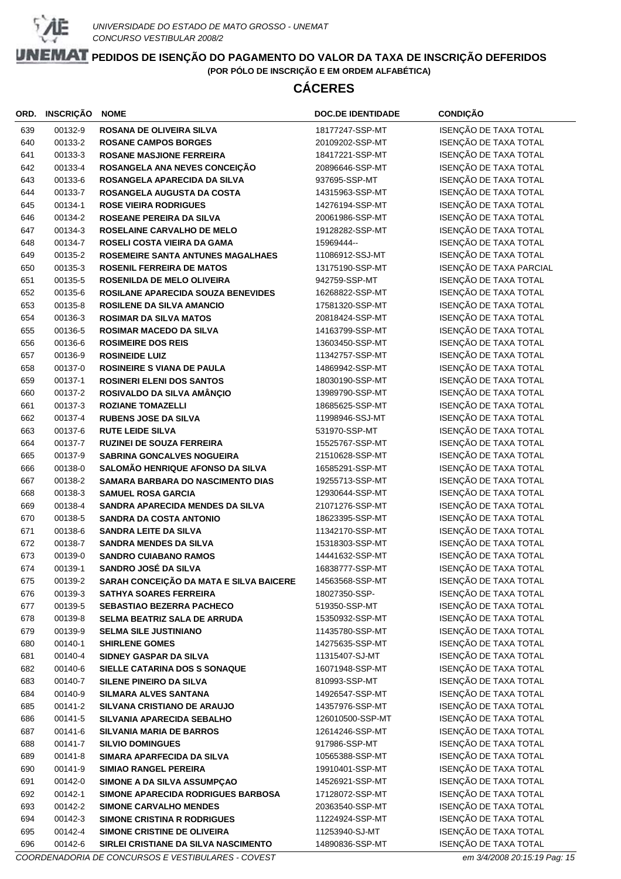

# **CÁCERES**

| ORD. | <b>INSCRIÇÃO</b> | <b>NOME</b>                             | <b>DOC.DE IDENTIDADE</b> | <b>CONDIÇÃO</b>         |
|------|------------------|-----------------------------------------|--------------------------|-------------------------|
| 639  | 00132-9          | <b>ROSANA DE OLIVEIRA SILVA</b>         | 18177247-SSP-MT          | ISENÇÃO DE TAXA TOTAL   |
| 640  | 00133-2          | <b>ROSANE CAMPOS BORGES</b>             | 20109202-SSP-MT          | ISENÇÃO DE TAXA TOTAL   |
| 641  | 00133-3          | <b>ROSANE MASJIONE FERREIRA</b>         | 18417221-SSP-MT          | ISENÇÃO DE TAXA TOTAL   |
| 642  | 00133-4          | ROSANGELA ANA NEVES CONCEIÇÃO           | 20896646-SSP-MT          | ISENÇÃO DE TAXA TOTAL   |
| 643  | 00133-6          | ROSANGELA APARECIDA DA SILVA            | 937695-SSP-MT            | ISENÇÃO DE TAXA TOTAL   |
| 644  | 00133-7          | ROSANGELA AUGUSTA DA COSTA              | 14315963-SSP-MT          | ISENÇÃO DE TAXA TOTAL   |
| 645  | 00134-1          | <b>ROSE VIEIRA RODRIGUES</b>            | 14276194-SSP-MT          | ISENÇÃO DE TAXA TOTAL   |
| 646  | 00134-2          | ROSEANE PEREIRA DA SILVA                | 20061986-SSP-MT          | ISENÇÃO DE TAXA TOTAL   |
| 647  | 00134-3          | <b>ROSELAINE CARVALHO DE MELO</b>       | 19128282-SSP-MT          | ISENÇÃO DE TAXA TOTAL   |
| 648  | 00134-7          | ROSELI COSTA VIEIRA DA GAMA             | 15969444--               | ISENÇÃO DE TAXA TOTAL   |
| 649  | 00135-2          | ROSEMEIRE SANTA ANTUNES MAGALHAES       | 11086912-SSJ-MT          | ISENÇÃO DE TAXA TOTAL   |
| 650  | 00135-3          | <b>ROSENIL FERREIRA DE MATOS</b>        | 13175190-SSP-MT          | ISENÇÃO DE TAXA PARCIAL |
| 651  | 00135-5          | ROSENILDA DE MELO OLIVEIRA              | 942759-SSP-MT            | ISENÇÃO DE TAXA TOTAL   |
| 652  | 00135-6          | ROSILANE APARECIDA SOUZA BENEVIDES      | 16268822-SSP-MT          | ISENÇÃO DE TAXA TOTAL   |
| 653  | 00135-8          | <b>ROSILENE DA SILVA AMANCIO</b>        | 17581320-SSP-MT          | ISENÇÃO DE TAXA TOTAL   |
| 654  | 00136-3          | <b>ROSIMAR DA SILVA MATOS</b>           | 20818424-SSP-MT          | ISENÇÃO DE TAXA TOTAL   |
| 655  | 00136-5          | <b>ROSIMAR MACEDO DA SILVA</b>          | 14163799-SSP-MT          | ISENÇÃO DE TAXA TOTAL   |
| 656  | 00136-6          | <b>ROSIMEIRE DOS REIS</b>               | 13603450-SSP-MT          | ISENÇÃO DE TAXA TOTAL   |
| 657  | 00136-9          | <b>ROSINEIDE LUIZ</b>                   | 11342757-SSP-MT          | ISENÇÃO DE TAXA TOTAL   |
| 658  | 00137-0          | <b>ROSINEIRE S VIANA DE PAULA</b>       | 14869942-SSP-MT          | ISENÇÃO DE TAXA TOTAL   |
| 659  | 00137-1          | <b>ROSINERI ELENI DOS SANTOS</b>        | 18030190-SSP-MT          | ISENÇÃO DE TAXA TOTAL   |
| 660  | 00137-2          | ROSIVALDO DA SILVA AMÂNÇIO              | 13989790-SSP-MT          | ISENÇÃO DE TAXA TOTAL   |
| 661  | 00137-3          | <b>ROZIANE TOMAZELLI</b>                | 18685625-SSP-MT          | ISENÇÃO DE TAXA TOTAL   |
| 662  | 00137-4          | <b>RUBENS JOSE DA SILVA</b>             | 11998946-SSJ-MT          | ISENÇÃO DE TAXA TOTAL   |
| 663  | 00137-6          | <b>RUTE LEIDE SILVA</b>                 | 531970-SSP-MT            | ISENÇÃO DE TAXA TOTAL   |
| 664  | 00137-7          | <b>RUZINEI DE SOUZA FERREIRA</b>        | 15525767-SSP-MT          | ISENÇÃO DE TAXA TOTAL   |
| 665  | 00137-9          | <b>SABRINA GONCALVES NOGUEIRA</b>       | 21510628-SSP-MT          | ISENÇÃO DE TAXA TOTAL   |
| 666  | 00138-0          | SALOMÃO HENRIQUE AFONSO DA SILVA        | 16585291-SSP-MT          | ISENÇÃO DE TAXA TOTAL   |
| 667  | 00138-2          | SAMARA BARBARA DO NASCIMENTO DIAS       | 19255713-SSP-MT          | ISENÇÃO DE TAXA TOTAL   |
| 668  | 00138-3          | <b>SAMUEL ROSA GARCIA</b>               | 12930644-SSP-MT          | ISENÇÃO DE TAXA TOTAL   |
| 669  | 00138-4          | SANDRA APARECIDA MENDES DA SILVA        | 21071276-SSP-MT          | ISENÇÃO DE TAXA TOTAL   |
| 670  | 00138-5          | <b>SANDRA DA COSTA ANTONIO</b>          | 18623395-SSP-MT          | ISENÇÃO DE TAXA TOTAL   |
| 671  | 00138-6          | <b>SANDRA LEITE DA SILVA</b>            | 11342170-SSP-MT          | ISENÇÃO DE TAXA TOTAL   |
| 672  | 00138-7          | <b>SANDRA MENDES DA SILVA</b>           | 15318303-SSP-MT          | ISENÇÃO DE TAXA TOTAL   |
| 673  | 00139-0          | <b>SANDRO CUIABANO RAMOS</b>            | 14441632-SSP-MT          | ISENÇÃO DE TAXA TOTAL   |
| 674  | 00139-1          | SANDRO JOSÉ DA SILVA                    | 16838777-SSP-MT          | ISENÇÃO DE TAXA TOTAL   |
| 675  | 00139-2          | SARAH CONCEIÇÃO DA MATA E SILVA BAICERE | 14563568-SSP-MT          | ISENÇÃO DE TAXA TOTAL   |
| 676  | 00139-3          | <b>SATHYA SOARES FERREIRA</b>           | 18027350-SSP-            | ISENÇÃO DE TAXA TOTAL   |
| 677  | 00139-5          | <b>SEBASTIAO BEZERRA PACHECO</b>        | 519350-SSP-MT            | ISENÇÃO DE TAXA TOTAL   |
| 678  | 00139-8          | SELMA BEATRIZ SALA DE ARRUDA            | 15350932-SSP-MT          | ISENÇÃO DE TAXA TOTAL   |
| 679  | 00139-9          | <b>SELMA SILE JUSTINIANO</b>            | 11435780-SSP-MT          | ISENÇÃO DE TAXA TOTAL   |
| 680  | 00140-1          | <b>SHIRLENE GOMES</b>                   | 14275635-SSP-MT          | ISENÇÃO DE TAXA TOTAL   |
| 681  | 00140-4          | SIDNEY GASPAR DA SILVA                  | 11315407-SJ-MT           | ISENÇÃO DE TAXA TOTAL   |
| 682  | 00140-6          | SIELLE CATARINA DOS S SONAQUE           | 16071948-SSP-MT          | ISENÇÃO DE TAXA TOTAL   |
| 683  | 00140-7          | <b>SILENE PINEIRO DA SILVA</b>          | 810993-SSP-MT            | ISENÇÃO DE TAXA TOTAL   |
| 684  | 00140-9          | SILMARA ALVES SANTANA                   | 14926547-SSP-MT          | ISENÇÃO DE TAXA TOTAL   |
| 685  | 00141-2          | SILVANA CRISTIANO DE ARAUJO             | 14357976-SSP-MT          | ISENÇÃO DE TAXA TOTAL   |
| 686  | 00141-5          | SILVANIA APARECIDA SEBALHO              | 126010500-SSP-MT         | ISENÇÃO DE TAXA TOTAL   |
| 687  | 00141-6          | <b>SILVANIA MARIA DE BARROS</b>         | 12614246-SSP-MT          | ISENÇÃO DE TAXA TOTAL   |
| 688  | 00141-7          | <b>SILVIO DOMINGUES</b>                 | 917986-SSP-MT            | ISENÇÃO DE TAXA TOTAL   |
| 689  | 00141-8          | SIMARA APARFECIDA DA SILVA              | 10565388-SSP-MT          | ISENÇÃO DE TAXA TOTAL   |
| 690  | 00141-9          | <b>SIMIAO RANGEL PEREIRA</b>            | 19910401-SSP-MT          | ISENÇÃO DE TAXA TOTAL   |
| 691  | 00142-0          | SIMONE A DA SILVA ASSUMPÇAO             | 14526921-SSP-MT          | ISENÇÃO DE TAXA TOTAL   |
| 692  | 00142-1          | SIMONE APARECIDA RODRIGUES BARBOSA      | 17128072-SSP-MT          | ISENÇÃO DE TAXA TOTAL   |
| 693  | 00142-2          | <b>SIMONE CARVALHO MENDES</b>           | 20363540-SSP-MT          | ISENÇÃO DE TAXA TOTAL   |
| 694  | 00142-3          | <b>SIMONE CRISTINA R RODRIGUES</b>      | 11224924-SSP-MT          | ISENÇÃO DE TAXA TOTAL   |
| 695  | 00142-4          | SIMONE CRISTINE DE OLIVEIRA             | 11253940-SJ-MT           | ISENÇÃO DE TAXA TOTAL   |
| 696  | 00142-6          | SIRLEI CRISTIANE DA SILVA NASCIMENTO    | 14890836-SSP-MT          | ISENÇÃO DE TAXA TOTAL   |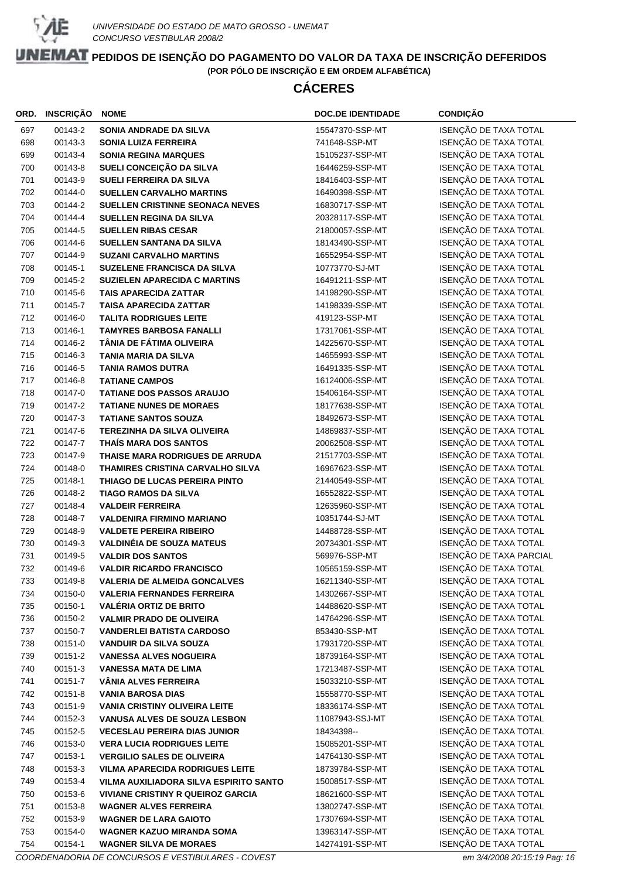

# **CÁCERES**

| ORD.       | INSCRIÇÃO          | <b>NOME</b>                                                  | <b>DOC.DE IDENTIDADE</b>         | <b>CONDIÇÃO</b>                                |
|------------|--------------------|--------------------------------------------------------------|----------------------------------|------------------------------------------------|
| 697        | 00143-2            | SONIA ANDRADE DA SILVA                                       | 15547370-SSP-MT                  | ISENÇÃO DE TAXA TOTAL                          |
| 698        | 00143-3            | <b>SONIA LUIZA FERREIRA</b>                                  | 741648-SSP-MT                    | ISENÇÃO DE TAXA TOTAL                          |
| 699        | 00143-4            | <b>SONIA REGINA MARQUES</b>                                  | 15105237-SSP-MT                  | ISENÇÃO DE TAXA TOTAL                          |
| 700        | 00143-8            | SUELI CONCEIÇÃO DA SILVA                                     | 16446259-SSP-MT                  | ISENÇÃO DE TAXA TOTAL                          |
| 701        | 00143-9            | <b>SUELI FERREIRA DA SILVA</b>                               | 18416403-SSP-MT                  | ISENÇÃO DE TAXA TOTAL                          |
| 702        | 00144-0            | <b>SUELLEN CARVALHO MARTINS</b>                              | 16490398-SSP-MT                  | ISENÇÃO DE TAXA TOTAL                          |
| 703        | 00144-2            | SUELLEN CRISTINNE SEONACA NEVES                              | 16830717-SSP-MT                  | ISENÇÃO DE TAXA TOTAL                          |
| 704        | 00144-4            | <b>SUELLEN REGINA DA SILVA</b>                               | 20328117-SSP-MT                  | ISENÇÃO DE TAXA TOTAL                          |
| 705        | 00144-5            | <b>SUELLEN RIBAS CESAR</b>                                   | 21800057-SSP-MT                  | ISENÇÃO DE TAXA TOTAL                          |
| 706        | 00144-6            | SUELLEN SANTANA DA SILVA                                     | 18143490-SSP-MT                  | ISENÇÃO DE TAXA TOTAL                          |
| 707        | 00144-9            | <b>SUZANI CARVALHO MARTINS</b>                               | 16552954-SSP-MT                  | ISENÇÃO DE TAXA TOTAL                          |
| 708        | 00145-1            | SUZELENE FRANCISCA DA SILVA                                  | 10773770-SJ-MT                   | ISENÇÃO DE TAXA TOTAL                          |
| 709        | 00145-2            | <b>SUZIELEN APARECIDA C MARTINS</b>                          | 16491211-SSP-MT                  | ISENÇÃO DE TAXA TOTAL                          |
| 710        | 00145-6            | <b>TAIS APARECIDA ZATTAR</b>                                 | 14198290-SSP-MT                  | ISENÇÃO DE TAXA TOTAL                          |
| 711        | 00145-7            | <b>TAISA APARECIDA ZATTAR</b>                                | 14198339-SSP-MT                  | ISENÇÃO DE TAXA TOTAL                          |
| 712        | 00146-0            | <b>TALITA RODRIGUES LEITE</b>                                | 419123-SSP-MT                    | ISENÇÃO DE TAXA TOTAL                          |
| 713        | 00146-1            | <b>TAMYRES BARBOSA FANALLI</b>                               | 17317061-SSP-MT                  | ISENÇÃO DE TAXA TOTAL                          |
| 714        | 00146-2            | TÂNIA DE FÁTIMA OLIVEIRA                                     | 14225670-SSP-MT                  | ISENÇÃO DE TAXA TOTAL                          |
| 715        | 00146-3            | <b>TANIA MARIA DA SILVA</b>                                  | 14655993-SSP-MT                  | ISENÇÃO DE TAXA TOTAL                          |
| 716        | 00146-5            | <b>TANIA RAMOS DUTRA</b>                                     | 16491335-SSP-MT                  | ISENÇÃO DE TAXA TOTAL                          |
| 717        | 00146-8            | <b>TATIANE CAMPOS</b>                                        | 16124006-SSP-MT                  | ISENÇÃO DE TAXA TOTAL                          |
| 718        | 00147-0            | <b>TATIANE DOS PASSOS ARAUJO</b>                             | 15406164-SSP-MT                  | ISENÇÃO DE TAXA TOTAL                          |
| 719        | 00147-2            | <b>TATIANE NUNES DE MORAES</b>                               | 18177638-SSP-MT                  | ISENÇÃO DE TAXA TOTAL                          |
| 720        | 00147-3            | <b>TATIANE SANTOS SOUZA</b>                                  | 18492673-SSP-MT                  | ISENÇÃO DE TAXA TOTAL                          |
| 721        | 00147-6            | <b>TEREZINHA DA SILVA OLIVEIRA</b>                           | 14869837-SSP-MT                  | ISENÇÃO DE TAXA TOTAL                          |
| 722        | 00147-7            | THAÍS MARA DOS SANTOS                                        | 20062508-SSP-MT                  | ISENÇÃO DE TAXA TOTAL                          |
| 723        | 00147-9            | THAISE MARA RODRIGUES DE ARRUDA                              | 21517703-SSP-MT                  | ISENÇÃO DE TAXA TOTAL                          |
| 724        | 00148-0            | THAMIRES CRISTINA CARVALHO SILVA                             | 16967623-SSP-MT                  | ISENÇÃO DE TAXA TOTAL                          |
| 725        | 00148-1            | THIAGO DE LUCAS PEREIRA PINTO                                | 21440549-SSP-MT                  | ISENÇÃO DE TAXA TOTAL                          |
| 726        | 00148-2            | TIAGO RAMOS DA SILVA                                         | 16552822-SSP-MT                  | ISENÇÃO DE TAXA TOTAL                          |
| 727        | 00148-4            | <b>VALDEIR FERREIRA</b>                                      | 12635960-SSP-MT                  | ISENÇÃO DE TAXA TOTAL                          |
| 728        | 00148-7            | <b>VALDENIRA FIRMINO MARIANO</b>                             | 10351744-SJ-MT                   | ISENÇÃO DE TAXA TOTAL                          |
| 729        | 00148-9            | <b>VALDETE PEREIRA RIBEIRO</b>                               | 14488728-SSP-MT                  | ISENÇÃO DE TAXA TOTAL                          |
| 730        | 00149-3            | <b>VALDINÉIA DE SOUZA MATEUS</b>                             | 20734301-SSP-MT                  | ISENÇÃO DE TAXA TOTAL                          |
| 731        | 00149-5            | <b>VALDIR DOS SANTOS</b>                                     | 569976-SSP-MT                    | ISENÇÃO DE TAXA PARCIAL                        |
| 732        | 00149-6            | <b>VALDIR RICARDO FRANCISCO</b>                              | 10565159-SSP-MT                  | ISENÇÃO DE TAXA TOTAL                          |
| 733        | 00149-8            | <b>VALERIA DE ALMEIDA GONCALVES</b>                          | 16211340-SSP-MT                  | ISENÇÃO DE TAXA TOTAL                          |
| 734        | 00150-0            | <b>VALERIA FERNANDES FERREIRA</b>                            | 14302667-SSP-MT                  | ISENÇÃO DE TAXA TOTAL                          |
| 735        | 00150-1            | <b>VALÉRIA ORTIZ DE BRITO</b>                                | 14488620-SSP-MT                  | ISENÇÃO DE TAXA TOTAL                          |
| 736        | 00150-2            | <b>VALMIR PRADO DE OLIVEIRA</b>                              | 14764296-SSP-MT                  | ISENÇÃO DE TAXA TOTAL                          |
| 737        | 00150-7            | <b>VANDERLEI BATISTA CARDOSO</b>                             | 853430-SSP-MT<br>17931720-SSP-MT | ISENÇÃO DE TAXA TOTAL<br>ISENÇÃO DE TAXA TOTAL |
| 738<br>739 | 00151-0<br>00151-2 | <b>VANDUIR DA SILVA SOUZA</b>                                | 18739164-SSP-MT                  | ISENÇÃO DE TAXA TOTAL                          |
|            | 00151-3            | <b>VANESSA ALVES NOGUEIRA</b><br><b>VANESSA MATA DE LIMA</b> | 17213487-SSP-MT                  | ISENÇÃO DE TAXA TOTAL                          |
| 740<br>741 | 00151-7            | <b>VÂNIA ALVES FERREIRA</b>                                  | 15033210-SSP-MT                  | ISENÇÃO DE TAXA TOTAL                          |
| 742        | 00151-8            | <b>VANIA BAROSA DIAS</b>                                     | 15558770-SSP-MT                  | ISENÇÃO DE TAXA TOTAL                          |
| 743        | 00151-9            | <b>VANIA CRISTINY OLIVEIRA LEITE</b>                         | 18336174-SSP-MT                  | ISENÇÃO DE TAXA TOTAL                          |
| 744        | 00152-3            | <b>VANUSA ALVES DE SOUZA LESBON</b>                          | 11087943-SSJ-MT                  | ISENÇÃO DE TAXA TOTAL                          |
| 745        | 00152-5            | <b>VECESLAU PEREIRA DIAS JUNIOR</b>                          | 18434398--                       | ISENÇÃO DE TAXA TOTAL                          |
| 746        | 00153-0            | <b>VERA LUCIA RODRIGUES LEITE</b>                            | 15085201-SSP-MT                  | ISENÇÃO DE TAXA TOTAL                          |
| 747        | 00153-1            | <b>VERGILIO SALES DE OLIVEIRA</b>                            | 14764130-SSP-MT                  | ISENÇÃO DE TAXA TOTAL                          |
| 748        | 00153-3            | <b>VILMA APARECIDA RODRIGUES LEITE</b>                       | 18739784-SSP-MT                  | ISENÇÃO DE TAXA TOTAL                          |
| 749        | 00153-4            | VILMA AUXILIADORA SILVA ESPIRITO SANTO                       | 15008517-SSP-MT                  | ISENÇÃO DE TAXA TOTAL                          |
| 750        | 00153-6            | <b>VIVIANE CRISTINY R QUEIROZ GARCIA</b>                     | 18621600-SSP-MT                  | ISENÇÃO DE TAXA TOTAL                          |
| 751        | 00153-8            | <b>WAGNER ALVES FERREIRA</b>                                 | 13802747-SSP-MT                  | ISENÇÃO DE TAXA TOTAL                          |
| 752        | 00153-9            | <b>WAGNER DE LARA GAIOTO</b>                                 | 17307694-SSP-MT                  | ISENÇÃO DE TAXA TOTAL                          |
| 753        | 00154-0            | <b>WAGNER KAZUO MIRANDA SOMA</b>                             | 13963147-SSP-MT                  | ISENÇÃO DE TAXA TOTAL                          |
| 754        | 00154-1            | <b>WAGNER SILVA DE MORAES</b>                                | 14274191-SSP-MT                  | ISENÇÃO DE TAXA TOTAL                          |
|            |                    |                                                              |                                  |                                                |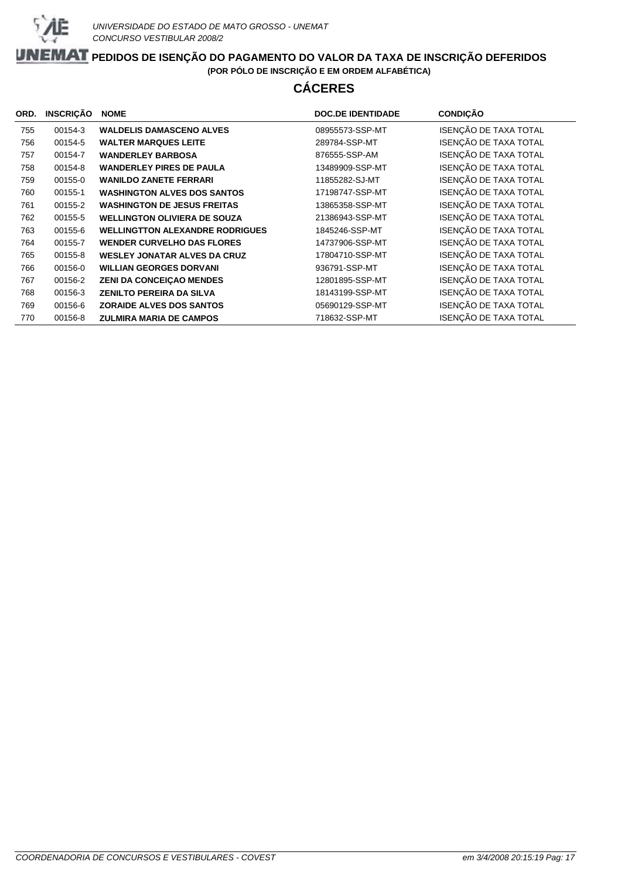

# **CÁCERES**

| ORD. | <b>INSCRIÇÃO</b> | <b>NOME</b>                            | <b>DOC.DE IDENTIDADE</b> | <b>CONDIÇÃO</b>       |
|------|------------------|----------------------------------------|--------------------------|-----------------------|
| 755  | 00154-3          | <b>WALDELIS DAMASCENO ALVES</b>        | 08955573-SSP-MT          | ISENÇÃO DE TAXA TOTAL |
| 756  | 00154-5          | <b>WALTER MARQUES LEITE</b>            | 289784-SSP-MT            | ISENÇÃO DE TAXA TOTAL |
| 757  | 00154-7          | <b>WANDERLEY BARBOSA</b>               | 876555-SSP-AM            | ISENÇÃO DE TAXA TOTAL |
| 758  | 00154-8          | <b>WANDERLEY PIRES DE PAULA</b>        | 13489909-SSP-MT          | ISENÇÃO DE TAXA TOTAL |
| 759  | 00155-0          | <b>WANILDO ZANETE FERRARI</b>          | 11855282-SJ-MT           | ISENÇÃO DE TAXA TOTAL |
| 760  | 00155-1          | <b>WASHINGTON ALVES DOS SANTOS</b>     | 17198747-SSP-MT          | ISENÇÃO DE TAXA TOTAL |
| 761  | 00155-2          | <b>WASHINGTON DE JESUS FREITAS</b>     | 13865358-SSP-MT          | ISENÇÃO DE TAXA TOTAL |
| 762  | 00155-5          | <b>WELLINGTON OLIVIERA DE SOUZA</b>    | 21386943-SSP-MT          | ISENÇÃO DE TAXA TOTAL |
| 763  | 00155-6          | <b>WELLINGTTON ALEXANDRE RODRIGUES</b> | 1845246-SSP-MT           | ISENÇÃO DE TAXA TOTAL |
| 764  | 00155-7          | <b>WENDER CURVELHO DAS FLORES</b>      | 14737906-SSP-MT          | ISENÇÃO DE TAXA TOTAL |
| 765  | 00155-8          | <b>WESLEY JONATAR ALVES DA CRUZ</b>    | 17804710-SSP-MT          | ISENÇÃO DE TAXA TOTAL |
| 766  | 00156-0          | <b>WILLIAN GEORGES DORVANI</b>         | 936791-SSP-MT            | ISENÇÃO DE TAXA TOTAL |
| 767  | 00156-2          | <b>ZENI DA CONCEIÇAO MENDES</b>        | 12801895-SSP-MT          | ISENÇÃO DE TAXA TOTAL |
| 768  | 00156-3          | <b>ZENILTO PEREIRA DA SILVA</b>        | 18143199-SSP-MT          | ISENÇÃO DE TAXA TOTAL |
| 769  | 00156-6          | <b>ZORAIDE ALVES DOS SANTOS</b>        | 05690129-SSP-MT          | ISENÇÃO DE TAXA TOTAL |
| 770  | 00156-8          | <b>ZULMIRA MARIA DE CAMPOS</b>         | 718632-SSP-MT            | ISENÇÃO DE TAXA TOTAL |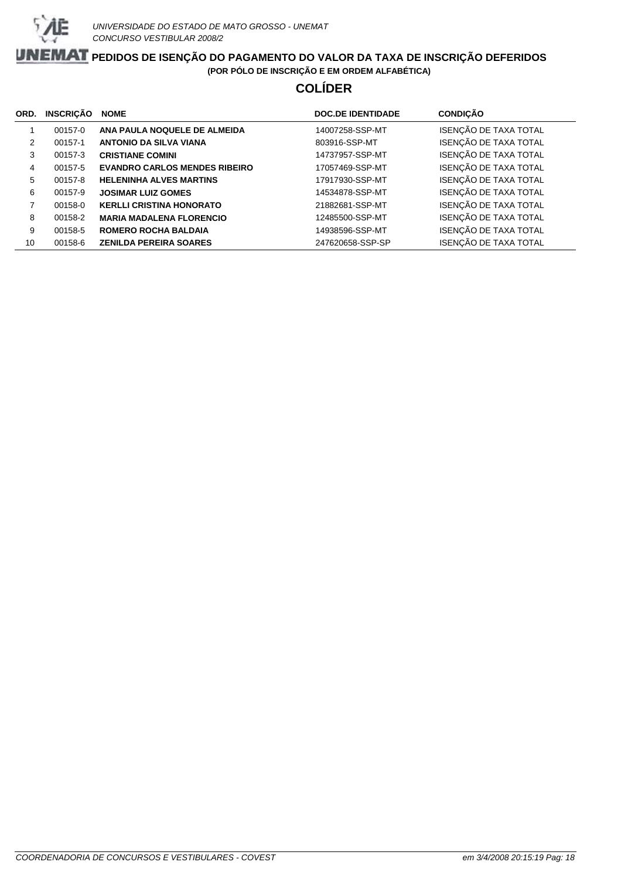

# **COLÍDER**

| ORD. | <b>INSCRICÃO</b> | <b>NOME</b>                          | <b>DOC.DE IDENTIDADE</b> | <b>CONDIÇÃO</b>       |
|------|------------------|--------------------------------------|--------------------------|-----------------------|
|      | 00157-0          | ANA PAULA NOQUELE DE ALMEIDA         | 14007258-SSP-MT          | ISENÇÃO DE TAXA TOTAL |
| 2    | 00157-1          | <b>ANTONIO DA SILVA VIANA</b>        | 803916-SSP-MT            | ISENÇÃO DE TAXA TOTAL |
| 3    | 00157-3          | <b>CRISTIANE COMINI</b>              | 14737957-SSP-MT          | ISENÇÃO DE TAXA TOTAL |
| 4    | 00157-5          | <b>EVANDRO CARLOS MENDES RIBEIRO</b> | 17057469-SSP-MT          | ISENÇÃO DE TAXA TOTAL |
| 5    | 00157-8          | <b>HELENINHA ALVES MARTINS</b>       | 17917930-SSP-MT          | ISENÇÃO DE TAXA TOTAL |
| 6    | 00157-9          | <b>JOSIMAR LUIZ GOMES</b>            | 14534878-SSP-MT          | ISENÇÃO DE TAXA TOTAL |
|      | 00158-0          | <b>KERLLI CRISTINA HONORATO</b>      | 21882681-SSP-MT          | ISENÇÃO DE TAXA TOTAL |
| 8    | 00158-2          | <b>MARIA MADALENA FLORENCIO</b>      | 12485500-SSP-MT          | ISENÇÃO DE TAXA TOTAL |
| 9    | 00158-5          | <b>ROMERO ROCHA BALDAIA</b>          | 14938596-SSP-MT          | ISENÇÃO DE TAXA TOTAL |
| 10   | 00158-6          | <b>ZENILDA PEREIRA SOARES</b>        | 247620658-SSP-SP         | ISENÇÃO DE TAXA TOTAL |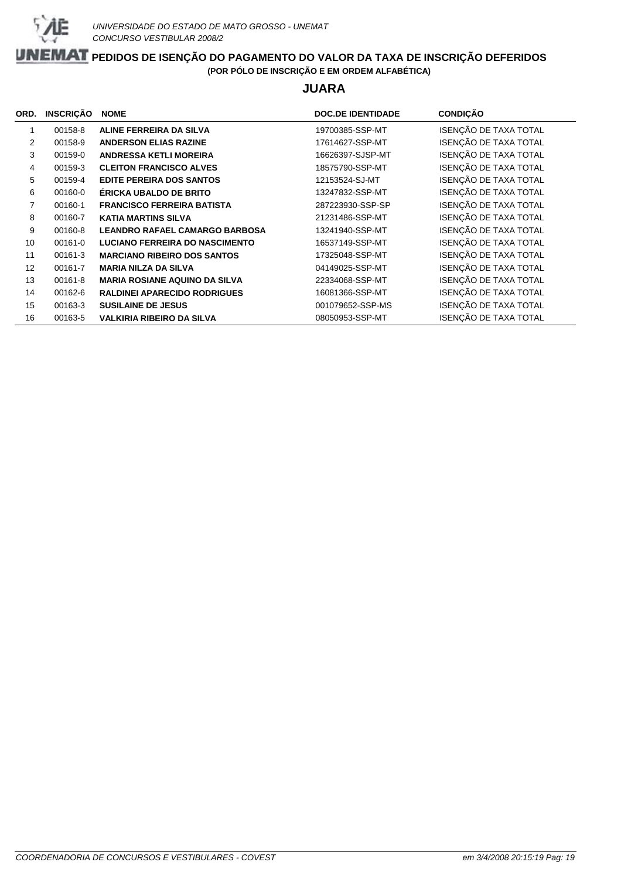

### **JUARA**

| ORD.           | <b>INSCRIÇÃO</b> | <b>NOME</b>                           | <b>DOC.DE IDENTIDADE</b> | <b>CONDIÇÃO</b>       |
|----------------|------------------|---------------------------------------|--------------------------|-----------------------|
| $\mathbf{1}$   | 00158-8          | ALINE FERREIRA DA SILVA               | 19700385-SSP-MT          | ISENÇÃO DE TAXA TOTAL |
| 2              | 00158-9          | <b>ANDERSON ELIAS RAZINE</b>          | 17614627-SSP-MT          | ISENÇÃO DE TAXA TOTAL |
| 3              | 00159-0          | <b>ANDRESSA KETLI MOREIRA</b>         | 16626397-SJSP-MT         | ISENÇÃO DE TAXA TOTAL |
| 4              | 00159-3          | <b>CLEITON FRANCISCO ALVES</b>        | 18575790-SSP-MT          | ISENÇÃO DE TAXA TOTAL |
| 5              | 00159-4          | <b>EDITE PEREIRA DOS SANTOS</b>       | 12153524-SJ-MT           | ISENÇÃO DE TAXA TOTAL |
| 6              | 00160-0          | ÉRICKA UBALDO DE BRITO                | 13247832-SSP-MT          | ISENÇÃO DE TAXA TOTAL |
| $\overline{7}$ | 00160-1          | <b>FRANCISCO FERREIRA BATISTA</b>     | 287223930-SSP-SP         | ISENÇÃO DE TAXA TOTAL |
| 8              | 00160-7          | <b>KATIA MARTINS SILVA</b>            | 21231486-SSP-MT          | ISENÇÃO DE TAXA TOTAL |
| 9              | 00160-8          | <b>LEANDRO RAFAEL CAMARGO BARBOSA</b> | 13241940-SSP-MT          | ISENÇÃO DE TAXA TOTAL |
| 10             | 00161-0          | <b>LUCIANO FERREIRA DO NASCIMENTO</b> | 16537149-SSP-MT          | ISENÇÃO DE TAXA TOTAL |
| 11             | 00161-3          | <b>MARCIANO RIBEIRO DOS SANTOS</b>    | 17325048-SSP-MT          | ISENÇÃO DE TAXA TOTAL |
| 12             | 00161-7          | <b>MARIA NILZA DA SILVA</b>           | 04149025-SSP-MT          | ISENÇÃO DE TAXA TOTAL |
| 13             | 00161-8          | <b>MARIA ROSIANE AQUINO DA SILVA</b>  | 22334068-SSP-MT          | ISENÇÃO DE TAXA TOTAL |
| 14             | 00162-6          | <b>RALDINEI APARECIDO RODRIGUES</b>   | 16081366-SSP-MT          | ISENÇÃO DE TAXA TOTAL |
| 15             | 00163-3          | <b>SUSILAINE DE JESUS</b>             | 001079652-SSP-MS         | ISENÇÃO DE TAXA TOTAL |
| 16             | 00163-5          | <b>VALKIRIA RIBEIRO DA SILVA</b>      | 08050953-SSP-MT          | ISENÇÃO DE TAXA TOTAL |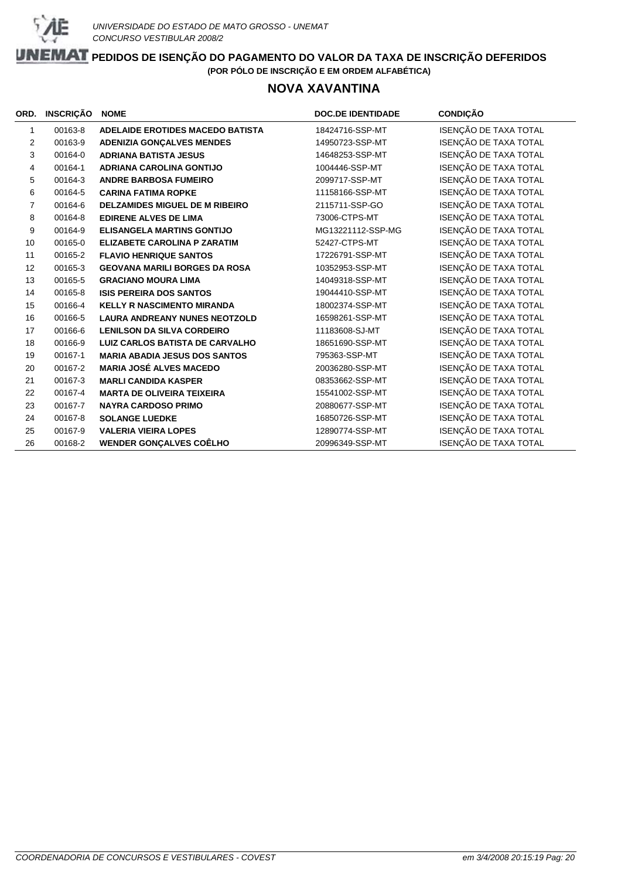

### **NOVA XAVANTINA**

| ORD.           | <b>INSCRIÇÃO</b> | <b>NOME</b>                             | <b>DOC.DE IDENTIDADE</b> | <b>CONDIÇÃO</b>       |
|----------------|------------------|-----------------------------------------|--------------------------|-----------------------|
| 1              | 00163-8          | <b>ADELAIDE EROTIDES MACEDO BATISTA</b> | 18424716-SSP-MT          | ISENÇÃO DE TAXA TOTAL |
| 2              | 00163-9          | <b>ADENIZIA GONÇALVES MENDES</b>        | 14950723-SSP-MT          | ISENÇÃO DE TAXA TOTAL |
| 3              | 00164-0          | <b>ADRIANA BATISTA JESUS</b>            | 14648253-SSP-MT          | ISENÇÃO DE TAXA TOTAL |
| 4              | 00164-1          | <b>ADRIANA CAROLINA GONTIJO</b>         | 1004446-SSP-MT           | ISENÇÃO DE TAXA TOTAL |
| 5              | 00164-3          | <b>ANDRE BARBOSA FUMEIRO</b>            | 2099717-SSP-MT           | ISENÇÃO DE TAXA TOTAL |
| 6              | 00164-5          | <b>CARINA FATIMA ROPKE</b>              | 11158166-SSP-MT          | ISENÇÃO DE TAXA TOTAL |
| $\overline{7}$ | 00164-6          | <b>DELZAMIDES MIGUEL DE M RIBEIRO</b>   | 2115711-SSP-GO           | ISENÇÃO DE TAXA TOTAL |
| 8              | 00164-8          | <b>EDIRENE ALVES DE LIMA</b>            | 73006-CTPS-MT            | ISENÇÃO DE TAXA TOTAL |
| 9              | 00164-9          | <b>ELISANGELA MARTINS GONTIJO</b>       | MG13221112-SSP-MG        | ISENÇÃO DE TAXA TOTAL |
| 10             | 00165-0          | <b>ELIZABETE CAROLINA P ZARATIM</b>     | 52427-CTPS-MT            | ISENÇÃO DE TAXA TOTAL |
| 11             | 00165-2          | <b>FLAVIO HENRIQUE SANTOS</b>           | 17226791-SSP-MT          | ISENÇÃO DE TAXA TOTAL |
| 12             | 00165-3          | <b>GEOVANA MARILI BORGES DA ROSA</b>    | 10352953-SSP-MT          | ISENÇÃO DE TAXA TOTAL |
| 13             | 00165-5          | <b>GRACIANO MOURA LIMA</b>              | 14049318-SSP-MT          | ISENÇÃO DE TAXA TOTAL |
| 14             | 00165-8          | <b>ISIS PEREIRA DOS SANTOS</b>          | 19044410-SSP-MT          | ISENÇÃO DE TAXA TOTAL |
| 15             | 00166-4          | <b>KELLY R NASCIMENTO MIRANDA</b>       | 18002374-SSP-MT          | ISENÇÃO DE TAXA TOTAL |
| 16             | 00166-5          | <b>LAURA ANDREANY NUNES NEOTZOLD</b>    | 16598261-SSP-MT          | ISENÇÃO DE TAXA TOTAL |
| 17             | 00166-6          | <b>LENILSON DA SILVA CORDEIRO</b>       | 11183608-SJ-MT           | ISENÇÃO DE TAXA TOTAL |
| 18             | 00166-9          | <b>LUIZ CARLOS BATISTA DE CARVALHO</b>  | 18651690-SSP-MT          | ISENÇÃO DE TAXA TOTAL |
| 19             | 00167-1          | <b>MARIA ABADIA JESUS DOS SANTOS</b>    | 795363-SSP-MT            | ISENÇÃO DE TAXA TOTAL |
| 20             | 00167-2          | <b>MARIA JOSÉ ALVES MACEDO</b>          | 20036280-SSP-MT          | ISENÇÃO DE TAXA TOTAL |
| 21             | 00167-3          | <b>MARLI CANDIDA KASPER</b>             | 08353662-SSP-MT          | ISENÇÃO DE TAXA TOTAL |
| 22             | 00167-4          | <b>MARTA DE OLIVEIRA TEIXEIRA</b>       | 15541002-SSP-MT          | ISENÇÃO DE TAXA TOTAL |
| 23             | 00167-7          | <b>NAYRA CARDOSO PRIMO</b>              | 20880677-SSP-MT          | ISENÇÃO DE TAXA TOTAL |
| 24             | 00167-8          | <b>SOLANGE LUEDKE</b>                   | 16850726-SSP-MT          | ISENÇÃO DE TAXA TOTAL |
| 25             | 00167-9          | <b>VALERIA VIEIRA LOPES</b>             | 12890774-SSP-MT          | ISENÇÃO DE TAXA TOTAL |
| 26             | 00168-2          | <b>WENDER GONCALVES COÊLHO</b>          | 20996349-SSP-MT          | ISENÇÃO DE TAXA TOTAL |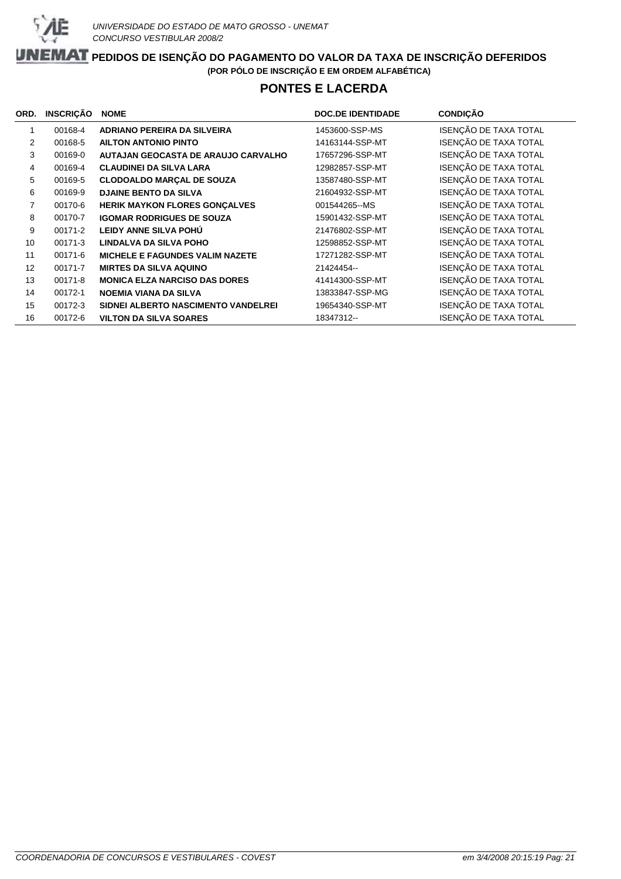

### **PONTES E LACERDA**

| ORD. | <b>INSCRIÇÃO</b> | <b>NOME</b>                            | <b>DOC.DE IDENTIDADE</b> | <b>CONDIÇÃO</b>       |
|------|------------------|----------------------------------------|--------------------------|-----------------------|
| 1    | 00168-4          | <b>ADRIANO PEREIRA DA SILVEIRA</b>     | 1453600-SSP-MS           | ISENÇÃO DE TAXA TOTAL |
| 2    | 00168-5          | <b>AILTON ANTONIO PINTO</b>            | 14163144-SSP-MT          | ISENÇÃO DE TAXA TOTAL |
| 3    | 00169-0          | AUTAJAN GEOCASTA DE ARAUJO CARVALHO    | 17657296-SSP-MT          | ISENÇÃO DE TAXA TOTAL |
| 4    | 00169-4          | <b>CLAUDINEI DA SILVA LARA</b>         | 12982857-SSP-MT          | ISENÇÃO DE TAXA TOTAL |
| 5    | 00169-5          | <b>CLODOALDO MARÇAL DE SOUZA</b>       | 13587480-SSP-MT          | ISENÇÃO DE TAXA TOTAL |
| 6    | 00169-9          | <b>DJAINE BENTO DA SILVA</b>           | 21604932-SSP-MT          | ISENÇÃO DE TAXA TOTAL |
| 7    | 00170-6          | HERIK MAYKON FLORES GONÇALVES          | 001544265--MS            | ISENÇÃO DE TAXA TOTAL |
| 8    | 00170-7          | <b>IGOMAR RODRIGUES DE SOUZA</b>       | 15901432-SSP-MT          | ISENÇÃO DE TAXA TOTAL |
| 9    | 00171-2          | LEIDY ANNE SILVA POHU                  | 21476802-SSP-MT          | ISENÇÃO DE TAXA TOTAL |
| 10   | 00171-3          | LINDALVA DA SILVA POHO                 | 12598852-SSP-MT          | ISENÇÃO DE TAXA TOTAL |
| 11   | 00171-6          | <b>MICHELE E FAGUNDES VALIM NAZETE</b> | 17271282-SSP-MT          | ISENÇÃO DE TAXA TOTAL |
| 12   | 00171-7          | <b>MIRTES DA SILVA AQUINO</b>          | 21424454--               | ISENÇÃO DE TAXA TOTAL |
| 13   | 00171-8          | <b>MONICA ELZA NARCISO DAS DORES</b>   | 41414300-SSP-MT          | ISENÇÃO DE TAXA TOTAL |
| 14   | 00172-1          | <b>NOEMIA VIANA DA SILVA</b>           | 13833847-SSP-MG          | ISENÇÃO DE TAXA TOTAL |
| 15   | 00172-3          | SIDNEI ALBERTO NASCIMENTO VANDELREI    | 19654340-SSP-MT          | ISENÇÃO DE TAXA TOTAL |
| 16   | 00172-6          | <b>VILTON DA SILVA SOARES</b>          | 18347312--               | ISENÇÃO DE TAXA TOTAL |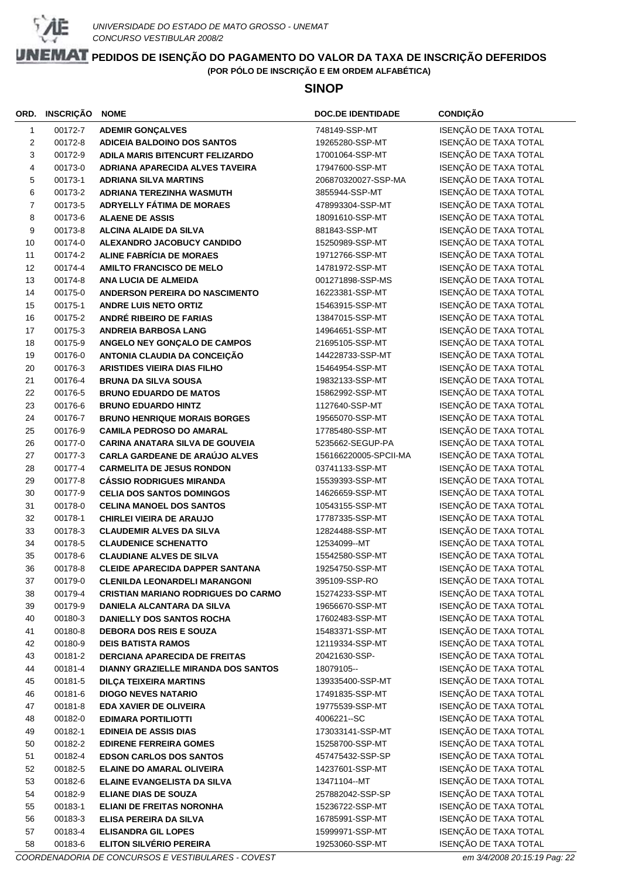

#### **SINOP**

|                | ORD. INSCRIÇÃO     | <b>NOME</b>                                                    | <b>DOC.DE IDENTIDADE</b>        | <b>CONDIÇÃO</b>                                |
|----------------|--------------------|----------------------------------------------------------------|---------------------------------|------------------------------------------------|
| $\mathbf{1}$   | 00172-7            | <b>ADEMIR GONÇALVES</b>                                        | 748149-SSP-MT                   | ISENÇÃO DE TAXA TOTAL                          |
| 2              | 00172-8            | <b>ADICEIA BALDOINO DOS SANTOS</b>                             | 19265280-SSP-MT                 | ISENÇÃO DE TAXA TOTAL                          |
| 3              | 00172-9            | ADILA MARIS BITENCURT FELIZARDO                                | 17001064-SSP-MT                 | ISENÇÃO DE TAXA TOTAL                          |
| 4              | 00173-0            | ADRIANA APARECIDA ALVES TAVEIRA                                | 17947600-SSP-MT                 | ISENÇÃO DE TAXA TOTAL                          |
| 5              | 00173-1            | <b>ADRIANA SILVA MARTINS</b>                                   | 206870320027-SSP-MA             | ISENÇÃO DE TAXA TOTAL                          |
| 6              | 00173-2            | ADRIANA TEREZINHA WASMUTH                                      | 3855944-SSP-MT                  | ISENÇÃO DE TAXA TOTAL                          |
| $\overline{7}$ | 00173-5            | ADRYELLY FÁTIMA DE MORAES                                      | 478993304-SSP-MT                | ISENÇÃO DE TAXA TOTAL                          |
| 8              | 00173-6            | <b>ALAENE DE ASSIS</b>                                         | 18091610-SSP-MT                 | ISENÇÃO DE TAXA TOTAL                          |
| 9              | 00173-8            | <b>ALCINA ALAIDE DA SILVA</b>                                  | 881843-SSP-MT                   | ISENÇÃO DE TAXA TOTAL                          |
| 10             | 00174-0            | ALEXANDRO JACOBUCY CANDIDO                                     | 15250989-SSP-MT                 | ISENÇÃO DE TAXA TOTAL                          |
| 11             | 00174-2            | <b>ALINE FABRÍCIA DE MORAES</b>                                | 19712766-SSP-MT                 | ISENÇÃO DE TAXA TOTAL                          |
| 12             | 00174-4            | <b>AMILTO FRANCISCO DE MELO</b>                                | 14781972-SSP-MT                 | ISENÇÃO DE TAXA TOTAL                          |
| 13             | 00174-8            | ANA LUCIA DE ALMEIDA                                           | 001271898-SSP-MS                | ISENÇÃO DE TAXA TOTAL                          |
| 14             | 00175-0            | ANDERSON PEREIRA DO NASCIMENTO                                 | 16223381-SSP-MT                 | ISENÇÃO DE TAXA TOTAL                          |
| 15             | 00175-1            | <b>ANDRE LUIS NETO ORTIZ</b>                                   | 15463915-SSP-MT                 | ISENÇÃO DE TAXA TOTAL                          |
| 16             | 00175-2            | ANDRÉ RIBEIRO DE FARIAS                                        | 13847015-SSP-MT                 | ISENÇÃO DE TAXA TOTAL                          |
| 17             | 00175-3            | <b>ANDREIA BARBOSA LANG</b>                                    | 14964651-SSP-MT                 | ISENÇÃO DE TAXA TOTAL                          |
| 18             | 00175-9            | ANGELO NEY GONÇALO DE CAMPOS                                   | 21695105-SSP-MT                 | ISENÇÃO DE TAXA TOTAL                          |
| 19             | 00176-0            | ANTONIA CLAUDIA DA CONCEIÇÃO                                   | 144228733-SSP-MT                | ISENÇÃO DE TAXA TOTAL                          |
| 20             | 00176-3            | <b>ARISTIDES VIEIRA DIAS FILHO</b>                             | 15464954-SSP-MT                 | ISENÇÃO DE TAXA TOTAL                          |
| 21             | 00176-4            | <b>BRUNA DA SILVA SOUSA</b>                                    | 19832133-SSP-MT                 | ISENÇÃO DE TAXA TOTAL                          |
| 22             | 00176-5            | <b>BRUNO EDUARDO DE MATOS</b>                                  | 15862992-SSP-MT                 | ISENÇÃO DE TAXA TOTAL                          |
| 23             | 00176-6            | <b>BRUNO EDUARDO HINTZ</b>                                     | 1127640-SSP-MT                  | ISENÇÃO DE TAXA TOTAL                          |
| 24             | 00176-7            | <b>BRUNO HENRIQUE MORAIS BORGES</b>                            | 19565070-SSP-MT                 | ISENÇÃO DE TAXA TOTAL                          |
| 25             | 00176-9            | <b>CAMILA PEDROSO DO AMARAL</b>                                | 17785480-SSP-MT                 | ISENÇÃO DE TAXA TOTAL                          |
| 26             | 00177-0            | <b>CARINA ANATARA SILVA DE GOUVEIA</b>                         | 5235662-SEGUP-PA                | ISENÇÃO DE TAXA TOTAL                          |
| 27             | 00177-3            | CARLA GARDEANE DE ARAÚJO ALVES                                 | 156166220005-SPCII-MA           | ISENÇÃO DE TAXA TOTAL                          |
| 28             | 00177-4            | <b>CARMELITA DE JESUS RONDON</b>                               | 03741133-SSP-MT                 | ISENÇÃO DE TAXA TOTAL                          |
| 29             | 00177-8            | <b>CÁSSIO RODRIGUES MIRANDA</b>                                | 15539393-SSP-MT                 | ISENÇÃO DE TAXA TOTAL                          |
| 30             | 00177-9            | <b>CELIA DOS SANTOS DOMINGOS</b>                               | 14626659-SSP-MT                 | ISENÇÃO DE TAXA TOTAL                          |
| 31             | 00178-0            | <b>CELINA MANOEL DOS SANTOS</b>                                | 10543155-SSP-MT                 | ISENÇÃO DE TAXA TOTAL                          |
| 32             | 00178-1            | <b>CHIRLEI VIEIRA DE ARAUJO</b>                                | 17787335-SSP-MT                 | ISENÇÃO DE TAXA TOTAL<br>ISENÇÃO DE TAXA TOTAL |
| 33             | 00178-3            | <b>CLAUDEMIR ALVES DA SILVA</b>                                | 12824488-SSP-MT                 |                                                |
| 34<br>35       | 00178-5<br>00178-6 | <b>CLAUDENICE SCHENATTO</b><br><b>CLAUDIANE ALVES DE SILVA</b> | 12534099--MT<br>15542580-SSP-MT | ISENÇÃO DE TAXA TOTAL<br>ISENÇÃO DE TAXA TOTAL |
| 36             | 00178-8            | <b>CLEIDE APARECIDA DAPPER SANTANA</b>                         | 19254750-SSP-MT                 | ISENÇÃO DE TAXA TOTAL                          |
| 37             | 00179-0            | <b>CLENILDA LEONARDELI MARANGONI</b>                           | 395109-SSP-RO                   | ISENÇÃO DE TAXA TOTAL                          |
| 38             | 00179-4            | <b>CRISTIAN MARIANO RODRIGUES DO CARMO</b>                     | 15274233-SSP-MT                 | ISENÇÃO DE TAXA TOTAL                          |
| 39             | 00179-9            | DANIELA ALCANTARA DA SILVA                                     | 19656670-SSP-MT                 | ISENÇÃO DE TAXA TOTAL                          |
| 40             | 00180-3            | <b>DANIELLY DOS SANTOS ROCHA</b>                               | 17602483-SSP-MT                 | ISENÇÃO DE TAXA TOTAL                          |
| 41             | 00180-8            | <b>DEBORA DOS REIS E SOUZA</b>                                 | 15483371-SSP-MT                 | ISENÇÃO DE TAXA TOTAL                          |
| 42             | 00180-9            | <b>DEIS BATISTA RAMOS</b>                                      | 12119334-SSP-MT                 | ISENÇÃO DE TAXA TOTAL                          |
| 43             | 00181-2            | <b>DERCIANA APARECIDA DE FREITAS</b>                           | 20421630-SSP-                   | ISENÇÃO DE TAXA TOTAL                          |
| 44             | 00181-4            | <b>DIANNY GRAZIELLE MIRANDA DOS SANTOS</b>                     | 18079105--                      | ISENÇÃO DE TAXA TOTAL                          |
| 45             | 00181-5            | <b>DILÇA TEIXEIRA MARTINS</b>                                  | 139335400-SSP-MT                | ISENÇÃO DE TAXA TOTAL                          |
| 46             | 00181-6            | <b>DIOGO NEVES NATARIO</b>                                     | 17491835-SSP-MT                 | ISENÇÃO DE TAXA TOTAL                          |
| 47             | 00181-8            | EDA XAVIER DE OLIVEIRA                                         | 19775539-SSP-MT                 | ISENÇÃO DE TAXA TOTAL                          |
| 48             | 00182-0            | <b>EDIMARA PORTILIOTTI</b>                                     | 4006221-SC                      | ISENÇÃO DE TAXA TOTAL                          |
| 49             | 00182-1            | <b>EDINEIA DE ASSIS DIAS</b>                                   | 173033141-SSP-MT                | ISENÇÃO DE TAXA TOTAL                          |
| 50             | 00182-2            | <b>EDIRENE FERREIRA GOMES</b>                                  | 15258700-SSP-MT                 | ISENÇÃO DE TAXA TOTAL                          |
| 51             | 00182-4            | <b>EDSON CARLOS DOS SANTOS</b>                                 | 457475432-SSP-SP                | ISENÇÃO DE TAXA TOTAL                          |
| 52             | 00182-5            | <b>ELAINE DO AMARAL OLIVEIRA</b>                               | 14237601-SSP-MT                 | ISENÇÃO DE TAXA TOTAL                          |
| 53             | 00182-6            | ELAINE EVANGELISTA DA SILVA                                    | 13471104--MT                    | ISENÇÃO DE TAXA TOTAL                          |
| 54             | 00182-9            | <b>ELIANE DIAS DE SOUZA</b>                                    | 257882042-SSP-SP                | ISENÇÃO DE TAXA TOTAL                          |
| 55             | 00183-1            | <b>ELIANI DE FREITAS NORONHA</b>                               | 15236722-SSP-MT                 | ISENÇÃO DE TAXA TOTAL                          |
| 56             | 00183-3            | ELISA PEREIRA DA SILVA                                         | 16785991-SSP-MT                 | ISENÇÃO DE TAXA TOTAL                          |
| 57             | 00183-4            | <b>ELISANDRA GIL LOPES</b>                                     | 15999971-SSP-MT                 | ISENÇÃO DE TAXA TOTAL                          |
| 58             | 00183-6            | ELITON SILVÉRIO PEREIRA                                        | 19253060-SSP-MT                 | ISENÇÃO DE TAXA TOTAL                          |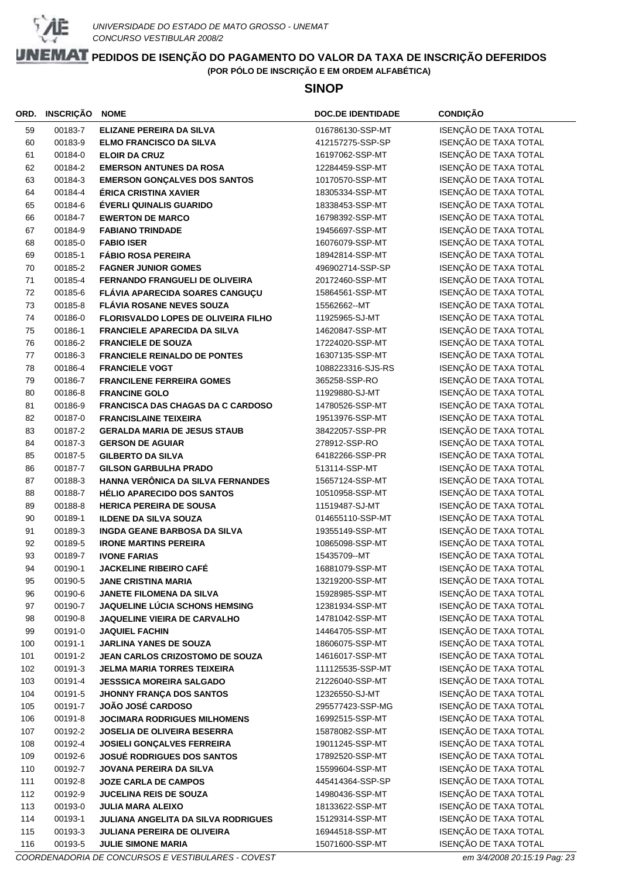

#### **SINOP**

| ORD.     | <b>INSCRIÇÃO</b>   | <b>NOME</b>                                                            | <b>DOC.DE IDENTIDADE</b>           | <b>CONDIÇÃO</b>                                |
|----------|--------------------|------------------------------------------------------------------------|------------------------------------|------------------------------------------------|
| 59       | 00183-7            | <b>ELIZANE PEREIRA DA SILVA</b>                                        | 016786130-SSP-MT                   | ISENÇÃO DE TAXA TOTAL                          |
| 60       | 00183-9            | <b>ELMO FRANCISCO DA SILVA</b>                                         | 412157275-SSP-SP                   | ISENÇÃO DE TAXA TOTAL                          |
| 61       | 00184-0            | <b>ELOIR DA CRUZ</b>                                                   | 16197062-SSP-MT                    | ISENÇÃO DE TAXA TOTAL                          |
| 62       | 00184-2            | <b>EMERSON ANTUNES DA ROSA</b>                                         | 12284459-SSP-MT                    | ISENÇÃO DE TAXA TOTAL                          |
| 63       | 00184-3            | <b>EMERSON GONÇALVES DOS SANTOS</b>                                    | 10170570-SSP-MT                    | ISENÇÃO DE TAXA TOTAL                          |
| 64       | 00184-4            | ÉRICA CRISTINA XAVIER                                                  | 18305334-SSP-MT                    | ISENÇÃO DE TAXA TOTAL                          |
| 65       | 00184-6            | ÉVERLI QUINALIS GUARIDO                                                | 18338453-SSP-MT                    | ISENÇÃO DE TAXA TOTAL                          |
| 66       | 00184-7            | <b>EWERTON DE MARCO</b>                                                | 16798392-SSP-MT                    | ISENÇÃO DE TAXA TOTAL                          |
| 67       | 00184-9            | <b>FABIANO TRINDADE</b>                                                | 19456697-SSP-MT                    | ISENÇÃO DE TAXA TOTAL                          |
| 68       | 00185-0            | <b>FABIO ISER</b>                                                      | 16076079-SSP-MT                    | ISENÇÃO DE TAXA TOTAL                          |
| 69       | 00185-1            | <b>FÁBIO ROSA PEREIRA</b>                                              | 18942814-SSP-MT                    | ISENÇÃO DE TAXA TOTAL                          |
| 70       | 00185-2            | <b>FAGNER JUNIOR GOMES</b>                                             | 496902714-SSP-SP                   | ISENÇÃO DE TAXA TOTAL                          |
| 71       | 00185-4            | <b>FERNANDO FRANGUELI DE OLIVEIRA</b>                                  | 20172460-SSP-MT                    | ISENÇÃO DE TAXA TOTAL                          |
| 72       | 00185-6            | FLÁVIA APARECIDA SOARES CANGUÇU                                        | 15864561-SSP-MT                    | ISENÇÃO DE TAXA TOTAL                          |
| 73       | 00185-8            | <b>FLÁVIA ROSANE NEVES SOUZA</b>                                       | 15562662--MT                       | ISENÇÃO DE TAXA TOTAL                          |
| 74       | 00186-0            | FLORISVALDO LOPES DE OLIVEIRA FILHO                                    | 11925965-SJ-MT                     | ISENÇÃO DE TAXA TOTAL                          |
| 75       | 00186-1            | <b>FRANCIELE APARECIDA DA SILVA</b>                                    | 14620847-SSP-MT                    | ISENÇÃO DE TAXA TOTAL                          |
| 76       | 00186-2            | <b>FRANCIELE DE SOUZA</b>                                              | 17224020-SSP-MT                    | ISENÇÃO DE TAXA TOTAL                          |
| 77       | 00186-3            | <b>FRANCIELE REINALDO DE PONTES</b>                                    | 16307135-SSP-MT                    | ISENÇÃO DE TAXA TOTAL                          |
| 78       | 00186-4            | <b>FRANCIELE VOGT</b>                                                  | 1088223316-SJS-RS                  | ISENÇÃO DE TAXA TOTAL                          |
| 79       | 00186-7            | <b>FRANCILENE FERREIRA GOMES</b>                                       | 365258-SSP-RO                      | ISENÇÃO DE TAXA TOTAL                          |
| 80       | 00186-8            | <b>FRANCINE GOLO</b>                                                   | 11929880-SJ-MT                     | ISENÇÃO DE TAXA TOTAL                          |
| 81       | 00186-9            | <b>FRANCISCA DAS CHAGAS DA C CARDOSO</b>                               | 14780526-SSP-MT                    | ISENÇÃO DE TAXA TOTAL                          |
| 82       | 00187-0            | <b>FRANCISLAINE TEIXEIRA</b>                                           | 19513976-SSP-MT                    | ISENÇÃO DE TAXA TOTAL                          |
| 83       | 00187-2            | <b>GERALDA MARIA DE JESUS STAUB</b>                                    | 38422057-SSP-PR                    | ISENÇÃO DE TAXA TOTAL                          |
| 84       | 00187-3            | <b>GERSON DE AGUIAR</b>                                                | 278912-SSP-RO                      | ISENÇÃO DE TAXA TOTAL                          |
| 85       | 00187-5            | <b>GILBERTO DA SILVA</b>                                               | 64182266-SSP-PR                    | ISENÇÃO DE TAXA TOTAL                          |
| 86       | 00187-7            | <b>GILSON GARBULHA PRADO</b>                                           | 513114-SSP-MT                      | ISENÇÃO DE TAXA TOTAL<br>ISENÇÃO DE TAXA TOTAL |
| 87<br>88 | 00188-3<br>00188-7 | HANNA VERÔNICA DA SILVA FERNANDES<br><b>HÉLIO APARECIDO DOS SANTOS</b> | 15657124-SSP-MT<br>10510958-SSP-MT | ISENÇÃO DE TAXA TOTAL                          |
| 89       | 00188-8            | <b>HERICA PEREIRA DE SOUSA</b>                                         | 11519487-SJ-MT                     | ISENÇÃO DE TAXA TOTAL                          |
| 90       | 00189-1            | <b>ILDENE DA SILVA SOUZA</b>                                           | 014655110-SSP-MT                   | ISENÇÃO DE TAXA TOTAL                          |
| 91       | 00189-3            | <b>INGDA GEANE BARBOSA DA SILVA</b>                                    | 19355149-SSP-MT                    | ISENÇÃO DE TAXA TOTAL                          |
| 92       | 00189-5            | <b>IRONE MARTINS PEREIRA</b>                                           | 10865098-SSP-MT                    | ISENÇÃO DE TAXA TOTAL                          |
| 93       | 00189-7            | <b>IVONE FARIAS</b>                                                    | 15435709--MT                       | ISENÇÃO DE TAXA TOTAL                          |
| 94       | 00190-1            | <b>JACKELINE RIBEIRO CAFÉ</b>                                          | 16881079-SSP-MT                    | ISENÇÃO DE TAXA TOTAL                          |
| 95       | 00190-5            | <b>JANE CRISTINA MARIA</b>                                             | 13219200-SSP-MT                    | <b>ISENÇÃO DE TAXA TOTAL</b>                   |
| 96       | 00190-6            | JANETE FILOMENA DA SILVA                                               | 15928985-SSP-MT                    | ISENÇÃO DE TAXA TOTAL                          |
| 97       | 00190-7            | <b>JAQUELINE LÚCIA SCHONS HEMSING</b>                                  | 12381934-SSP-MT                    | ISENÇÃO DE TAXA TOTAL                          |
| 98       | 00190-8            | <b>JAQUELINE VIEIRA DE CARVALHO</b>                                    | 14781042-SSP-MT                    | ISENÇÃO DE TAXA TOTAL                          |
| 99       | 00191-0            | <b>JAQUIEL FACHIN</b>                                                  | 14464705-SSP-MT                    | ISENÇÃO DE TAXA TOTAL                          |
| 100      | 00191-1            | <b>JARLINA YANES DE SOUZA</b>                                          | 18606075-SSP-MT                    | ISENÇÃO DE TAXA TOTAL                          |
| 101      | 00191-2            | <b>JEAN CARLOS CRIZOSTOMO DE SOUZA</b>                                 | 14616017-SSP-MT                    | ISENÇÃO DE TAXA TOTAL                          |
| 102      | 00191-3            | <b>JELMA MARIA TORRES TEIXEIRA</b>                                     | 111125535-SSP-MT                   | ISENÇÃO DE TAXA TOTAL                          |
| 103      | 00191-4            | <b>JESSSICA MOREIRA SALGADO</b>                                        | 21226040-SSP-MT                    | ISENÇÃO DE TAXA TOTAL                          |
| 104      | 00191-5            | JHONNY FRANÇA DOS SANTOS                                               | 12326550-SJ-MT                     | ISENÇÃO DE TAXA TOTAL                          |
| 105      | 00191-7            | <b>JOÃO JOSÉ CARDOSO</b>                                               | 295577423-SSP-MG                   | ISENÇÃO DE TAXA TOTAL                          |
| 106      | 00191-8            | <b>JOCIMARA RODRIGUES MILHOMENS</b>                                    | 16992515-SSP-MT                    | ISENÇÃO DE TAXA TOTAL                          |
| 107      | 00192-2            | <b>JOSELIA DE OLIVEIRA BESERRA</b>                                     | 15878082-SSP-MT                    | ISENÇÃO DE TAXA TOTAL                          |
| 108      | 00192-4            | <b>JOSIELI GONÇALVES FERREIRA</b>                                      | 19011245-SSP-MT                    | ISENÇÃO DE TAXA TOTAL                          |
| 109      | 00192-6            | <b>JOSUÉ RODRIGUES DOS SANTOS</b>                                      | 17892520-SSP-MT                    | ISENÇÃO DE TAXA TOTAL                          |
| 110      | 00192-7            | JOVANA PEREIRA DA SILVA                                                | 15599604-SSP-MT                    | ISENÇÃO DE TAXA TOTAL                          |
| 111      | 00192-8            | <b>JOZE CARLA DE CAMPOS</b>                                            | 445414364-SSP-SP                   | ISENÇÃO DE TAXA TOTAL                          |
| 112      | 00192-9            | <b>JUCELINA REIS DE SOUZA</b>                                          | 14980436-SSP-MT                    | ISENÇÃO DE TAXA TOTAL                          |
| 113      | 00193-0            | <b>JULIA MARA ALEIXO</b>                                               | 18133622-SSP-MT                    | ISENÇÃO DE TAXA TOTAL                          |
| 114      | 00193-1            | JULIANA ANGELITA DA SILVA RODRIGUES                                    | 15129314-SSP-MT                    | ISENÇÃO DE TAXA TOTAL                          |
| 115      | 00193-3            | <b>JULIANA PEREIRA DE OLIVEIRA</b>                                     | 16944518-SSP-MT                    | ISENÇÃO DE TAXA TOTAL                          |
| 116      | 00193-5            | <b>JULIE SIMONE MARIA</b>                                              | 15071600-SSP-MT                    | ISENÇÃO DE TAXA TOTAL                          |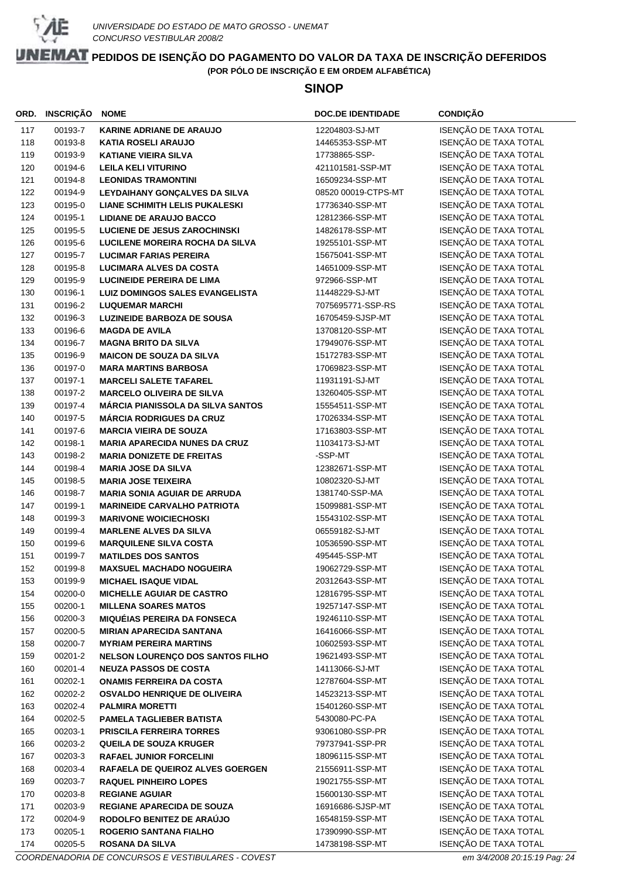

#### **SINOP**

| ORD. | INSCRIÇÃO | <b>NOME</b>                              | <b>DOC.DE IDENTIDADE</b> | <b>CONDIÇÃO</b>       |
|------|-----------|------------------------------------------|--------------------------|-----------------------|
| 117  | 00193-7   | <b>KARINE ADRIANE DE ARAUJO</b>          | 12204803-SJ-MT           | ISENÇÃO DE TAXA TOTAL |
| 118  | 00193-8   | <b>KATIA ROSELI ARAUJO</b>               | 14465353-SSP-MT          | ISENÇÃO DE TAXA TOTAL |
| 119  | 00193-9   | <b>KATIANE VIEIRA SILVA</b>              | 17738865-SSP-            | ISENÇÃO DE TAXA TOTAL |
| 120  | 00194-6   | <b>LEILA KELI VITURINO</b>               | 421101581-SSP-MT         | ISENÇÃO DE TAXA TOTAL |
| 121  | 00194-8   | <b>LEONIDAS TRAMONTINI</b>               | 16509234-SSP-MT          | ISENÇÃO DE TAXA TOTAL |
| 122  | 00194-9   | LEYDAIHANY GONÇALVES DA SILVA            | 08520 00019-CTPS-MT      | ISENÇÃO DE TAXA TOTAL |
| 123  | 00195-0   | <b>LIANE SCHIMITH LELIS PUKALESKI</b>    | 17736340-SSP-MT          | ISENÇÃO DE TAXA TOTAL |
| 124  | 00195-1   | <b>LIDIANE DE ARAUJO BACCO</b>           | 12812366-SSP-MT          | ISENÇÃO DE TAXA TOTAL |
| 125  | 00195-5   | <b>LUCIENE DE JESUS ZAROCHINSKI</b>      | 14826178-SSP-MT          | ISENÇÃO DE TAXA TOTAL |
| 126  | 00195-6   | <b>LUCILENE MOREIRA ROCHA DA SILVA</b>   | 19255101-SSP-MT          | ISENÇÃO DE TAXA TOTAL |
| 127  | 00195-7   | <b>LUCIMAR FARIAS PEREIRA</b>            | 15675041-SSP-MT          | ISENÇÃO DE TAXA TOTAL |
| 128  | 00195-8   | <b>LUCIMARA ALVES DA COSTA</b>           | 14651009-SSP-MT          | ISENÇÃO DE TAXA TOTAL |
| 129  | 00195-9   | <b>LUCINEIDE PEREIRA DE LIMA</b>         | 972966-SSP-MT            | ISENÇÃO DE TAXA TOTAL |
| 130  | 00196-1   | <b>LUIZ DOMINGOS SALES EVANGELISTA</b>   | 11448229-SJ-MT           | ISENÇÃO DE TAXA TOTAL |
| 131  | 00196-2   | <b>LUQUEMAR MARCHI</b>                   | 7075695771-SSP-RS        | ISENÇÃO DE TAXA TOTAL |
| 132  | 00196-3   | <b>LUZINEIDE BARBOZA DE SOUSA</b>        | 16705459-SJSP-MT         | ISENÇÃO DE TAXA TOTAL |
| 133  | 00196-6   | <b>MAGDA DE AVILA</b>                    | 13708120-SSP-MT          | ISENÇÃO DE TAXA TOTAL |
| 134  | 00196-7   | <b>MAGNA BRITO DA SILVA</b>              | 17949076-SSP-MT          | ISENÇÃO DE TAXA TOTAL |
| 135  | 00196-9   | <b>MAICON DE SOUZA DA SILVA</b>          | 15172783-SSP-MT          | ISENÇÃO DE TAXA TOTAL |
| 136  | 00197-0   | <b>MARA MARTINS BARBOSA</b>              | 17069823-SSP-MT          | ISENÇÃO DE TAXA TOTAL |
| 137  | 00197-1   | <b>MARCELI SALETE TAFAREL</b>            | 11931191-SJ-MT           | ISENÇÃO DE TAXA TOTAL |
| 138  | 00197-2   | <b>MARCELO OLIVEIRA DE SILVA</b>         | 13260405-SSP-MT          | ISENÇÃO DE TAXA TOTAL |
| 139  | 00197-4   | <b>MÁRCIA PIANISSOLA DA SILVA SANTOS</b> | 15554511-SSP-MT          | ISENÇÃO DE TAXA TOTAL |
| 140  | 00197-5   | <b>MÁRCIA RODRIGUES DA CRUZ</b>          | 17026334-SSP-MT          | ISENÇÃO DE TAXA TOTAL |
| 141  | 00197-6   | <b>MARCIA VIEIRA DE SOUZA</b>            | 17163803-SSP-MT          | ISENÇÃO DE TAXA TOTAL |
| 142  | 00198-1   | <b>MARIA APARECIDA NUNES DA CRUZ</b>     | 11034173-SJ-MT           | ISENÇÃO DE TAXA TOTAL |
| 143  | 00198-2   | <b>MARIA DONIZETE DE FREITAS</b>         | -SSP-MT                  | ISENÇÃO DE TAXA TOTAL |
| 144  | 00198-4   | <b>MARIA JOSE DA SILVA</b>               | 12382671-SSP-MT          | ISENÇÃO DE TAXA TOTAL |
| 145  | 00198-5   | <b>MARIA JOSE TEIXEIRA</b>               | 10802320-SJ-MT           | ISENÇÃO DE TAXA TOTAL |
| 146  | 00198-7   | <b>MARIA SONIA AGUIAR DE ARRUDA</b>      | 1381740-SSP-MA           | ISENÇÃO DE TAXA TOTAL |
| 147  | 00199-1   | <b>MARINEIDE CARVALHO PATRIOTA</b>       | 15099881-SSP-MT          | ISENÇÃO DE TAXA TOTAL |
| 148  | 00199-3   | <b>MARIVONE WOICIECHOSKI</b>             | 15543102-SSP-MT          | ISENÇÃO DE TAXA TOTAL |
| 149  | 00199-4   | <b>MARLENE ALVES DA SILVA</b>            | 06559182-SJ-MT           | ISENÇÃO DE TAXA TOTAL |
| 150  | 00199-6   | <b>MARQUILENE SILVA COSTA</b>            | 10536590-SSP-MT          | ISENÇÃO DE TAXA TOTAL |
| 151  | 00199-7   | <b>MATILDES DOS SANTOS</b>               | 495445-SSP-MT            | ISENÇÃO DE TAXA TOTAL |
| 152  | 00199-8   | <b>MAXSUEL MACHADO NOGUEIRA</b>          | 19062729-SSP-MT          | ISENÇÃO DE TAXA TOTAL |
| 153  | 00199-9   | <b>MICHAEL ISAQUE VIDAL</b>              | 20312643-SSP-MT          | ISENÇÃO DE TAXA TOTAL |
| 154  | 00200-0   | <b>MICHELLE AGUIAR DE CASTRO</b>         | 12816795-SSP-MT          | ISENÇÃO DE TAXA TOTAL |
| 155  | 00200-1   | <b>MILLENA SOARES MATOS</b>              | 19257147-SSP-MT          | ISENÇÃO DE TAXA TOTAL |
| 156  | 00200-3   | <b>MIQUÉIAS PEREIRA DA FONSECA</b>       | 19246110-SSP-MT          | ISENÇÃO DE TAXA TOTAL |
| 157  | 00200-5   | <b>MIRIAN APARECIDA SANTANA</b>          | 16416066-SSP-MT          | ISENÇÃO DE TAXA TOTAL |
| 158  | 00200-7   | <b>MYRIAM PEREIRA MARTINS</b>            | 10602593-SSP-MT          | ISENÇÃO DE TAXA TOTAL |
| 159  | 00201-2   | NELSON LOURENÇO DOS SANTOS FILHO         | 19621493-SSP-MT          | ISENÇÃO DE TAXA TOTAL |
| 160  | 00201-4   | <b>NEUZA PASSOS DE COSTA</b>             | 14113066-SJ-MT           | ISENÇÃO DE TAXA TOTAL |
| 161  | 00202-1   | <b>ONAMIS FERREIRA DA COSTA</b>          | 12787604-SSP-MT          | ISENÇÃO DE TAXA TOTAL |
| 162  | 00202-2   | <b>OSVALDO HENRIQUE DE OLIVEIRA</b>      | 14523213-SSP-MT          | ISENÇÃO DE TAXA TOTAL |
| 163  | 00202-4   | <b>PALMIRA MORETTI</b>                   | 15401260-SSP-MT          | ISENÇÃO DE TAXA TOTAL |
| 164  | 00202-5   | PAMELA TAGLIEBER BATISTA                 | 5430080-PC-PA            | ISENÇÃO DE TAXA TOTAL |
| 165  | 00203-1   | <b>PRISCILA FERREIRA TORRES</b>          | 93061080-SSP-PR          | ISENÇÃO DE TAXA TOTAL |
| 166  | 00203-2   | <b>QUEILA DE SOUZA KRUGER</b>            | 79737941-SSP-PR          | ISENÇÃO DE TAXA TOTAL |
| 167  | 00203-3   | <b>RAFAEL JUNIOR FORCELINI</b>           | 18096115-SSP-MT          | ISENÇÃO DE TAXA TOTAL |
| 168  | 00203-4   | RAFAELA DE QUEIROZ ALVES GOERGEN         | 21556911-SSP-MT          | ISENÇÃO DE TAXA TOTAL |
| 169  | 00203-7   | <b>RAQUEL PINHEIRO LOPES</b>             | 19021755-SSP-MT          | ISENÇÃO DE TAXA TOTAL |
| 170  | 00203-8   | <b>REGIANE AGUIAR</b>                    | 15600130-SSP-MT          | ISENÇÃO DE TAXA TOTAL |
| 171  | 00203-9   | <b>REGIANE APARECIDA DE SOUZA</b>        | 16916686-SJSP-MT         | ISENÇÃO DE TAXA TOTAL |
| 172  | 00204-9   | RODOLFO BENITEZ DE ARAÚJO                | 16548159-SSP-MT          | ISENÇÃO DE TAXA TOTAL |
| 173  | 00205-1   | <b>ROGERIO SANTANA FIALHO</b>            | 17390990-SSP-MT          | ISENÇÃO DE TAXA TOTAL |
| 174  | 00205-5   | <b>ROSANA DA SILVA</b>                   | 14738198-SSP-MT          | ISENÇÃO DE TAXA TOTAL |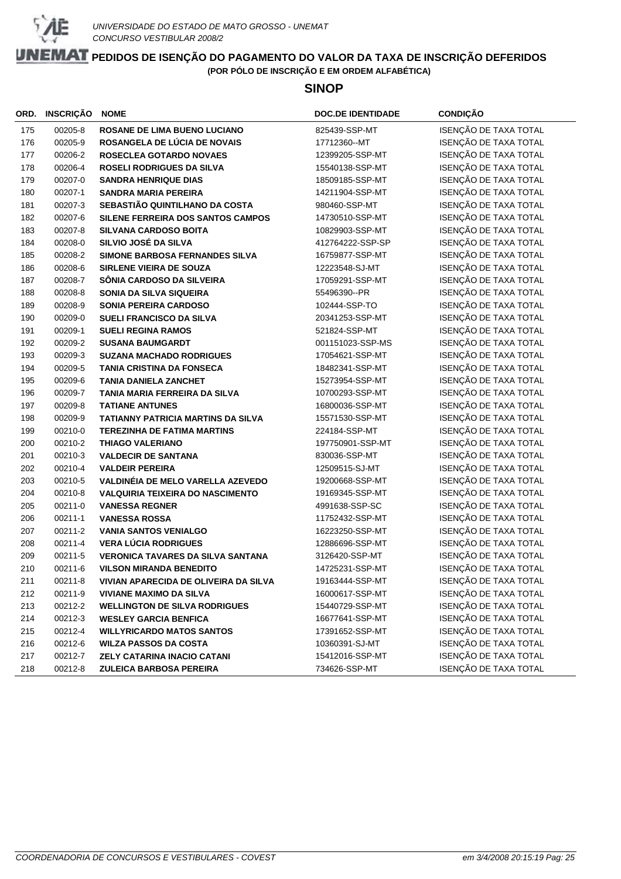

### **SINOP**

| ORD. | <b>INSCRIÇÃO</b> | <b>NOME</b>                               | <b>DOC.DE IDENTIDADE</b> | <b>CONDIÇÃO</b>       |
|------|------------------|-------------------------------------------|--------------------------|-----------------------|
| 175  | 00205-8          | <b>ROSANE DE LIMA BUENO LUCIANO</b>       | 825439-SSP-MT            | ISENÇÃO DE TAXA TOTAL |
| 176  | 00205-9          | ROSANGELA DE LÚCIA DE NOVAIS              | 17712360--MT             | ISENÇÃO DE TAXA TOTAL |
| 177  | 00206-2          | <b>ROSECLEA GOTARDO NOVAES</b>            | 12399205-SSP-MT          | ISENÇÃO DE TAXA TOTAL |
| 178  | 00206-4          | <b>ROSELI RODRIGUES DA SILVA</b>          | 15540138-SSP-MT          | ISENÇÃO DE TAXA TOTAL |
| 179  | 00207-0          | <b>SANDRA HENRIQUE DIAS</b>               | 18509185-SSP-MT          | ISENÇÃO DE TAXA TOTAL |
| 180  | 00207-1          | <b>SANDRA MARIA PEREIRA</b>               | 14211904-SSP-MT          | ISENÇÃO DE TAXA TOTAL |
| 181  | 00207-3          | SEBASTIÃO QUINTILHANO DA COSTA            | 980460-SSP-MT            | ISENÇÃO DE TAXA TOTAL |
| 182  | 00207-6          | SILENE FERREIRA DOS SANTOS CAMPOS         | 14730510-SSP-MT          | ISENÇÃO DE TAXA TOTAL |
| 183  | 00207-8          | <b>SILVANA CARDOSO BOITA</b>              | 10829903-SSP-MT          | ISENÇÃO DE TAXA TOTAL |
| 184  | 00208-0          | SILVIO JOSÉ DA SILVA                      | 412764222-SSP-SP         | ISENÇÃO DE TAXA TOTAL |
| 185  | 00208-2          | SIMONE BARBOSA FERNANDES SILVA            | 16759877-SSP-MT          | ISENÇÃO DE TAXA TOTAL |
| 186  | 00208-6          | <b>SIRLENE VIEIRA DE SOUZA</b>            | 12223548-SJ-MT           | ISENÇÃO DE TAXA TOTAL |
| 187  | 00208-7          | SÔNIA CARDOSO DA SILVEIRA                 | 17059291-SSP-MT          | ISENÇÃO DE TAXA TOTAL |
| 188  | 00208-8          | SONIA DA SILVA SIQUEIRA                   | 55496390--PR             | ISENÇÃO DE TAXA TOTAL |
| 189  | 00208-9          | <b>SONIA PEREIRA CARDOSO</b>              | 102444-SSP-TO            | ISENÇÃO DE TAXA TOTAL |
| 190  | 00209-0          | SUELI FRANCISCO DA SILVA                  | 20341253-SSP-MT          | ISENÇÃO DE TAXA TOTAL |
| 191  | 00209-1          | <b>SUELI REGINA RAMOS</b>                 | 521824-SSP-MT            | ISENÇÃO DE TAXA TOTAL |
| 192  | 00209-2          | <b>SUSANA BAUMGARDT</b>                   | 001151023-SSP-MS         | ISENÇÃO DE TAXA TOTAL |
| 193  | 00209-3          | <b>SUZANA MACHADO RODRIGUES</b>           | 17054621-SSP-MT          | ISENÇÃO DE TAXA TOTAL |
| 194  | 00209-5          | <b>TANIA CRISTINA DA FONSECA</b>          | 18482341-SSP-MT          | ISENÇÃO DE TAXA TOTAL |
| 195  | 00209-6          | <b>TANIA DANIELA ZANCHET</b>              | 15273954-SSP-MT          | ISENÇÃO DE TAXA TOTAL |
| 196  | 00209-7          | TANIA MARIA FERREIRA DA SILVA             | 10700293-SSP-MT          | ISENÇÃO DE TAXA TOTAL |
| 197  | 00209-8          | <b>TATIANE ANTUNES</b>                    | 16800036-SSP-MT          | ISENÇÃO DE TAXA TOTAL |
| 198  | 00209-9          | <b>TATIANNY PATRICIA MARTINS DA SILVA</b> | 15571530-SSP-MT          | ISENÇÃO DE TAXA TOTAL |
| 199  | 00210-0          | <b>TEREZINHA DE FATIMA MARTINS</b>        | 224184-SSP-MT            | ISENÇÃO DE TAXA TOTAL |
| 200  | 00210-2          | <b>THIAGO VALERIANO</b>                   | 197750901-SSP-MT         | ISENÇÃO DE TAXA TOTAL |
| 201  | 00210-3          | <b>VALDECIR DE SANTANA</b>                | 830036-SSP-MT            | ISENÇÃO DE TAXA TOTAL |
| 202  | 00210-4          | <b>VALDEIR PEREIRA</b>                    | 12509515-SJ-MT           | ISENÇÃO DE TAXA TOTAL |
| 203  | 00210-5          | VALDINÉIA DE MELO VARELLA AZEVEDO         | 19200668-SSP-MT          | ISENÇÃO DE TAXA TOTAL |
| 204  | 00210-8          | <b>VALQUIRIA TEIXEIRA DO NASCIMENTO</b>   | 19169345-SSP-MT          | ISENÇÃO DE TAXA TOTAL |
| 205  | 00211-0          | <b>VANESSA REGNER</b>                     | 4991638-SSP-SC           | ISENÇÃO DE TAXA TOTAL |
| 206  | 00211-1          | <b>VANESSA ROSSA</b>                      | 11752432-SSP-MT          | ISENÇÃO DE TAXA TOTAL |
| 207  | 00211-2          | <b>VANIA SANTOS VENIALGO</b>              | 16223250-SSP-MT          | ISENÇÃO DE TAXA TOTAL |
| 208  | 00211-4          | <b>VERA LÚCIA RODRIGUES</b>               | 12886696-SSP-MT          | ISENÇÃO DE TAXA TOTAL |
| 209  | 00211-5          | <b>VERONICA TAVARES DA SILVA SANTANA</b>  | 3126420-SSP-MT           | ISENÇÃO DE TAXA TOTAL |
| 210  | 00211-6          | <b>VILSON MIRANDA BENEDITO</b>            | 14725231-SSP-MT          | ISENÇÃO DE TAXA TOTAL |
| 211  | 00211-8          | VIVIAN APARECIDA DE OLIVEIRA DA SILVA     | 19163444-SSP-MT          | ISENÇÃO DE TAXA TOTAL |
| 212  | 00211-9          | <b>VIVIANE MAXIMO DA SILVA</b>            | 16000617-SSP-MT          | ISENÇÃO DE TAXA TOTAL |
| 213  | 00212-2          | <b>WELLINGTON DE SILVA RODRIGUES</b>      | 15440729-SSP-MT          | ISENÇÃO DE TAXA TOTAL |
| 214  | 00212-3          | <b>WESLEY GARCIA BENFICA</b>              | 16677641-SSP-MT          | ISENÇÃO DE TAXA TOTAL |
| 215  | 00212-4          | <b>WILLYRICARDO MATOS SANTOS</b>          | 17391652-SSP-MT          | ISENÇÃO DE TAXA TOTAL |
| 216  | 00212-6          | <b>WILZA PASSOS DA COSTA</b>              | 10360391-SJ-MT           | ISENÇÃO DE TAXA TOTAL |
| 217  | 00212-7          | <b>ZELY CATARINA INACIO CATANI</b>        | 15412016-SSP-MT          | ISENÇÃO DE TAXA TOTAL |
| 218  | 00212-8          | <b>ZULEICA BARBOSA PEREIRA</b>            | 734626-SSP-MT            | ISENÇÃO DE TAXA TOTAL |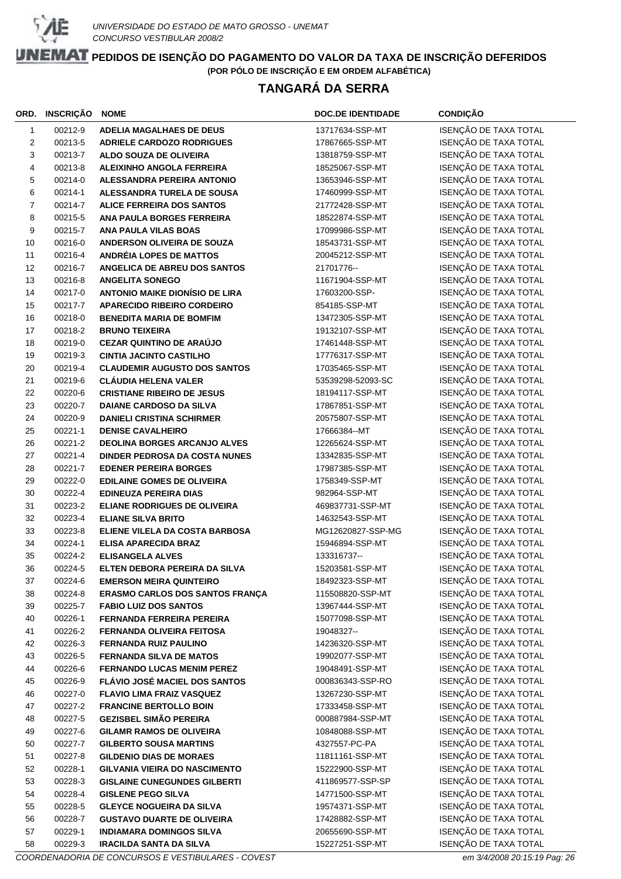

# **TANGARÁ DA SERRA**

| ORD.           | INSCRIÇÃO          | <b>NOME</b>                                                                 | <b>DOC.DE IDENTIDADE</b>            | <b>CONDIÇÃO</b>                                |
|----------------|--------------------|-----------------------------------------------------------------------------|-------------------------------------|------------------------------------------------|
| $\mathbf{1}$   | 00212-9            | <b>ADELIA MAGALHAES DE DEUS</b>                                             | 13717634-SSP-MT                     | ISENÇÃO DE TAXA TOTAL                          |
| 2              | 00213-5            | <b>ADRIELE CARDOZO RODRIGUES</b>                                            | 17867665-SSP-MT                     | ISENÇÃO DE TAXA TOTAL                          |
| 3              | 00213-7            | ALDO SOUZA DE OLIVEIRA                                                      | 13818759-SSP-MT                     | ISENÇÃO DE TAXA TOTAL                          |
| 4              | 00213-8            | <b>ALEIXINHO ANGOLA FERREIRA</b>                                            | 18525067-SSP-MT                     | ISENÇÃO DE TAXA TOTAL                          |
| 5              | 00214-0            | <b>ALESSANDRA PEREIRA ANTONIO</b>                                           | 13653946-SSP-MT                     | ISENÇÃO DE TAXA TOTAL                          |
| 6              | 00214-1            | ALESSANDRA TURELA DE SOUSA                                                  | 17460999-SSP-MT                     | ISENÇÃO DE TAXA TOTAL                          |
| $\overline{7}$ | 00214-7            | <b>ALICE FERREIRA DOS SANTOS</b>                                            | 21772428-SSP-MT                     | ISENÇÃO DE TAXA TOTAL                          |
| 8              | 00215-5            | ANA PAULA BORGES FERREIRA                                                   | 18522874-SSP-MT                     | ISENÇÃO DE TAXA TOTAL                          |
| 9              | 00215-7            | <b>ANA PAULA VILAS BOAS</b>                                                 | 17099986-SSP-MT                     | ISENÇÃO DE TAXA TOTAL                          |
| 10             | 00216-0            | ANDERSON OLIVEIRA DE SOUZA                                                  | 18543731-SSP-MT                     | ISENÇÃO DE TAXA TOTAL                          |
| 11             | 00216-4            | <b>ANDRÉIA LOPES DE MATTOS</b>                                              | 20045212-SSP-MT                     | ISENÇÃO DE TAXA TOTAL                          |
| 12             | 00216-7            | ANGELICA DE ABREU DOS SANTOS                                                | 21701776--                          | ISENÇÃO DE TAXA TOTAL                          |
| 13             | 00216-8            | <b>ANGELITA SONEGO</b>                                                      | 11671904-SSP-MT                     | ISENÇÃO DE TAXA TOTAL                          |
| 14             | 00217-0            | <b>ANTONIO MAIKE DIONÍSIO DE LIRA</b>                                       | 17603200-SSP-                       | ISENÇÃO DE TAXA TOTAL                          |
| 15             | 00217-7            | <b>APARECIDO RIBEIRO CORDEIRO</b>                                           | 854185-SSP-MT                       | ISENÇÃO DE TAXA TOTAL                          |
| 16             | 00218-0            | <b>BENEDITA MARIA DE BOMFIM</b>                                             | 13472305-SSP-MT                     | ISENÇÃO DE TAXA TOTAL                          |
| 17             | 00218-2            | <b>BRUNO TEIXEIRA</b>                                                       | 19132107-SSP-MT                     | ISENÇÃO DE TAXA TOTAL                          |
| 18             | 00219-0            | <b>CEZAR QUINTINO DE ARAÚJO</b>                                             | 17461448-SSP-MT                     | ISENÇÃO DE TAXA TOTAL                          |
| 19             | 00219-3            | <b>CINTIA JACINTO CASTILHO</b>                                              | 17776317-SSP-MT                     | ISENÇÃO DE TAXA TOTAL                          |
| 20             | 00219-4            | <b>CLAUDEMIR AUGUSTO DOS SANTOS</b>                                         | 17035465-SSP-MT                     | ISENÇÃO DE TAXA TOTAL                          |
| 21             | 00219-6            | <b>CLÁUDIA HELENA VALER</b>                                                 | 53539298-52093-SC                   | ISENÇÃO DE TAXA TOTAL                          |
| 22             | 00220-6            | <b>CRISTIANE RIBEIRO DE JESUS</b>                                           | 18194117-SSP-MT                     | ISENÇÃO DE TAXA TOTAL                          |
| 23             | 00220-7            | <b>DAIANE CARDOSO DA SILVA</b>                                              | 17867851-SSP-MT                     | ISENÇÃO DE TAXA TOTAL                          |
| 24             | 00220-9            | <b>DANIELI CRISTINA SCHIRMER</b>                                            | 20575807-SSP-MT                     | ISENÇÃO DE TAXA TOTAL                          |
| 25             | 00221-1            | <b>DENISE CAVALHEIRO</b>                                                    | 17666384--MT                        | ISENÇÃO DE TAXA TOTAL                          |
| 26             | 00221-2            | <b>DEOLINA BORGES ARCANJO ALVES</b>                                         | 12265624-SSP-MT                     | ISENÇÃO DE TAXA TOTAL                          |
| 27             | 00221-4            | DINDER PEDROSA DA COSTA NUNES                                               | 13342835-SSP-MT                     | ISENÇÃO DE TAXA TOTAL                          |
| 28             | 00221-7            | <b>EDENER PEREIRA BORGES</b>                                                | 17987385-SSP-MT                     | ISENÇÃO DE TAXA TOTAL                          |
| 29             | 00222-0            | <b>EDILAINE GOMES DE OLIVEIRA</b>                                           | 1758349-SSP-MT                      | ISENÇÃO DE TAXA TOTAL                          |
| 30             | 00222-4            | <b>EDINEUZA PEREIRA DIAS</b>                                                | 982964-SSP-MT                       | ISENÇÃO DE TAXA TOTAL                          |
| 31             | 00223-2            | <b>ELIANE RODRIGUES DE OLIVEIRA</b>                                         | 469837731-SSP-MT                    | ISENÇÃO DE TAXA TOTAL                          |
| 32             | 00223-4            | <b>ELIANE SILVA BRITO</b>                                                   | 14632543-SSP-MT                     | ISENÇÃO DE TAXA TOTAL                          |
| 33             | 00223-8            | ELIENE VILELA DA COSTA BARBOSA                                              | MG12620827-SSP-MG                   | ISENÇÃO DE TAXA TOTAL                          |
| 34             | 00224-1            | <b>ELISA APARECIDA BRAZ</b>                                                 | 15946894-SSP-MT                     | ISENÇÃO DE TAXA TOTAL                          |
| 35             | 00224-2            | <b>ELISANGELA ALVES</b>                                                     | 133316737--                         | ISENÇÃO DE TAXA TOTAL                          |
| 36             | 00224-5            | ELTEN DEBORA PEREIRA DA SILVA                                               | 15203581-SSP-MT                     | ISENÇÃO DE TAXA TOTAL                          |
| 37             | 00224-6            | <b>EMERSON MEIRA QUINTEIRO</b>                                              | 18492323-SSP-MT                     | ISENÇÃO DE TAXA TOTAL                          |
| 38             | 00224-8            | ERASMO CARLOS DOS SANTOS FRANÇA                                             | 115508820-SSP-MT                    | ISENÇÃO DE TAXA TOTAL                          |
| 39             | 00225-7            | <b>FABIO LUIZ DOS SANTOS</b>                                                | 13967444-SSP-MT                     | ISENÇÃO DE TAXA TOTAL                          |
| 40             | 00226-1            | <b>FERNANDA FERREIRA PEREIRA</b>                                            | 15077098-SSP-MT                     | ISENÇÃO DE TAXA TOTAL                          |
| 41             | 00226-2            | <b>FERNANDA OLIVEIRA FEITOSA</b>                                            | 19048327--                          | ISENÇÃO DE TAXA TOTAL                          |
| 42             | 00226-3            | <b>FERNANDA RUIZ PAULINO</b>                                                | 14236320-SSP-MT                     | ISENÇÃO DE TAXA TOTAL                          |
| 43             | 00226-5            | <b>FERNANDA SILVA DE MATOS</b>                                              | 19902077-SSP-MT                     | ISENÇÃO DE TAXA TOTAL                          |
| 44             | 00226-6            | <b>FERNANDO LUCAS MENIM PEREZ</b>                                           | 19048491-SSP-MT                     | ISENÇÃO DE TAXA TOTAL                          |
| 45             | 00226-9            | FLÁVIO JOSÉ MACIEL DOS SANTOS                                               | 000836343-SSP-RO                    | ISENÇÃO DE TAXA TOTAL                          |
| 46             | 00227-0            | <b>FLAVIO LIMA FRAIZ VASQUEZ</b>                                            | 13267230-SSP-MT                     | ISENÇÃO DE TAXA TOTAL                          |
| 47             | 00227-2            | <b>FRANCINE BERTOLLO BOIN</b>                                               | 17333458-SSP-MT                     | ISENÇÃO DE TAXA TOTAL                          |
| 48             | 00227-5            | <b>GEZISBEL SIMÃO PEREIRA</b>                                               | 000887984-SSP-MT                    | ISENÇÃO DE TAXA TOTAL                          |
| 49             | 00227-6            | <b>GILAMR RAMOS DE OLIVEIRA</b>                                             | 10848088-SSP-MT                     | ISENÇÃO DE TAXA TOTAL                          |
| 50             | 00227-7            | <b>GILBERTO SOUSA MARTINS</b>                                               | 4327557-PC-PA                       | ISENÇÃO DE TAXA TOTAL<br>ISENÇÃO DE TAXA TOTAL |
| 51             | 00227-8            | <b>GILDENIO DIAS DE MORAES</b>                                              | 11811161-SSP-MT                     | ISENÇÃO DE TAXA TOTAL                          |
| 52<br>53       | 00228-1<br>00228-3 | <b>GILVANIA VIEIRA DO NASCIMENTO</b><br><b>GISLAINE CUNEGUNDES GILBERTI</b> | 15222900-SSP-MT<br>411869577-SSP-SP | ISENÇÃO DE TAXA TOTAL                          |
| 54             | 00228-4            | <b>GISLENE PEGO SILVA</b>                                                   | 14771500-SSP-MT                     | ISENÇÃO DE TAXA TOTAL                          |
| 55             | 00228-5            | <b>GLEYCE NOGUEIRA DA SILVA</b>                                             | 19574371-SSP-MT                     | ISENÇÃO DE TAXA TOTAL                          |
| 56             | 00228-7            | <b>GUSTAVO DUARTE DE OLIVEIRA</b>                                           | 17428882-SSP-MT                     | ISENÇÃO DE TAXA TOTAL                          |
| 57             | 00229-1            | <b>INDIAMARA DOMINGOS SILVA</b>                                             | 20655690-SSP-MT                     | ISENÇÃO DE TAXA TOTAL                          |
| 58             | 00229-3            | <b>IRACILDA SANTA DA SILVA</b>                                              | 15227251-SSP-MT                     | ISENÇÃO DE TAXA TOTAL                          |
|                |                    |                                                                             |                                     |                                                |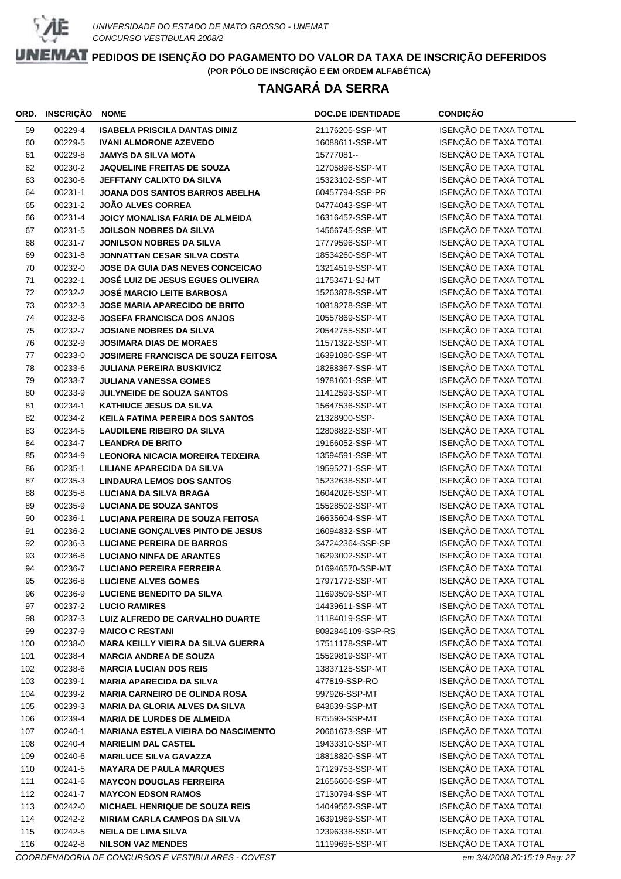

# **TANGARÁ DA SERRA**

| ORD. | INSCRIÇÃO | <b>NOME</b>                                | <b>DOC.DE IDENTIDADE</b> | <b>CONDIÇÃO</b>       |
|------|-----------|--------------------------------------------|--------------------------|-----------------------|
| 59   | 00229-4   | <b>ISABELA PRISCILA DANTAS DINIZ</b>       | 21176205-SSP-MT          | ISENÇÃO DE TAXA TOTAL |
| 60   | 00229-5   | <b>IVANI ALMORONE AZEVEDO</b>              | 16088611-SSP-MT          | ISENÇÃO DE TAXA TOTAL |
| 61   | 00229-8   | <b>JAMYS DA SILVA MOTA</b>                 | 15777081--               | ISENÇÃO DE TAXA TOTAL |
| 62   | 00230-2   | <b>JAQUELINE FREITAS DE SOUZA</b>          | 12705896-SSP-MT          | ISENÇÃO DE TAXA TOTAL |
| 63   | 00230-6   | JEFFTANY CALIXTO DA SILVA                  | 15323102-SSP-MT          | ISENÇÃO DE TAXA TOTAL |
| 64   | 00231-1   | JOANA DOS SANTOS BARROS ABELHA             | 60457794-SSP-PR          | ISENÇÃO DE TAXA TOTAL |
| 65   | 00231-2   | <b>JOÃO ALVES CORREA</b>                   | 04774043-SSP-MT          | ISENÇÃO DE TAXA TOTAL |
| 66   | 00231-4   | JOICY MONALISA FARIA DE ALMEIDA            | 16316452-SSP-MT          | ISENÇÃO DE TAXA TOTAL |
| 67   | 00231-5   | <b>JOILSON NOBRES DA SILVA</b>             | 14566745-SSP-MT          | ISENÇÃO DE TAXA TOTAL |
| 68   | 00231-7   | <b>JONILSON NOBRES DA SILVA</b>            | 17779596-SSP-MT          | ISENÇÃO DE TAXA TOTAL |
| 69   | 00231-8   | <b>JONNATTAN CESAR SILVA COSTA</b>         | 18534260-SSP-MT          | ISENÇÃO DE TAXA TOTAL |
| 70   | 00232-0   | JOSE DA GUIA DAS NEVES CONCEICAO           | 13214519-SSP-MT          | ISENÇÃO DE TAXA TOTAL |
| 71   | 00232-1   | <b>JOSÉ LUIZ DE JESUS EGUES OLIVEIRA</b>   | 11753471-SJ-MT           | ISENÇÃO DE TAXA TOTAL |
| 72   | 00232-2   | <b>JOSÉ MARCIO LEITE BARBOSA</b>           | 15263878-SSP-MT          | ISENÇÃO DE TAXA TOTAL |
| 73   | 00232-3   | <b>JOSE MARIA APARECIDO DE BRITO</b>       | 10818278-SSP-MT          | ISENÇÃO DE TAXA TOTAL |
| 74   | 00232-6   | <b>JOSEFA FRANCISCA DOS ANJOS</b>          | 10557869-SSP-MT          | ISENÇÃO DE TAXA TOTAL |
| 75   | 00232-7   | <b>JOSIANE NOBRES DA SILVA</b>             | 20542755-SSP-MT          | ISENÇÃO DE TAXA TOTAL |
| 76   | 00232-9   | <b>JOSIMARA DIAS DE MORAES</b>             | 11571322-SSP-MT          | ISENÇÃO DE TAXA TOTAL |
| 77   | 00233-0   | JOSIMERE FRANCISCA DE SOUZA FEITOSA        | 16391080-SSP-MT          | ISENÇÃO DE TAXA TOTAL |
| 78   | 00233-6   | <b>JULIANA PEREIRA BUSKIVICZ</b>           | 18288367-SSP-MT          | ISENÇÃO DE TAXA TOTAL |
| 79   | 00233-7   | <b>JULIANA VANESSA GOMES</b>               | 19781601-SSP-MT          | ISENÇÃO DE TAXA TOTAL |
| 80   | 00233-9   | <b>JULYNEIDE DE SOUZA SANTOS</b>           | 11412593-SSP-MT          | ISENÇÃO DE TAXA TOTAL |
| 81   | 00234-1   | <b>KATHIUCE JESUS DA SILVA</b>             | 15647536-SSP-MT          | ISENÇÃO DE TAXA TOTAL |
| 82   | 00234-2   | <b>KEILA FATIMA PEREIRA DOS SANTOS</b>     | 21328900-SSP-            | ISENÇÃO DE TAXA TOTAL |
| 83   | 00234-5   | <b>LAUDILENE RIBEIRO DA SILVA</b>          | 12808822-SSP-MT          | ISENÇÃO DE TAXA TOTAL |
| 84   | 00234-7   | <b>LEANDRA DE BRITO</b>                    | 19166052-SSP-MT          | ISENÇÃO DE TAXA TOTAL |
| 85   | 00234-9   | <b>LEONORA NICACIA MOREIRA TEIXEIRA</b>    | 13594591-SSP-MT          | ISENÇÃO DE TAXA TOTAL |
| 86   | 00235-1   | LILIANE APARECIDA DA SILVA                 | 19595271-SSP-MT          | ISENÇÃO DE TAXA TOTAL |
| 87   | 00235-3   | <b>LINDAURA LEMOS DOS SANTOS</b>           | 15232638-SSP-MT          | ISENÇÃO DE TAXA TOTAL |
| 88   | 00235-8   | <b>LUCIANA DA SILVA BRAGA</b>              | 16042026-SSP-MT          | ISENÇÃO DE TAXA TOTAL |
| 89   | 00235-9   | <b>LUCIANA DE SOUZA SANTOS</b>             | 15528502-SSP-MT          | ISENÇÃO DE TAXA TOTAL |
| 90   | 00236-1   | <b>LUCIANA PEREIRA DE SOUZA FEITOSA</b>    | 16635604-SSP-MT          | ISENÇÃO DE TAXA TOTAL |
| 91   | 00236-2   | LUCIANE GONÇALVES PINTO DE JESUS           | 16094832-SSP-MT          | ISENÇÃO DE TAXA TOTAL |
| 92   | 00236-3   | <b>LUCIANE PEREIRA DE BARROS</b>           | 347242364-SSP-SP         | ISENÇÃO DE TAXA TOTAL |
| 93   | 00236-6   | <b>LUCIANO NINFA DE ARANTES</b>            | 16293002-SSP-MT          | ISENÇÃO DE TAXA TOTAL |
| 94   | 00236-7   | <b>LUCIANO PEREIRA FERREIRA</b>            | 016946570-SSP-MT         | ISENÇÃO DE TAXA TOTAL |
| 95   | 00236-8   | <b>LUCIENE ALVES GOMES</b>                 | 17971772-SSP-MT          | ISENÇÃO DE TAXA TOTAL |
| 96   | 00236-9   | <b>LUCIENE BENEDITO DA SILVA</b>           | 11693509-SSP-MT          | ISENÇÃO DE TAXA TOTAL |
| 97   | 00237-2   | <b>LUCIO RAMIRES</b>                       | 14439611-SSP-MT          | ISENÇÃO DE TAXA TOTAL |
| 98   | 00237-3   | LUIZ ALFREDO DE CARVALHO DUARTE            | 11184019-SSP-MT          | ISENÇÃO DE TAXA TOTAL |
| 99   | 00237-9   | <b>MAICO C RESTANI</b>                     | 8082846109-SSP-RS        | ISENÇÃO DE TAXA TOTAL |
| 100  | 00238-0   | <b>MARA KEILLY VIEIRA DA SILVA GUERRA</b>  | 17511178-SSP-MT          | ISENÇÃO DE TAXA TOTAL |
| 101  | 00238-4   | <b>MARCIA ANDREA DE SOUZA</b>              | 15529819-SSP-MT          | ISENÇÃO DE TAXA TOTAL |
| 102  | 00238-6   | <b>MARCIA LUCIAN DOS REIS</b>              | 13837125-SSP-MT          | ISENÇÃO DE TAXA TOTAL |
| 103  | 00239-1   | <b>MARIA APARECIDA DA SILVA</b>            | 477819-SSP-RO            | ISENÇÃO DE TAXA TOTAL |
| 104  | 00239-2   | <b>MARIA CARNEIRO DE OLINDA ROSA</b>       | 997926-SSP-MT            | ISENÇÃO DE TAXA TOTAL |
| 105  | 00239-3   | <b>MARIA DA GLORIA ALVES DA SILVA</b>      | 843639-SSP-MT            | ISENÇÃO DE TAXA TOTAL |
| 106  | 00239-4   | <b>MARIA DE LURDES DE ALMEIDA</b>          | 875593-SSP-MT            | ISENÇÃO DE TAXA TOTAL |
| 107  | 00240-1   | <b>MARIANA ESTELA VIEIRA DO NASCIMENTO</b> | 20661673-SSP-MT          | ISENÇÃO DE TAXA TOTAL |
| 108  | 00240-4   | <b>MARIELIM DAL CASTEL</b>                 | 19433310-SSP-MT          | ISENÇÃO DE TAXA TOTAL |
| 109  | 00240-6   | <b>MARILUCE SILVA GAVAZZA</b>              | 18818820-SSP-MT          | ISENÇÃO DE TAXA TOTAL |
| 110  | 00241-5   | <b>MAYARA DE PAULA MARQUES</b>             | 17129753-SSP-MT          | ISENÇÃO DE TAXA TOTAL |
| 111  | 00241-6   | <b>MAYCON DOUGLAS FERREIRA</b>             | 21656606-SSP-MT          | ISENÇÃO DE TAXA TOTAL |
| 112  | 00241-7   | <b>MAYCON EDSON RAMOS</b>                  | 17130794-SSP-MT          | ISENÇÃO DE TAXA TOTAL |
| 113  | 00242-0   | MICHAEL HENRIQUE DE SOUZA REIS             | 14049562-SSP-MT          | ISENÇÃO DE TAXA TOTAL |
| 114  | 00242-2   | <b>MIRIAM CARLA CAMPOS DA SILVA</b>        | 16391969-SSP-MT          | ISENÇÃO DE TAXA TOTAL |
| 115  | 00242-5   | <b>NEILA DE LIMA SILVA</b>                 | 12396338-SSP-MT          | ISENÇÃO DE TAXA TOTAL |
| 116  | 00242-8   | <b>NILSON VAZ MENDES</b>                   | 11199695-SSP-MT          | ISENÇÃO DE TAXA TOTAL |